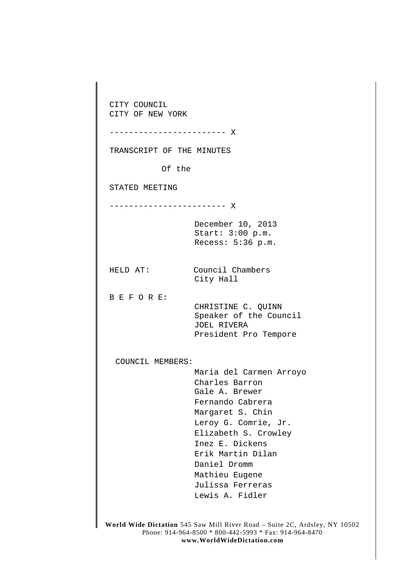CITY COUNCIL CITY OF NEW YORK ------------------------ X TRANSCRIPT OF THE MINUTES Of the STATED MEETING ------------------------ X December 10, 2013 Start: 3:00 p.m. Recess: 5:36 p.m. HELD AT: Council Chambers City Hall B E F O R E: CHRISTINE C. QUINN Speaker of the Council JOEL RIVERA President Pro Tempore COUNCIL MEMBERS: Maria del Carmen Arroyo Charles Barron Gale A. Brewer Fernando Cabrera Margaret S. Chin Leroy G. Comrie, Jr. Elizabeth S. Crowley Inez E. Dickens Erik Martin Dilan Daniel Dromm Mathieu Eugene Julissa Ferreras Lewis A. Fidler

**World Wide Dictation** 545 Saw Mill River Road – Suite 2C, Ardsley, NY 10502 Phone: 914-964-8500 \* 800-442-5993 \* Fax: 914-964-8470 **www.WorldWideDictation.com**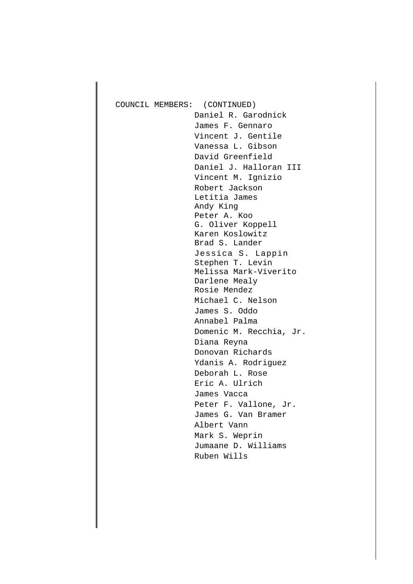|  | COUNCIL MEMBERS: (CONTINUED)         |
|--|--------------------------------------|
|  | Daniel R. Garodnick                  |
|  | James F. Gennaro                     |
|  | Vincent J. Gentile                   |
|  | Vanessa L. Gibson                    |
|  | David Greenfield                     |
|  | Daniel J. Halloran III               |
|  | Vincent M. Ignizio                   |
|  | Robert Jackson                       |
|  | Letitia James                        |
|  | Andy King                            |
|  | Peter A. Koo                         |
|  | G. Oliver Koppell<br>Karen Koslowitz |
|  | Brad S. Lander                       |
|  | Jessica S. Lappin                    |
|  | Stephen T. Levin                     |
|  | Melissa Mark-Viverito                |
|  | Darlene Mealy                        |
|  | Rosie Mendez                         |
|  | Michael C. Nelson                    |
|  | James S. Oddo                        |
|  | Annabel Palma                        |
|  | Domenic M. Recchia, Jr.              |
|  | Diana Reyna                          |
|  | Donovan Richards                     |
|  | Ydanis A. Rodriguez                  |
|  | Deborah L. Rose                      |
|  | Eric A. Ulrich                       |
|  | James Vacca                          |
|  | Peter F. Vallone, Jr.                |
|  | James G. Van Bramer                  |
|  | Albert Vann                          |
|  | Mark S. Weprin                       |
|  | Jumaane D. Williams                  |
|  | Ruben Wills                          |
|  |                                      |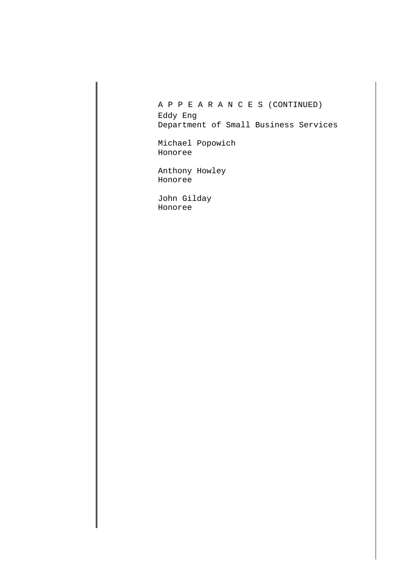A P P E A R A N C E S (CONTINUED) Eddy Eng Department of Small Business Services

Michael Popowich Honoree

Anthony Howley Honoree

John Gilday Honoree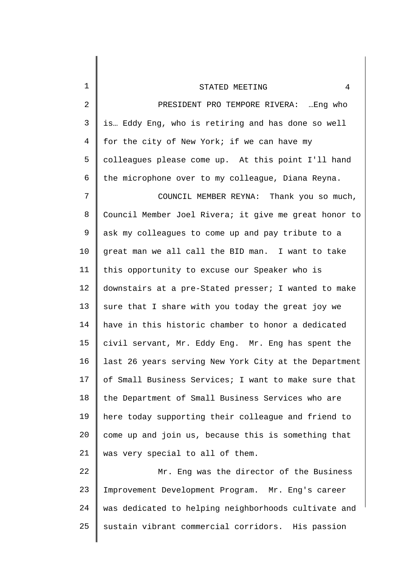| 1  | 4<br>STATED MEETING                                   |
|----|-------------------------------------------------------|
| 2  | PRESIDENT PRO TEMPORE RIVERA:  Eng who                |
| 3  | is Eddy Eng, who is retiring and has done so well     |
| 4  | for the city of New York; if we can have my           |
| 5  | colleagues please come up. At this point I'll hand    |
| 6  | the microphone over to my colleague, Diana Reyna.     |
| 7  | COUNCIL MEMBER REYNA: Thank you so much,              |
| 8  | Council Member Joel Rivera; it give me great honor to |
| 9  | ask my colleagues to come up and pay tribute to a     |
| 10 | great man we all call the BID man. I want to take     |
| 11 | this opportunity to excuse our Speaker who is         |
| 12 | downstairs at a pre-Stated presser; I wanted to make  |
| 13 | sure that I share with you today the great joy we     |
| 14 | have in this historic chamber to honor a dedicated    |
| 15 | civil servant, Mr. Eddy Eng. Mr. Eng has spent the    |
| 16 | last 26 years serving New York City at the Department |
| 17 | of Small Business Services; I want to make sure that  |
| 18 | the Department of Small Business Services who are     |
| 19 | here today supporting their colleague and friend to   |
| 20 | come up and join us, because this is something that   |
| 21 | was very special to all of them.                      |
| 22 | Mr. Eng was the director of the Business              |
| 23 | Improvement Development Program. Mr. Eng's career     |
| 24 | was dedicated to helping neighborhoods cultivate and  |
| 25 | sustain vibrant commercial corridors. His passion     |
|    |                                                       |

 $\mathbb{I}$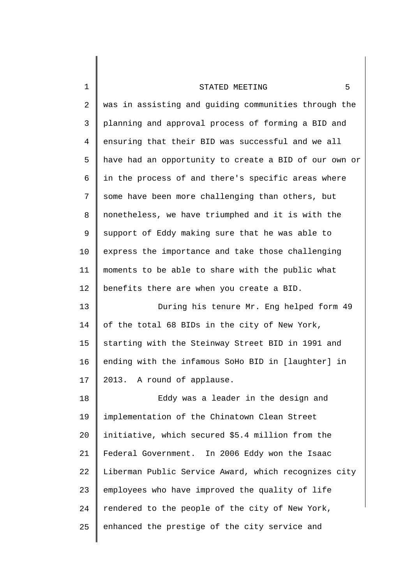| $\mathbf 1$    | 5<br>STATED MEETING                                   |
|----------------|-------------------------------------------------------|
| 2              | was in assisting and guiding communities through the  |
| 3              | planning and approval process of forming a BID and    |
| $\overline{4}$ | ensuring that their BID was successful and we all     |
| 5              | have had an opportunity to create a BID of our own or |
| 6              | in the process of and there's specific areas where    |
| 7              | some have been more challenging than others, but      |
| 8              | nonetheless, we have triumphed and it is with the     |
| 9              | support of Eddy making sure that he was able to       |
| 10             | express the importance and take those challenging     |
| 11             | moments to be able to share with the public what      |
| 12             | benefits there are when you create a BID.             |
| 13             | During his tenure Mr. Eng helped form 49              |
| 14             | of the total 68 BIDs in the city of New York,         |
| 15             | starting with the Steinway Street BID in 1991 and     |
| 16             | ending with the infamous SoHo BID in [laughter] in    |
| 17             | 2013. A round of applause.                            |
| 18             | Eddy was a leader in the design and                   |
| 19             | implementation of the Chinatown Clean Street          |
| 20             | initiative, which secured \$5.4 million from the      |
| 21             | Federal Government. In 2006 Eddy won the Isaac        |
| 22             | Liberman Public Service Award, which recognizes city  |
| 23             | employees who have improved the quality of life       |
| 24             | rendered to the people of the city of New York,       |
| 25             | enhanced the prestige of the city service and         |
|                |                                                       |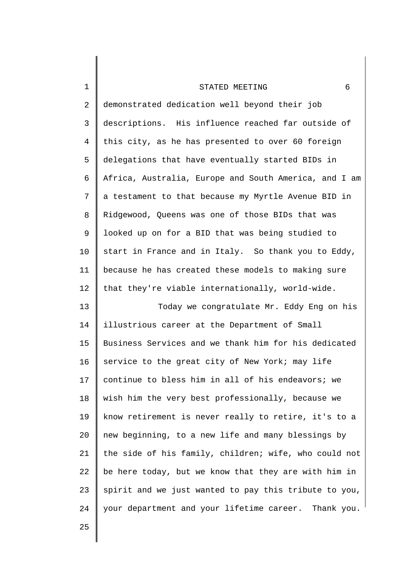| $\mathbf 1$    | STATED MEETING<br>6                                   |
|----------------|-------------------------------------------------------|
| $\overline{2}$ | demonstrated dedication well beyond their job         |
| $\mathsf{3}$   | descriptions. His influence reached far outside of    |
| $\overline{4}$ | this city, as he has presented to over 60 foreign     |
| 5              | delegations that have eventually started BIDs in      |
| 6              | Africa, Australia, Europe and South America, and I am |
| 7              | a testament to that because my Myrtle Avenue BID in   |
| 8              | Ridgewood, Queens was one of those BIDs that was      |
| 9              | looked up on for a BID that was being studied to      |
| 10             | start in France and in Italy. So thank you to Eddy,   |
| 11             | because he has created these models to making sure    |
| 12             | that they're viable internationally, world-wide.      |
| 13             | Today we congratulate Mr. Eddy Eng on his             |
| 14             | illustrious career at the Department of Small         |
| 15             | Business Services and we thank him for his dedicated  |
| 16             | service to the great city of New York; may life       |
| 17             | continue to bless him in all of his endeavors; we     |
| 18             | wish him the very best professionally, because we     |
| 19             | know retirement is never really to retire, it's to a  |
| 20             | new beginning, to a new life and many blessings by    |
| 21             | the side of his family, children; wife, who could not |
| 22             | be here today, but we know that they are with him in  |
| 23             | spirit and we just wanted to pay this tribute to you, |
| 24             | your department and your lifetime career. Thank you.  |
| 25             |                                                       |
|                |                                                       |

 $\overline{\phantom{a}}$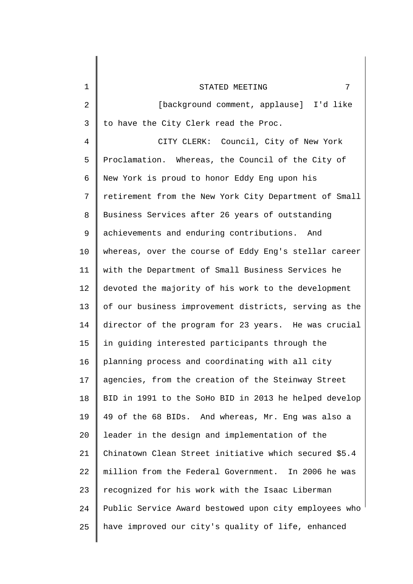| $\mathbf{1}$ | 7<br>STATED MEETING                                   |
|--------------|-------------------------------------------------------|
| 2            | [background comment, applause] I'd like               |
| 3            | to have the City Clerk read the Proc.                 |
| 4            | CITY CLERK: Council, City of New York                 |
| 5            | Proclamation. Whereas, the Council of the City of     |
| 6            | New York is proud to honor Eddy Eng upon his          |
| 7            | retirement from the New York City Department of Small |
| 8            | Business Services after 26 years of outstanding       |
| 9            | achievements and enduring contributions.<br>And       |
| 10           | whereas, over the course of Eddy Eng's stellar career |
| 11           | with the Department of Small Business Services he     |
| 12           | devoted the majority of his work to the development   |
| 13           | of our business improvement districts, serving as the |
| 14           | director of the program for 23 years. He was crucial  |
| 15           | in guiding interested participants through the        |
| 16           | planning process and coordinating with all city       |
| 17           | agencies, from the creation of the Steinway Street    |
| 18           | BID in 1991 to the SoHo BID in 2013 he helped develop |
| 19           | 49 of the 68 BIDs. And whereas, Mr. Eng was also a    |
| 20           | leader in the design and implementation of the        |
| 21           | Chinatown Clean Street initiative which secured \$5.4 |
| 22           | million from the Federal Government. In 2006 he was   |
| 23           | recognized for his work with the Isaac Liberman       |
| 24           | Public Service Award bestowed upon city employees who |
| 25           | have improved our city's quality of life, enhanced    |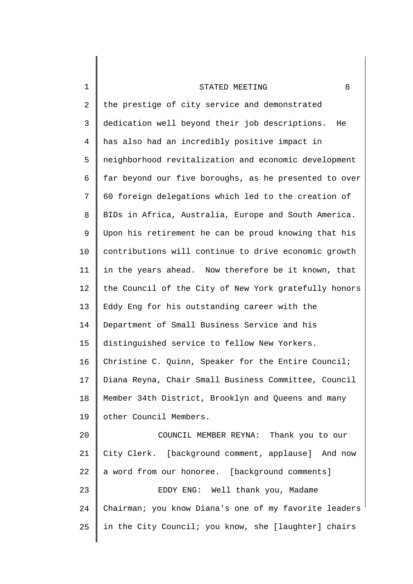| $1\,$          | 8<br>STATED MEETING                                   |
|----------------|-------------------------------------------------------|
| $\overline{2}$ | the prestige of city service and demonstrated         |
| $\mathbf{3}$   | dedication well beyond their job descriptions.<br>He  |
| $\overline{4}$ | has also had an incredibly positive impact in         |
| 5              | neighborhood revitalization and economic development  |
| 6              | far beyond our five boroughs, as he presented to over |
| 7              | 60 foreign delegations which led to the creation of   |
| 8              | BIDs in Africa, Australia, Europe and South America.  |
| $\mathsf 9$    | Upon his retirement he can be proud knowing that his  |
| 10             | contributions will continue to drive economic growth  |
| 11             | in the years ahead. Now therefore be it known, that   |
| 12             | the Council of the City of New York gratefully honors |
| 13             | Eddy Eng for his outstanding career with the          |
| 14             | Department of Small Business Service and his          |
| 15             | distinguished service to fellow New Yorkers.          |
| 16             | Christine C. Quinn, Speaker for the Entire Council;   |
| 17             | Diana Reyna, Chair Small Business Committee, Council  |
| 18             | Member 34th District, Brooklyn and Queens and many    |
| 19             | other Council Members.                                |
| 20             | COUNCIL MEMBER REYNA: Thank you to our                |
| 21             | City Clerk. [background comment, applause] And now    |
| 22             | a word from our honoree. [background comments]        |
| 23             | EDDY ENG: Well thank you, Madame                      |
| 24             | Chairman; you know Diana's one of my favorite leaders |
| 25             | in the City Council; you know, she [laughter] chairs  |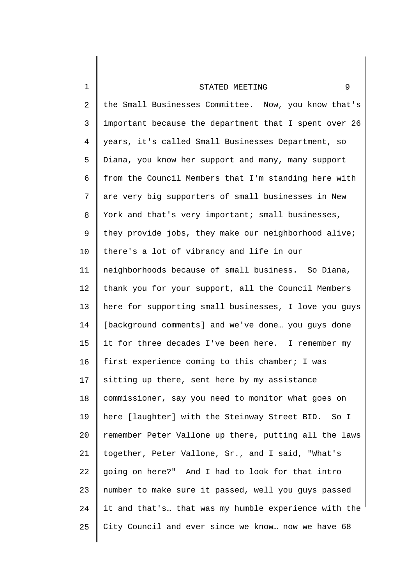| $\mathbf 1$ | 9<br>STATED MEETING                                   |
|-------------|-------------------------------------------------------|
| 2           | the Small Businesses Committee. Now, you know that's  |
| 3           | important because the department that I spent over 26 |
| 4           | years, it's called Small Businesses Department, so    |
| 5           | Diana, you know her support and many, many support    |
| 6           | from the Council Members that I'm standing here with  |
| 7           | are very big supporters of small businesses in New    |
| 8           | York and that's very important; small businesses,     |
| 9           | they provide jobs, they make our neighborhood alive;  |
| 10          | there's a lot of vibrancy and life in our             |
| 11          | neighborhoods because of small business. So Diana,    |
| 12          | thank you for your support, all the Council Members   |
| 13          | here for supporting small businesses, I love you guys |
| 14          | [background comments] and we've done you guys done    |
| 15          | it for three decades I've been here. I remember my    |
| 16          | first experience coming to this chamber; I was        |
| 17          | sitting up there, sent here by my assistance          |
| 18          | commissioner, say you need to monitor what goes on    |
| 19          | here [laughter] with the Steinway Street BID. So I    |
| 20          | remember Peter Vallone up there, putting all the laws |
| 21          | together, Peter Vallone, Sr., and I said, "What's     |
| 22          | going on here?" And I had to look for that intro      |
| 23          | number to make sure it passed, well you guys passed   |
| 24          | it and that's that was my humble experience with the  |
| 25          | City Council and ever since we know now we have 68    |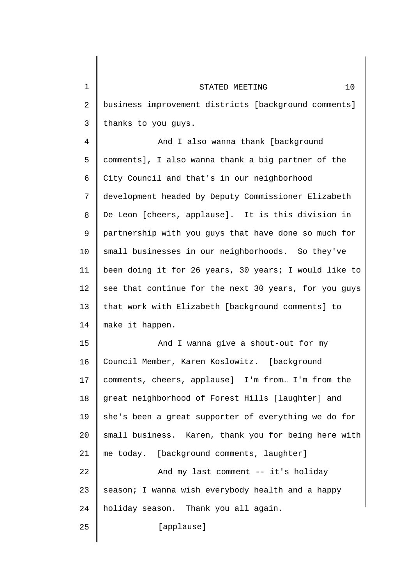| $\mathbf 1$ | 10<br>STATED MEETING                                  |
|-------------|-------------------------------------------------------|
| 2           | business improvement districts [background comments]  |
| 3           | thanks to you guys.                                   |
| 4           | And I also wanna thank [background                    |
| 5           | comments], I also wanna thank a big partner of the    |
| 6           | City Council and that's in our neighborhood           |
| 7           | development headed by Deputy Commissioner Elizabeth   |
| 8           | De Leon [cheers, applause]. It is this division in    |
| 9           | partnership with you guys that have done so much for  |
| 10          | small businesses in our neighborhoods. So they've     |
| 11          | been doing it for 26 years, 30 years; I would like to |
| 12          | see that continue for the next 30 years, for you guys |
| 13          | that work with Elizabeth [background comments] to     |
| 14          | make it happen.                                       |
| 15          | And I wanna give a shout-out for my                   |
| 16          | Council Member, Karen Koslowitz.<br>[background       |
| 17          | comments, cheers, applause] I'm from I'm from the     |
| 18          | great neighborhood of Forest Hills [laughter] and     |
| 19          | she's been a great supporter of everything we do for  |
| 20          | small business. Karen, thank you for being here with  |
| 21          | me today. [background comments, laughter]             |
| 22          | And my last comment -- it's holiday                   |
| 23          | season; I wanna wish everybody health and a happy     |
| 24          | holiday season. Thank you all again.                  |
| 25          | [applause]                                            |
|             |                                                       |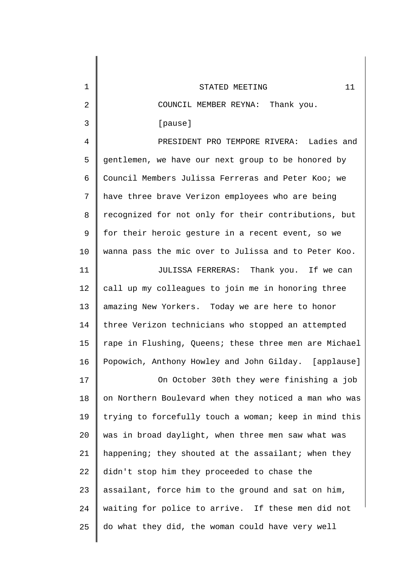| 1              | 11<br>STATED MEETING                                  |
|----------------|-------------------------------------------------------|
| $\overline{2}$ | COUNCIL MEMBER REYNA: Thank you.                      |
| 3              | [pause]                                               |
| 4              | PRESIDENT PRO TEMPORE RIVERA: Ladies and              |
| 5              | gentlemen, we have our next group to be honored by    |
| 6              | Council Members Julissa Ferreras and Peter Koo; we    |
| 7              | have three brave Verizon employees who are being      |
| 8              | recognized for not only for their contributions, but  |
| 9              | for their heroic gesture in a recent event, so we     |
| 10             | wanna pass the mic over to Julissa and to Peter Koo.  |
| 11             | JULISSA FERRERAS: Thank you. If we can                |
| 12             | call up my colleagues to join me in honoring three    |
| 13             | amazing New Yorkers. Today we are here to honor       |
| 14             | three Verizon technicians who stopped an attempted    |
| 15             | rape in Flushing, Queens; these three men are Michael |
| 16             | Popowich, Anthony Howley and John Gilday. [applause]  |
| 17             | On October 30th they were finishing a job             |
| 18             | on Northern Boulevard when they noticed a man who was |
| 19             | trying to forcefully touch a woman; keep in mind this |
| 20             | was in broad daylight, when three men saw what was    |
| 21             | happening; they shouted at the assailant; when they   |
| 22             | didn't stop him they proceeded to chase the           |
| 23             | assailant, force him to the ground and sat on him,    |
| 24             | waiting for police to arrive. If these men did not    |
| 25             | do what they did, the woman could have very well      |
|                |                                                       |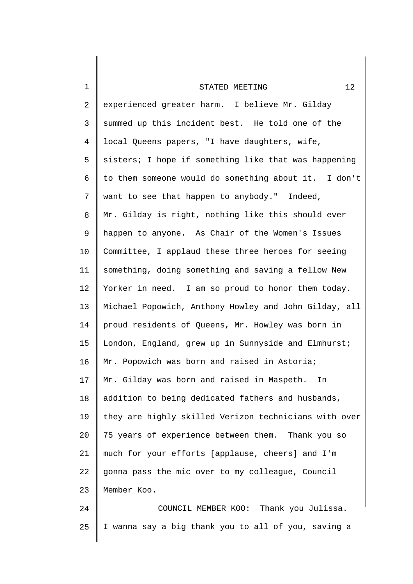| $\mathbf 1$    | 12<br>STATED MEETING                                  |
|----------------|-------------------------------------------------------|
| 2              | experienced greater harm. I believe Mr. Gilday        |
| 3              | summed up this incident best. He told one of the      |
| $\overline{4}$ | local Queens papers, "I have daughters, wife,         |
| 5              | sisters; I hope if something like that was happening  |
| 6              | to them someone would do something about it. I don't  |
| 7              | want to see that happen to anybody." Indeed,          |
| 8              | Mr. Gilday is right, nothing like this should ever    |
| 9              | happen to anyone. As Chair of the Women's Issues      |
| 10             | Committee, I applaud these three heroes for seeing    |
| 11             | something, doing something and saving a fellow New    |
| 12             | Yorker in need. I am so proud to honor them today.    |
| 13             | Michael Popowich, Anthony Howley and John Gilday, all |
| 14             | proud residents of Queens, Mr. Howley was born in     |
| 15             | London, England, grew up in Sunnyside and Elmhurst;   |
| 16             | Mr. Popowich was born and raised in Astoria;          |
| 17             | Mr. Gilday was born and raised in Maspeth. In         |
| 18             | addition to being dedicated fathers and husbands,     |
| 19             | they are highly skilled Verizon technicians with over |
| 20             | 75 years of experience between them. Thank you so     |
| 21             | much for your efforts [applause, cheers] and I'm      |
| 22             | gonna pass the mic over to my colleague, Council      |
| 23             | Member Koo.                                           |
| 24             | COUNCIL MEMBER KOO: Thank you Julissa.                |

 $\begin{array}{c} \hline \end{array}$ 

25 I wanna say a big thank you to all of you, saving a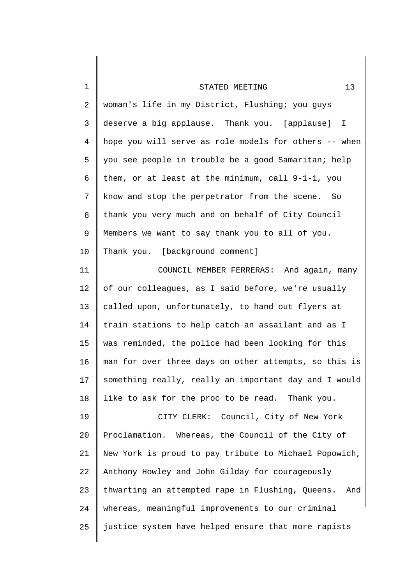| $\mathbf 1$ | 13<br>STATED MEETING                                          |
|-------------|---------------------------------------------------------------|
| 2           | woman's life in my District, Flushing; you guys               |
| 3           | deserve a big applause. Thank you. [applause]<br>$\mathbf{I}$ |
| 4           | hope you will serve as role models for others -- when         |
| 5           | you see people in trouble be a good Samaritan; help           |
| 6           | them, or at least at the minimum, call 9-1-1, you             |
| 7           | know and stop the perpetrator from the scene. So              |
| 8           | thank you very much and on behalf of City Council             |
| 9           | Members we want to say thank you to all of you.               |
| 10          | Thank you. [background comment]                               |
| 11          | COUNCIL MEMBER FERRERAS: And again, many                      |
| 12          | of our colleagues, as I said before, we're usually            |
| 13          | called upon, unfortunately, to hand out flyers at             |
| 14          | train stations to help catch an assailant and as I            |
| 15          | was reminded, the police had been looking for this            |
| 16          | man for over three days on other attempts, so this is         |
| 17          | something really, really an important day and I would         |
| 18          | like to ask for the proc to be read. Thank you.               |
| 19          | CITY CLERK: Council, City of New York                         |
| 20          | Proclamation. Whereas, the Council of the City of             |
| 21          | New York is proud to pay tribute to Michael Popowich,         |
| 22          | Anthony Howley and John Gilday for courageously               |
| 23          | thwarting an attempted rape in Flushing, Queens.<br>And       |
| 24          | whereas, meaningful improvements to our criminal              |
| 25          | justice system have helped ensure that more rapists           |
|             |                                                               |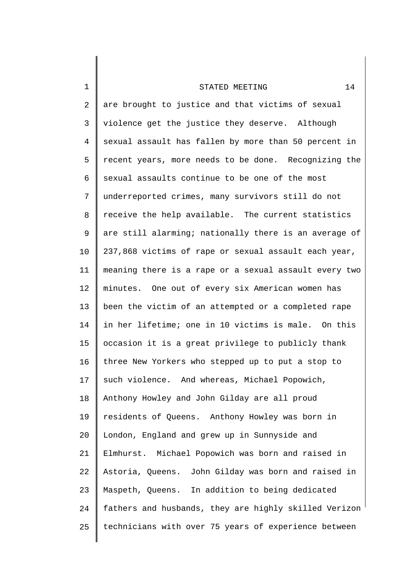| $\mathbf{1}$   | 14<br>STATED MEETING                                  |
|----------------|-------------------------------------------------------|
| $\overline{a}$ | are brought to justice and that victims of sexual     |
| 3              | violence get the justice they deserve. Although       |
| 4              | sexual assault has fallen by more than 50 percent in  |
| 5              | recent years, more needs to be done. Recognizing the  |
| 6              | sexual assaults continue to be one of the most        |
| 7              | underreported crimes, many survivors still do not     |
| 8              | receive the help available. The current statistics    |
| 9              | are still alarming; nationally there is an average of |
| 10             | 237,868 victims of rape or sexual assault each year,  |
| 11             | meaning there is a rape or a sexual assault every two |
| 12             | minutes. One out of every six American women has      |
| 13             | been the victim of an attempted or a completed rape   |
| 14             | in her lifetime; one in 10 victims is male. On this   |
| 15             | occasion it is a great privilege to publicly thank    |
| 16             | three New Yorkers who stepped up to put a stop to     |
| 17             | such violence. And whereas, Michael Popowich,         |
| 18             | Anthony Howley and John Gilday are all proud          |
| 19             | residents of Queens. Anthony Howley was born in       |
| 20             | London, England and grew up in Sunnyside and          |
| 21             | Elmhurst. Michael Popowich was born and raised in     |
| 22             | Astoria, Queens. John Gilday was born and raised in   |
| 23             | Maspeth, Queens. In addition to being dedicated       |
| 24             | fathers and husbands, they are highly skilled Verizon |
| 25             | technicians with over 75 years of experience between  |
|                |                                                       |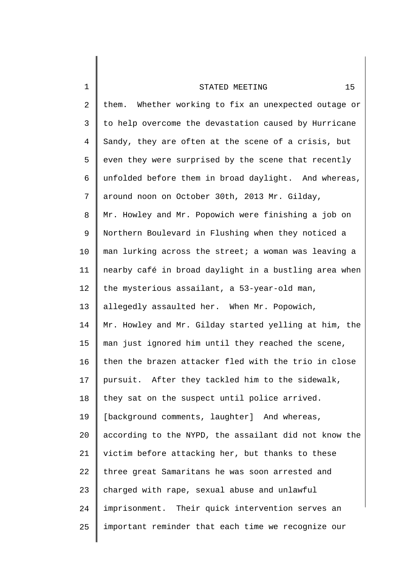| $\mathbf 1$ | 15<br>STATED MEETING                                  |
|-------------|-------------------------------------------------------|
| 2           | them. Whether working to fix an unexpected outage or  |
| 3           | to help overcome the devastation caused by Hurricane  |
| 4           | Sandy, they are often at the scene of a crisis, but   |
| 5           | even they were surprised by the scene that recently   |
| 6           | unfolded before them in broad daylight. And whereas,  |
| 7           | around noon on October 30th, 2013 Mr. Gilday,         |
| 8           | Mr. Howley and Mr. Popowich were finishing a job on   |
| 9           | Northern Boulevard in Flushing when they noticed a    |
| 10          | man lurking across the street; a woman was leaving a  |
| 11          | nearby café in broad daylight in a bustling area when |
| 12          | the mysterious assailant, a 53-year-old man,          |
| 13          | allegedly assaulted her. When Mr. Popowich,           |
| 14          | Mr. Howley and Mr. Gilday started yelling at him, the |
| 15          | man just ignored him until they reached the scene,    |
| 16          | then the brazen attacker fled with the trio in close  |
| 17          | pursuit. After they tackled him to the sidewalk,      |
| 18          | they sat on the suspect until police arrived.         |
| 19          | [background comments, laughter] And whereas,          |
| 20          | according to the NYPD, the assailant did not know the |
| 21          | victim before attacking her, but thanks to these      |
| 22          | three great Samaritans he was soon arrested and       |
| 23          | charged with rape, sexual abuse and unlawful          |
| 24          | imprisonment. Their quick intervention serves an      |
| 25          | important reminder that each time we recognize our    |
|             |                                                       |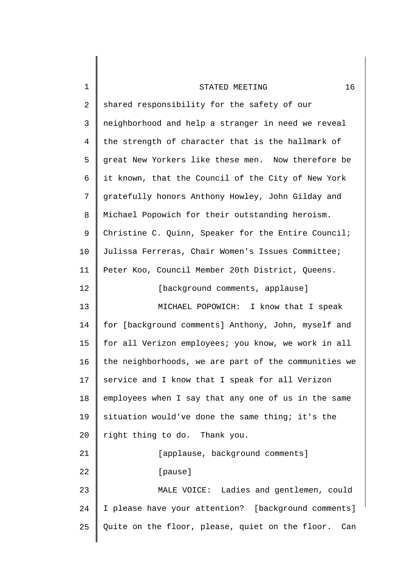| 1  | 16<br>STATED MEETING                                 |
|----|------------------------------------------------------|
| 2  | shared responsibility for the safety of our          |
| 3  | neighborhood and help a stranger in need we reveal   |
| 4  | the strength of character that is the hallmark of    |
| 5  | great New Yorkers like these men. Now therefore be   |
| 6  | it known, that the Council of the City of New York   |
| 7  | gratefully honors Anthony Howley, John Gilday and    |
| 8  | Michael Popowich for their outstanding heroism.      |
| 9  | Christine C. Quinn, Speaker for the Entire Council;  |
| 10 | Julissa Ferreras, Chair Women's Issues Committee;    |
| 11 | Peter Koo, Council Member 20th District, Queens.     |
| 12 | [background comments, applause]                      |
| 13 | MICHAEL POPOWICH: I know that I speak                |
| 14 | for [background comments] Anthony, John, myself and  |
| 15 | for all Verizon employees; you know, we work in all  |
| 16 | the neighborhoods, we are part of the communities we |
| 17 | service and I know that I speak for all Verizon      |
| 18 | employees when I say that any one of us in the same  |
| 19 | situation would've done the same thing; it's the     |
| 20 | right thing to do. Thank you.                        |
| 21 | [applause, background comments]                      |
| 22 | [pause]                                              |
| 23 | MALE VOICE: Ladies and gentlemen, could              |
| 24 | I please have your attention? [background comments]  |
| 25 | Quite on the floor, please, quiet on the floor. Can  |
|    |                                                      |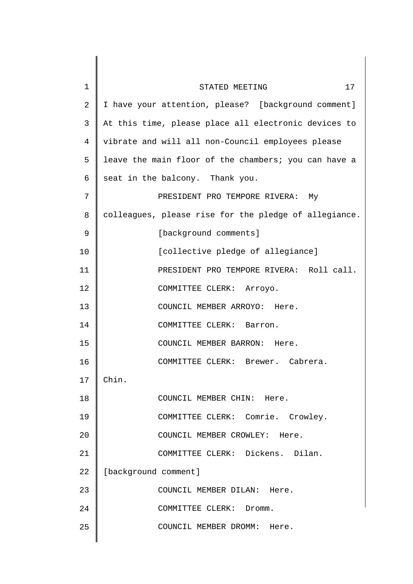| $\mathbf 1$    | 17<br>STATED MEETING                                  |
|----------------|-------------------------------------------------------|
| $\overline{2}$ | I have your attention, please? [background comment]   |
| 3              | At this time, please place all electronic devices to  |
| 4              | vibrate and will all non-Council employees please     |
| 5              | leave the main floor of the chambers; you can have a  |
| 6              | seat in the balcony. Thank you.                       |
| 7              | PRESIDENT PRO TEMPORE RIVERA: My                      |
| 8              | colleagues, please rise for the pledge of allegiance. |
| 9              | [background comments]                                 |
| 10             | [collective pledge of allegiance]                     |
| 11             | PRESIDENT PRO TEMPORE RIVERA: Roll call.              |
| 12             | COMMITTEE CLERK: Arroyo.                              |
| 13             | COUNCIL MEMBER ARROYO: Here.                          |
| 14             | COMMITTEE CLERK: Barron.                              |
| 15             | COUNCIL MEMBER BARRON: Here.                          |
| 16             | COMMITTEE CLERK:<br>Cabrera.<br>Brewer.               |
| 17             | Chin.                                                 |
| 18             | COUNCIL MEMBER CHIN: Here.                            |
| 19             | COMMITTEE CLERK: Comrie. Crowley.                     |
| 20             | COUNCIL MEMBER CROWLEY: Here.                         |
| 21             | COMMITTEE CLERK: Dickens. Dilan.                      |
| 22             | [background comment]                                  |
| 23             | COUNCIL MEMBER DILAN: Here.                           |
| 24             | COMMITTEE CLERK:<br>Dromm.                            |
| 25             | COUNCIL MEMBER DROMM: Here.                           |
|                |                                                       |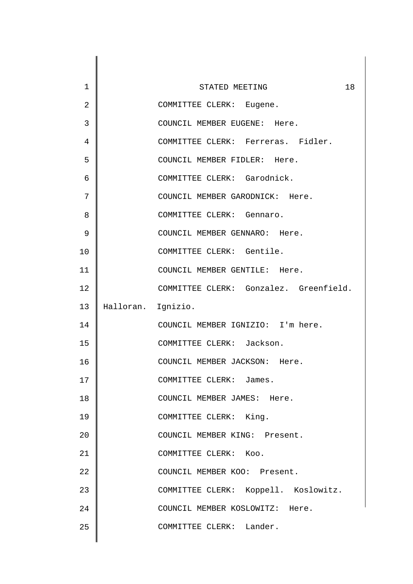| $\mathbf 1$    |                    | 18<br>STATED MEETING                   |
|----------------|--------------------|----------------------------------------|
| $\overline{2}$ |                    | COMMITTEE CLERK: Eugene.               |
| 3              |                    | COUNCIL MEMBER EUGENE: Here.           |
| $\overline{4}$ |                    | COMMITTEE CLERK: Ferreras. Fidler.     |
| 5              |                    | COUNCIL MEMBER FIDLER: Here.           |
| 6              |                    | COMMITTEE CLERK: Garodnick.            |
| 7              |                    | COUNCIL MEMBER GARODNICK: Here.        |
| 8              |                    | COMMITTEE CLERK: Gennaro.              |
| 9              |                    | COUNCIL MEMBER GENNARO: Here.          |
| 10             |                    | COMMITTEE CLERK: Gentile.              |
| 11             |                    | COUNCIL MEMBER GENTILE: Here.          |
| 12             |                    | COMMITTEE CLERK: Gonzalez. Greenfield. |
| 13             | Halloran. Ignizio. |                                        |
| 14             |                    | COUNCIL MEMBER IGNIZIO: I'm here.      |
| 15             |                    | COMMITTEE CLERK: Jackson.              |
| 16             |                    | COUNCIL MEMBER JACKSON: Here.          |
| 17             |                    | COMMITTEE CLERK: James.                |
| 18             |                    | COUNCIL MEMBER JAMES: Here.            |
| 19             |                    | COMMITTEE CLERK: King.                 |
| 20             |                    | COUNCIL MEMBER KING: Present.          |
| 21             |                    | COMMITTEE CLERK: Koo.                  |
| 22             |                    | COUNCIL MEMBER KOO: Present.           |
| 23             |                    | COMMITTEE CLERK: Koppell. Koslowitz.   |
| 24             |                    | COUNCIL MEMBER KOSLOWITZ: Here.        |
| 25             |                    | COMMITTEE CLERK: Lander.               |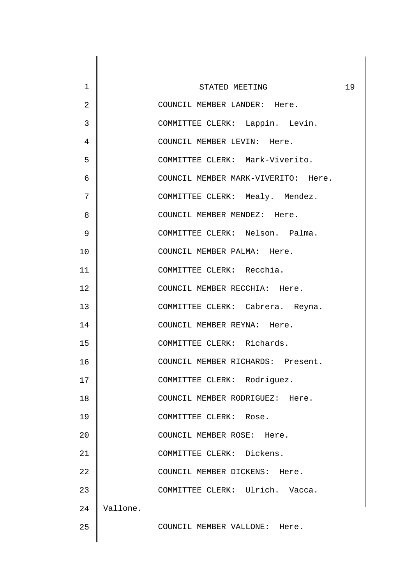| $\mathbf 1$    |          | STATED MEETING                      | 19 |
|----------------|----------|-------------------------------------|----|
| $\overline{2}$ |          | COUNCIL MEMBER LANDER: Here.        |    |
| 3              |          | COMMITTEE CLERK: Lappin. Levin.     |    |
| $\overline{4}$ |          | COUNCIL MEMBER LEVIN: Here.         |    |
| 5              |          | COMMITTEE CLERK: Mark-Viverito.     |    |
| 6              |          | COUNCIL MEMBER MARK-VIVERITO: Here. |    |
| 7              |          | COMMITTEE CLERK: Mealy. Mendez.     |    |
| 8              |          | COUNCIL MEMBER MENDEZ: Here.        |    |
| 9              |          | COMMITTEE CLERK: Nelson. Palma.     |    |
| 10             |          | COUNCIL MEMBER PALMA: Here.         |    |
| 11             |          | COMMITTEE CLERK: Recchia.           |    |
| 12             |          | COUNCIL MEMBER RECCHIA: Here.       |    |
| 13             |          | COMMITTEE CLERK: Cabrera. Reyna.    |    |
| 14             |          | COUNCIL MEMBER REYNA: Here.         |    |
| 15             |          | COMMITTEE CLERK: Richards.          |    |
| 16             |          | COUNCIL MEMBER RICHARDS: Present.   |    |
| 17             |          | COMMITTEE CLERK: Rodriguez.         |    |
| 18             |          | COUNCIL MEMBER RODRIGUEZ: Here.     |    |
| 19             |          | COMMITTEE CLERK: Rose.              |    |
| 20             |          | COUNCIL MEMBER ROSE: Here.          |    |
| 21             |          | COMMITTEE CLERK: Dickens.           |    |
| 22             |          | COUNCIL MEMBER DICKENS: Here.       |    |
| 23             |          | COMMITTEE CLERK: Ulrich. Vacca.     |    |
| 24             | Vallone. |                                     |    |
| 25             |          | COUNCIL MEMBER VALLONE: Here.       |    |
|                |          |                                     |    |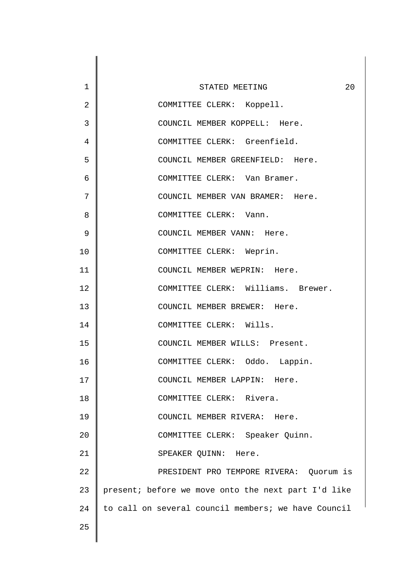| $\mathbf 1$    | 20<br>STATED MEETING                                |
|----------------|-----------------------------------------------------|
| $\overline{2}$ | COMMITTEE CLERK: Koppell.                           |
| 3              | COUNCIL MEMBER KOPPELL: Here.                       |
| 4              | COMMITTEE CLERK: Greenfield.                        |
| 5              | COUNCIL MEMBER GREENFIELD: Here.                    |
| 6              | COMMITTEE CLERK: Van Bramer.                        |
| 7              | COUNCIL MEMBER VAN BRAMER: Here.                    |
| 8              | COMMITTEE CLERK: Vann.                              |
| 9              | COUNCIL MEMBER VANN: Here.                          |
| 10             | COMMITTEE CLERK: Weprin.                            |
| 11             | COUNCIL MEMBER WEPRIN: Here.                        |
| 12             | COMMITTEE CLERK: Williams. Brewer.                  |
| 13             | COUNCIL MEMBER BREWER: Here.                        |
| 14             | COMMITTEE CLERK: Wills.                             |
| 15             | COUNCIL MEMBER WILLS: Present.                      |
| 16             | COMMITTEE CLERK: Oddo. Lappin.                      |
| 17             | COUNCIL MEMBER LAPPIN: Here.                        |
| 18             | COMMITTEE CLERK: Rivera.                            |
| 19             | COUNCIL MEMBER RIVERA: Here.                        |
| 20             | COMMITTEE CLERK: Speaker Quinn.                     |
| 21             | SPEAKER QUINN: Here.                                |
| 22             | PRESIDENT PRO TEMPORE RIVERA: Quorum is             |
| 23             | present; before we move onto the next part I'd like |
| 24             | to call on several council members; we have Council |
| 25             |                                                     |
|                |                                                     |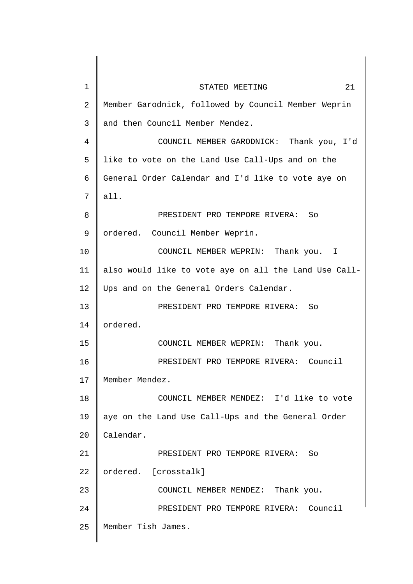| $\mathbf 1$    | 21<br>STATED MEETING                                  |
|----------------|-------------------------------------------------------|
| 2              | Member Garodnick, followed by Council Member Weprin   |
| 3              | and then Council Member Mendez.                       |
| $\overline{4}$ | COUNCIL MEMBER GARODNICK: Thank you, I'd              |
| 5              | like to vote on the Land Use Call-Ups and on the      |
| 6              | General Order Calendar and I'd like to vote aye on    |
| 7              | all.                                                  |
| 8              | PRESIDENT PRO TEMPORE RIVERA:<br>So                   |
| 9              | ordered. Council Member Weprin.                       |
| 10             | COUNCIL MEMBER WEPRIN: Thank you. I                   |
| 11             | also would like to vote aye on all the Land Use Call- |
| 12             | Ups and on the General Orders Calendar.               |
| 13             | PRESIDENT PRO TEMPORE RIVERA:<br>So                   |
| 14             | ordered.                                              |
| 15             | COUNCIL MEMBER WEPRIN: Thank you.                     |
| 16             | PRESIDENT PRO TEMPORE RIVERA:<br>Council              |
| 17             | Member Mendez.                                        |
| 18             | COUNCIL MEMBER MENDEZ: I'd like to vote               |
| 19             | aye on the Land Use Call-Ups and the General Order    |
| 20             | Calendar.                                             |
| 21             | PRESIDENT PRO TEMPORE RIVERA:<br>So                   |
| 22             | ordered. [crosstalk]                                  |
| 23             | COUNCIL MEMBER MENDEZ: Thank you.                     |
| 24             | PRESIDENT PRO TEMPORE RIVERA: Council                 |
| 25             | Member Tish James.                                    |
|                |                                                       |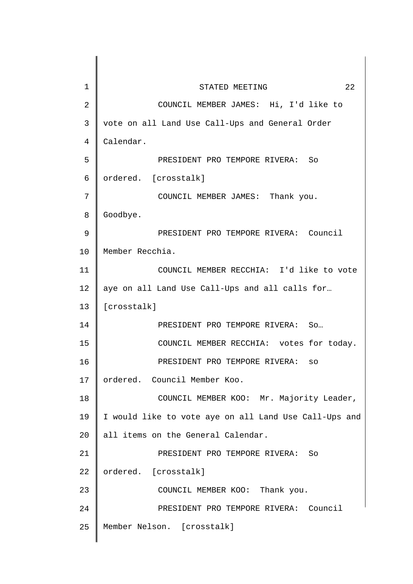| 1              | 22<br>STATED MEETING                                  |
|----------------|-------------------------------------------------------|
| $\overline{2}$ | COUNCIL MEMBER JAMES: Hi, I'd like to                 |
| 3              | vote on all Land Use Call-Ups and General Order       |
| 4              | Calendar.                                             |
| 5              | PRESIDENT PRO TEMPORE RIVERA: So                      |
| 6              | ordered. [crosstalk]                                  |
| 7              | COUNCIL MEMBER JAMES: Thank you.                      |
| 8              | Goodbye.                                              |
| 9              | PRESIDENT PRO TEMPORE RIVERA: Council                 |
| 10             | Member Recchia.                                       |
| 11             | COUNCIL MEMBER RECCHIA: I'd like to vote              |
| 12             | aye on all Land Use Call-Ups and all calls for        |
| 13             | [crosstalk]                                           |
| 14             | PRESIDENT PRO TEMPORE RIVERA: So                      |
| 15             | COUNCIL MEMBER RECCHIA: votes for today.              |
| 16             | PRESIDENT PRO TEMPORE RIVERA: so                      |
| 17             | ordered. Council Member Koo.                          |
| 18             | COUNCIL MEMBER KOO: Mr. Majority Leader,              |
| 19             | I would like to vote aye on all Land Use Call-Ups and |
| 20             | all items on the General Calendar.                    |
| 21             | PRESIDENT PRO TEMPORE RIVERA: So                      |
| 22             | ordered. [crosstalk]                                  |
| 23             | COUNCIL MEMBER KOO: Thank you.                        |
| 24             | PRESIDENT PRO TEMPORE RIVERA: Council                 |
| 25             | Member Nelson. [crosstalk]                            |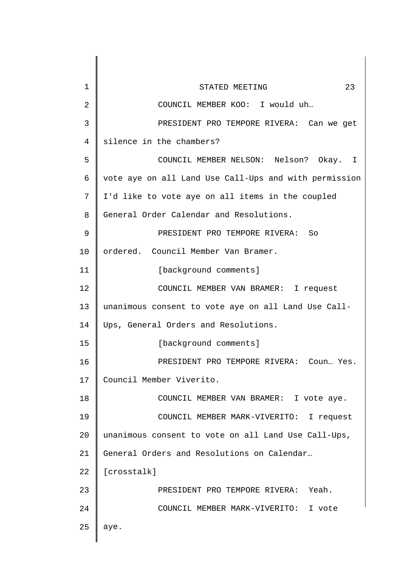| 1  | 23<br>STATED MEETING                                  |
|----|-------------------------------------------------------|
| 2  | COUNCIL MEMBER KOO: I would uh                        |
| 3  | PRESIDENT PRO TEMPORE RIVERA: Can we get              |
| 4  | silence in the chambers?                              |
| 5  | COUNCIL MEMBER NELSON: Nelson? Okay. I                |
| 6  | vote aye on all Land Use Call-Ups and with permission |
| 7  | I'd like to vote aye on all items in the coupled      |
| 8  | General Order Calendar and Resolutions.               |
| 9  | PRESIDENT PRO TEMPORE RIVERA: So                      |
| 10 | ordered. Council Member Van Bramer.                   |
| 11 | [background comments]                                 |
| 12 | COUNCIL MEMBER VAN BRAMER: I request                  |
| 13 | unanimous consent to vote aye on all Land Use Call-   |
| 14 | Ups, General Orders and Resolutions.                  |
| 15 | [background comments]                                 |
| 16 | PRESIDENT PRO TEMPORE RIVERA: Coun Yes.               |
| 17 | Council Member Viverito.                              |
| 18 | COUNCIL MEMBER VAN BRAMER: I vote aye.                |
| 19 | COUNCIL MEMBER MARK-VIVERITO: I request               |
| 20 | unanimous consent to vote on all Land Use Call-Ups,   |
| 21 | General Orders and Resolutions on Calendar            |
| 22 | [crosstalk]                                           |
| 23 | PRESIDENT PRO TEMPORE RIVERA: Yeah.                   |
| 24 | COUNCIL MEMBER MARK-VIVERITO: I vote                  |
| 25 | aye.                                                  |
|    |                                                       |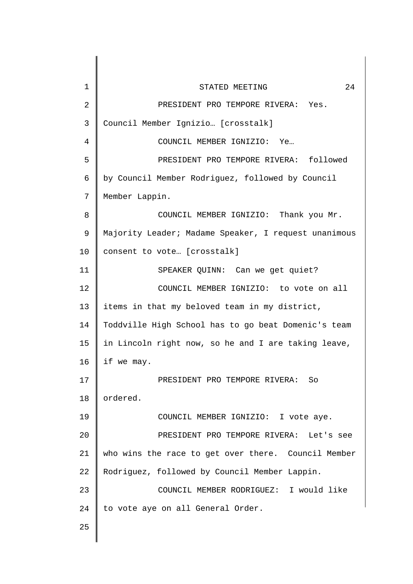| $\mathbf 1$  | 24<br>STATED MEETING                                 |
|--------------|------------------------------------------------------|
| $\sqrt{2}$   | PRESIDENT PRO TEMPORE RIVERA: Yes.                   |
| $\mathsf{3}$ | Council Member Ignizio [crosstalk]                   |
| 4            | COUNCIL MEMBER IGNIZIO: Ye                           |
| 5            | PRESIDENT PRO TEMPORE RIVERA: followed               |
| 6            | by Council Member Rodriguez, followed by Council     |
| 7            | Member Lappin.                                       |
| 8            | COUNCIL MEMBER IGNIZIO: Thank you Mr.                |
| 9            | Majority Leader; Madame Speaker, I request unanimous |
| 10           | consent to vote [crosstalk]                          |
| 11           | SPEAKER QUINN: Can we get quiet?                     |
| 12           | COUNCIL MEMBER IGNIZIO: to vote on all               |
| 13           | items in that my beloved team in my district,        |
| 14           | Toddville High School has to go beat Domenic's team  |
| 15           | in Lincoln right now, so he and I are taking leave,  |
| 16           | if we may.                                           |
| 17           | PRESIDENT PRO TEMPORE RIVERA: So                     |
| 18           | ordered.                                             |
| 19           | COUNCIL MEMBER IGNIZIO: I vote aye.                  |
| 20           | PRESIDENT PRO TEMPORE RIVERA: Let's see              |
| 21           | who wins the race to get over there. Council Member  |
| 22           | Rodriguez, followed by Council Member Lappin.        |
| 23           | COUNCIL MEMBER RODRIGUEZ: I would like               |
| 24           | to vote aye on all General Order.                    |
| 25           |                                                      |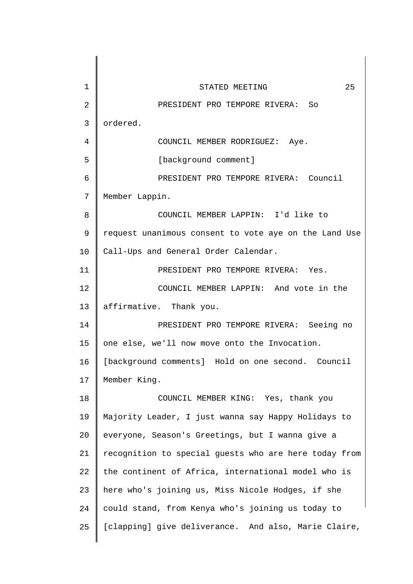| $\mathbf 1$    | 25<br>STATED MEETING                                  |
|----------------|-------------------------------------------------------|
| $\overline{2}$ | PRESIDENT PRO TEMPORE RIVERA: So                      |
| 3              | ordered.                                              |
| 4              | COUNCIL MEMBER RODRIGUEZ: Aye.                        |
| 5              | [background comment]                                  |
| 6              | PRESIDENT PRO TEMPORE RIVERA: Council                 |
| 7              | Member Lappin.                                        |
| 8              | COUNCIL MEMBER LAPPIN: I'd like to                    |
| 9              | request unanimous consent to vote aye on the Land Use |
| 10             | Call-Ups and General Order Calendar.                  |
| 11             | PRESIDENT PRO TEMPORE RIVERA: Yes.                    |
| 12             | COUNCIL MEMBER LAPPIN: And vote in the                |
| 13             | affirmative. Thank you.                               |
| 14             | PRESIDENT PRO TEMPORE RIVERA: Seeing no               |
| 15             | one else, we'll now move onto the Invocation.         |
| 16             | [background comments] Hold on one second. Council     |
| 17             | Member King.                                          |
| 18             | COUNCIL MEMBER KING: Yes, thank you                   |
| 19             | Majority Leader, I just wanna say Happy Holidays to   |
| 20             | everyone, Season's Greetings, but I wanna give a      |
| 21             | recognition to special guests who are here today from |
| 22             | the continent of Africa, international model who is   |
| 23             | here who's joining us, Miss Nicole Hodges, if she     |
| 24             | could stand, from Kenya who's joining us today to     |
| 25             | [clapping] give deliverance. And also, Marie Claire,  |
|                |                                                       |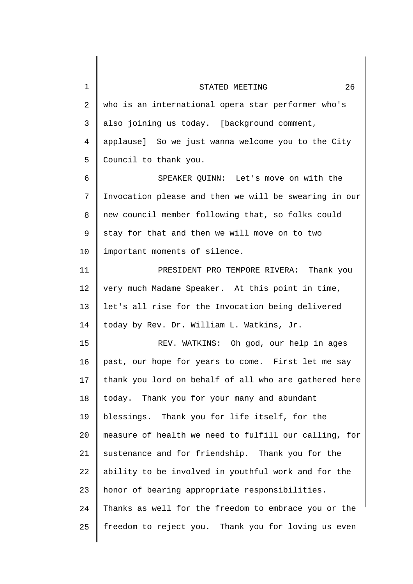1 2 3 4 5 6 7 8 9 10 11 12 13 14 15 16 17 18 19 20 21 22 23 24 25 STATED MEETING 26 who is an international opera star performer who's also joining us today. [background comment, applause] So we just wanna welcome you to the City Council to thank you. SPEAKER QUINN: Let's move on with the Invocation please and then we will be swearing in our new council member following that, so folks could stay for that and then we will move on to two important moments of silence. PRESIDENT PRO TEMPORE RIVERA: Thank you very much Madame Speaker. At this point in time, let's all rise for the Invocation being delivered today by Rev. Dr. William L. Watkins, Jr. REV. WATKINS: Oh god, our help in ages past, our hope for years to come. First let me say thank you lord on behalf of all who are gathered here today. Thank you for your many and abundant blessings. Thank you for life itself, for the measure of health we need to fulfill our calling, for sustenance and for friendship. Thank you for the ability to be involved in youthful work and for the honor of bearing appropriate responsibilities. Thanks as well for the freedom to embrace you or the freedom to reject you. Thank you for loving us even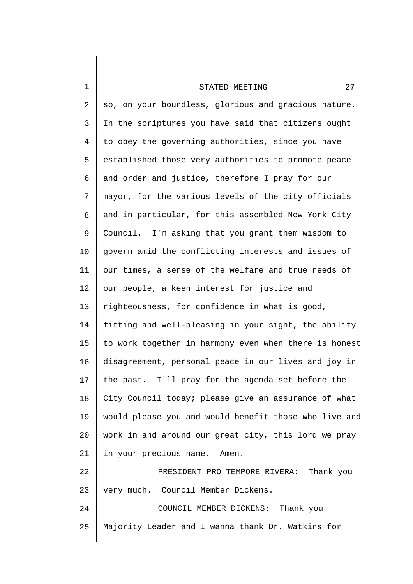| $\mathbf 1$ | 27<br>STATED MEETING                                  |
|-------------|-------------------------------------------------------|
| 2           | so, on your boundless, glorious and gracious nature.  |
| 3           | In the scriptures you have said that citizens ought   |
| 4           | to obey the governing authorities, since you have     |
| 5           | established those very authorities to promote peace   |
| 6           | and order and justice, therefore I pray for our       |
| 7           | mayor, for the various levels of the city officials   |
| 8           | and in particular, for this assembled New York City   |
| 9           | Council. I'm asking that you grant them wisdom to     |
| 10          | govern amid the conflicting interests and issues of   |
| 11          | our times, a sense of the welfare and true needs of   |
| 12          | our people, a keen interest for justice and           |
| 13          | righteousness, for confidence in what is good,        |
| 14          | fitting and well-pleasing in your sight, the ability  |
| 15          | to work together in harmony even when there is honest |
| 16          | disagreement, personal peace in our lives and joy in  |
| 17          | the past. I'll pray for the agenda set before the     |
| 18          | City Council today; please give an assurance of what  |
| 19          | would please you and would benefit those who live and |
| 20          | work in and around our great city, this lord we pray  |
| 21          | in your precious name. Amen.                          |
| 22          | PRESIDENT PRO TEMPORE RIVERA: Thank you               |
| 23          | very much. Council Member Dickens.                    |
| 24          | COUNCIL MEMBER DICKENS: Thank you                     |
| 25          | Majority Leader and I wanna thank Dr. Watkins for     |
|             |                                                       |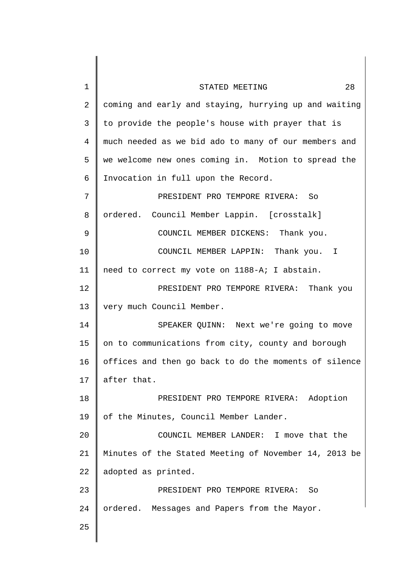| $\mathbf 1$    | 28<br>STATED MEETING                                  |
|----------------|-------------------------------------------------------|
| $\overline{2}$ | coming and early and staying, hurrying up and waiting |
| $\mathsf{3}$   | to provide the people's house with prayer that is     |
| $\overline{4}$ | much needed as we bid ado to many of our members and  |
| 5              | we welcome new ones coming in. Motion to spread the   |
| 6              | Invocation in full upon the Record.                   |
| 7              | PRESIDENT PRO TEMPORE RIVERA: So                      |
| 8              | ordered. Council Member Lappin. [crosstalk]           |
| 9              | COUNCIL MEMBER DICKENS: Thank you.                    |
| 10             | COUNCIL MEMBER LAPPIN: Thank you. I                   |
| 11             | need to correct my vote on 1188-A; I abstain.         |
| 12             | PRESIDENT PRO TEMPORE RIVERA: Thank you               |
| 13             | very much Council Member.                             |
| 14             | SPEAKER QUINN: Next we're going to move               |
| 15             | on to communications from city, county and borough    |
| 16             | offices and then go back to do the moments of silence |
| 17             | after that.                                           |
| 18             | PRESIDENT PRO TEMPORE RIVERA: Adoption                |
| 19             | of the Minutes, Council Member Lander.                |
| 20             | COUNCIL MEMBER LANDER: I move that the                |
| 21             | Minutes of the Stated Meeting of November 14, 2013 be |
| 22             | adopted as printed.                                   |
| 23             | PRESIDENT PRO TEMPORE RIVERA:<br>So                   |
| 24             | ordered. Messages and Papers from the Mayor.          |
| 25             |                                                       |
|                |                                                       |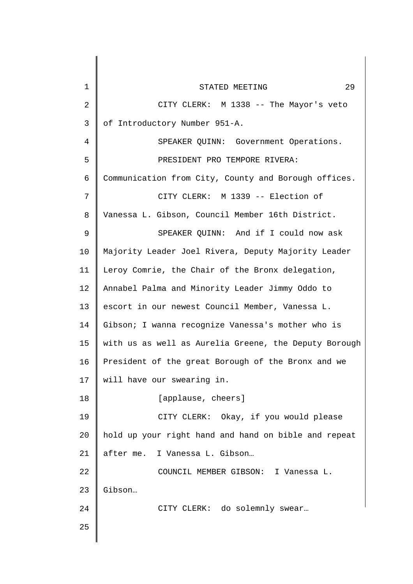| $\mathbf 1$ | 29<br>STATED MEETING                                  |
|-------------|-------------------------------------------------------|
| 2           | CITY CLERK: M 1338 -- The Mayor's veto                |
| 3           | of Introductory Number 951-A.                         |
| 4           | SPEAKER QUINN: Government Operations.                 |
| 5           | PRESIDENT PRO TEMPORE RIVERA:                         |
| 6           | Communication from City, County and Borough offices.  |
| 7           | CITY CLERK: M 1339 -- Election of                     |
| 8           | Vanessa L. Gibson, Council Member 16th District.      |
| 9           | SPEAKER QUINN: And if I could now ask                 |
| 10          | Majority Leader Joel Rivera, Deputy Majority Leader   |
| 11          | Leroy Comrie, the Chair of the Bronx delegation,      |
| 12          | Annabel Palma and Minority Leader Jimmy Oddo to       |
| 13          | escort in our newest Council Member, Vanessa L.       |
| 14          | Gibson; I wanna recognize Vanessa's mother who is     |
| 15          | with us as well as Aurelia Greene, the Deputy Borough |
| 16          | President of the great Borough of the Bronx and we    |
| 17          | will have our swearing in.                            |
| 18          | [applause, cheers]                                    |
| 19          | CITY CLERK: Okay, if you would please                 |
| 20          | hold up your right hand and hand on bible and repeat  |
| 21          | after me. I Vanessa L. Gibson                         |
| 22          | COUNCIL MEMBER GIBSON: I Vanessa L.                   |
| 23          | Gibson                                                |
| 24          | CITY CLERK: do solemnly swear                         |
| 25          |                                                       |
|             |                                                       |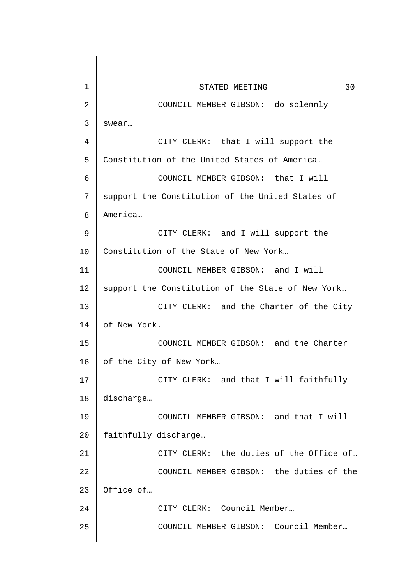| 1  | 30<br>STATED MEETING                              |
|----|---------------------------------------------------|
| 2  | COUNCIL MEMBER GIBSON: do solemnly                |
| 3  | swear                                             |
| 4  | CITY CLERK: that I will support the               |
| 5  | Constitution of the United States of America      |
| 6  | COUNCIL MEMBER GIBSON: that I will                |
| 7  | support the Constitution of the United States of  |
| 8  | America                                           |
| 9  | CITY CLERK: and I will support the                |
| 10 | Constitution of the State of New York             |
| 11 | COUNCIL MEMBER GIBSON: and I will                 |
| 12 | support the Constitution of the State of New York |
| 13 | CITY CLERK: and the Charter of the City           |
| 14 | of New York.                                      |
| 15 | COUNCIL MEMBER GIBSON: and the Charter            |
| 16 | of the City of New York…                          |
| 17 | CITY CLERK: and that I will faithfully            |
| 18 | discharge                                         |
| 19 | COUNCIL MEMBER GIBSON: and that I will            |
| 20 | faithfully discharge                              |
| 21 | CITY CLERK: the duties of the Office of           |
| 22 | COUNCIL MEMBER GIBSON: the duties of the          |
| 23 | Office of                                         |
| 24 | CITY CLERK: Council Member                        |
| 25 | COUNCIL MEMBER GIBSON: Council Member             |
|    |                                                   |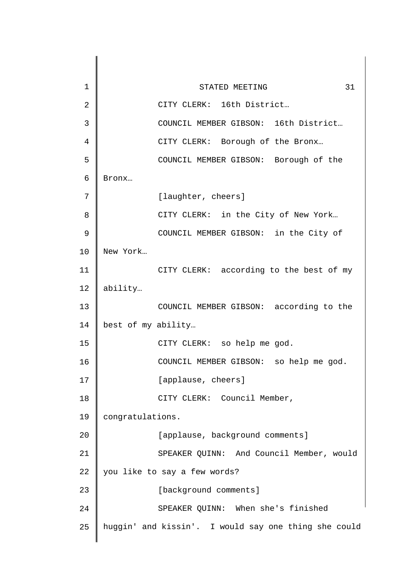1 2 3 4 5 6 7 8 9 10 11 12 13 14 15 16 17 18 19 20 21 22 23 24 25 STATED MEETING 31 CITY CLERK: 16th District… COUNCIL MEMBER GIBSON: 16th District… CITY CLERK: Borough of the Bronx… COUNCIL MEMBER GIBSON: Borough of the Bronx… [laughter, cheers] CITY CLERK: in the City of New York… COUNCIL MEMBER GIBSON: in the City of New York… CITY CLERK: according to the best of my ability… COUNCIL MEMBER GIBSON: according to the best of my ability… CITY CLERK: so help me god. COUNCIL MEMBER GIBSON: so help me god. [applause, cheers] CITY CLERK: Council Member, congratulations. [applause, background comments] SPEAKER QUINN: And Council Member, would you like to say a few words? [background comments] SPEAKER QUINN: When she's finished huggin' and kissin'. I would say one thing she could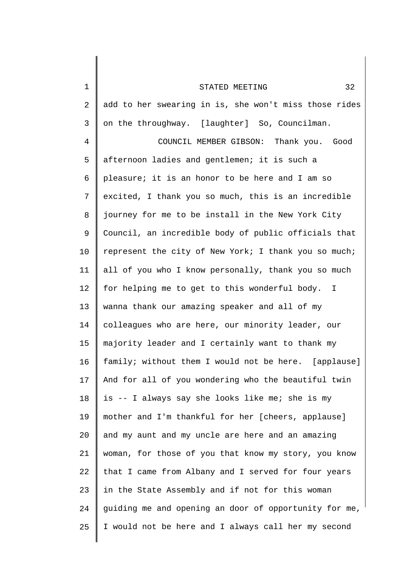| 1              | 32<br>STATED MEETING                                          |
|----------------|---------------------------------------------------------------|
| $\overline{2}$ | add to her swearing in is, she won't miss those rides         |
| 3              | on the throughway. [laughter] So, Councilman.                 |
| 4              | COUNCIL MEMBER GIBSON: Thank you. Good                        |
| 5              | afternoon ladies and gentlemen; it is such a                  |
| 6              | pleasure; it is an honor to be here and I am so               |
| 7              | excited, I thank you so much, this is an incredible           |
| 8              | journey for me to be install in the New York City             |
| 9              | Council, an incredible body of public officials that          |
| 10             | represent the city of New York; I thank you so much;          |
| 11             | all of you who I know personally, thank you so much           |
| 12             | for helping me to get to this wonderful body.<br>$\mathbb{I}$ |
| 13             | wanna thank our amazing speaker and all of my                 |
| 14             | colleagues who are here, our minority leader, our             |
| 15             | majority leader and I certainly want to thank my              |
| 16             | family; without them I would not be here. [applause]          |
| 17             | And for all of you wondering who the beautiful twin           |
| 18             | is -- I always say she looks like me; she is my               |
| 19             | mother and I'm thankful for her [cheers, applause]            |
| 20             | and my aunt and my uncle are here and an amazing              |
| 21             | woman, for those of you that know my story, you know          |
| 22             | that I came from Albany and I served for four years           |
| 23             | in the State Assembly and if not for this woman               |
| 24             | guiding me and opening an door of opportunity for me,         |
| 25             | I would not be here and I always call her my second           |
|                |                                                               |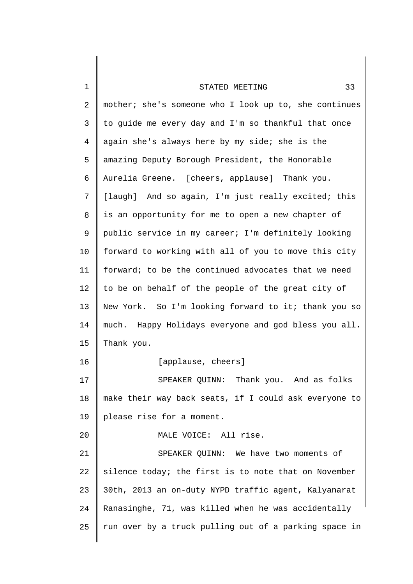| 1              | 33<br>STATED MEETING                                  |
|----------------|-------------------------------------------------------|
| $\overline{2}$ | mother; she's someone who I look up to, she continues |
| 3              | to guide me every day and I'm so thankful that once   |
| $\overline{4}$ | again she's always here by my side; she is the        |
| 5              | amazing Deputy Borough President, the Honorable       |
| б              | Aurelia Greene. [cheers, applause] Thank you.         |
| 7              | [laugh] And so again, I'm just really excited; this   |
| 8              | is an opportunity for me to open a new chapter of     |
| 9              | public service in my career; I'm definitely looking   |
| 10             | forward to working with all of you to move this city  |
| 11             | forward; to be the continued advocates that we need   |
| 12             | to be on behalf of the people of the great city of    |
| 13             | New York. So I'm looking forward to it; thank you so  |
| 14             | much. Happy Holidays everyone and god bless you all.  |
| 15             | Thank you.                                            |
| 16             | [applause, cheers]                                    |
| 17             | SPEAKER QUINN: Thank you. And as folks                |
| 18             | make their way back seats, if I could ask everyone to |
| 19             | please rise for a moment.                             |
| 20             | MALE VOICE: All rise.                                 |
| 21             | SPEAKER QUINN: We have two moments of                 |
| 22             | silence today; the first is to note that on November  |
| 23             | 30th, 2013 an on-duty NYPD traffic agent, Kalyanarat  |
| 24             | Ranasinghe, 71, was killed when he was accidentally   |
| 25             | run over by a truck pulling out of a parking space in |

 $\begin{array}{c} \hline \end{array}$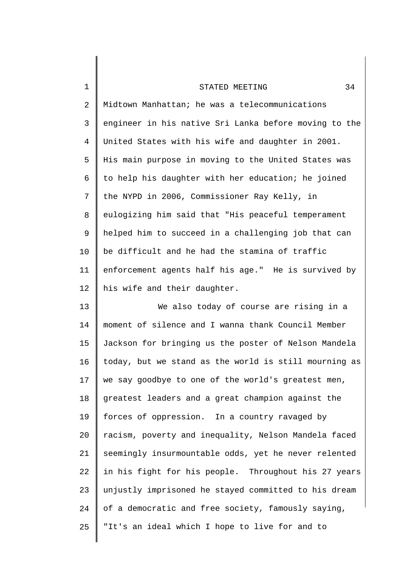| 1  | 34<br>STATED MEETING                                  |
|----|-------------------------------------------------------|
| 2  | Midtown Manhattan; he was a telecommunications        |
| 3  | engineer in his native Sri Lanka before moving to the |
| 4  | United States with his wife and daughter in 2001.     |
| 5  | His main purpose in moving to the United States was   |
| 6  | to help his daughter with her education; he joined    |
| 7  | the NYPD in 2006, Commissioner Ray Kelly, in          |
| 8  | eulogizing him said that "His peaceful temperament    |
| 9  | helped him to succeed in a challenging job that can   |
| 10 | be difficult and he had the stamina of traffic        |
| 11 | enforcement agents half his age." He is survived by   |
| 12 | his wife and their daughter.                          |
| 13 | We also today of course are rising in a               |
| 14 | moment of silence and I wanna thank Council Member    |
| 15 | Jackson for bringing us the poster of Nelson Mandela  |
| 16 | today, but we stand as the world is still mourning as |
| 17 | we say goodbye to one of the world's greatest men,    |
| 18 | greatest leaders and a great champion against the     |
| 19 | forces of oppression. In a country ravaged by         |
| 20 | racism, poverty and inequality, Nelson Mandela faced  |
| 21 | seemingly insurmountable odds, yet he never relented  |
| 22 | in his fight for his people. Throughout his 27 years  |
| 23 | unjustly imprisoned he stayed committed to his dream  |
| 24 | of a democratic and free society, famously saying,    |
| 25 | "It's an ideal which I hope to live for and to        |
|    |                                                       |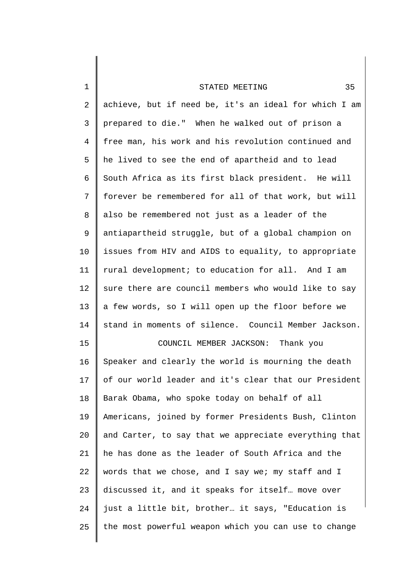| 1              | 35<br>STATED MEETING                                  |
|----------------|-------------------------------------------------------|
| $\overline{2}$ | achieve, but if need be, it's an ideal for which I am |
| 3              | prepared to die." When he walked out of prison a      |
| 4              | free man, his work and his revolution continued and   |
| 5              | he lived to see the end of apartheid and to lead      |
| 6              | South Africa as its first black president. He will    |
| 7              | forever be remembered for all of that work, but will  |
| 8              | also be remembered not just as a leader of the        |
| 9              | antiapartheid struggle, but of a global champion on   |
| 10             | issues from HIV and AIDS to equality, to appropriate  |
| 11             | rural development; to education for all. And I am     |
| 12             | sure there are council members who would like to say  |
| 13             | a few words, so I will open up the floor before we    |
| 14             | stand in moments of silence. Council Member Jackson.  |
| 15             | COUNCIL MEMBER JACKSON: Thank you                     |
| 16             | Speaker and clearly the world is mourning the death   |
| 17             | of our world leader and it's clear that our President |
| 18             | Barak Obama, who spoke today on behalf of all         |
| 19             | Americans, joined by former Presidents Bush, Clinton  |
| 20             | and Carter, to say that we appreciate everything that |
| 21             | he has done as the leader of South Africa and the     |
| 22             | words that we chose, and I say we; my staff and I     |
| 23             | discussed it, and it speaks for itself move over      |
| 24             | just a little bit, brother it says, "Education is     |
| 25             | the most powerful weapon which you can use to change  |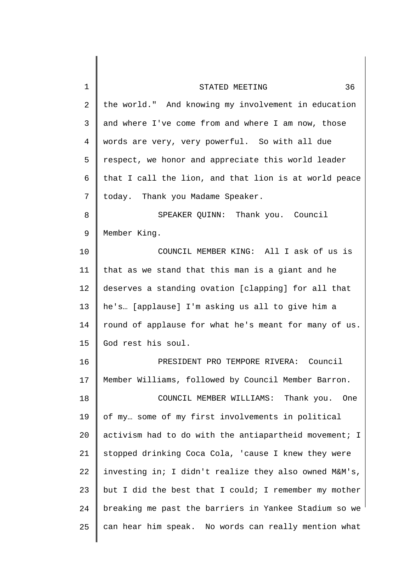| 1              | 36<br>STATED MEETING                                  |
|----------------|-------------------------------------------------------|
| $\overline{2}$ | the world." And knowing my involvement in education   |
| 3              | and where I've come from and where I am now, those    |
| 4              | words are very, very powerful. So with all due        |
| 5              | respect, we honor and appreciate this world leader    |
| 6              | that I call the lion, and that lion is at world peace |
| 7              | today. Thank you Madame Speaker.                      |
| 8              | SPEAKER QUINN: Thank you. Council                     |
| 9              | Member King.                                          |
| 10             | COUNCIL MEMBER KING: All I ask of us is               |
| 11             | that as we stand that this man is a giant and he      |
| 12             | deserves a standing ovation [clapping] for all that   |
| 13             | he's [applause] I'm asking us all to give him a       |
| 14             | round of applause for what he's meant for many of us. |
| 15             | God rest his soul.                                    |
| 16             | PRESIDENT PRO TEMPORE RIVERA:<br>Council              |
| 17             | Member Williams, followed by Council Member Barron.   |
| 18             | COUNCIL MEMBER WILLIAMS:<br>Thank you. One            |
| 19             | of my some of my first involvements in political      |
| 20             | activism had to do with the antiapartheid movement; I |
| 21             | stopped drinking Coca Cola, 'cause I knew they were   |
| 22             | investing in; I didn't realize they also owned M&M's, |
| 23             | but I did the best that I could; I remember my mother |
| 24             | breaking me past the barriers in Yankee Stadium so we |
| 25             | can hear him speak. No words can really mention what  |
|                |                                                       |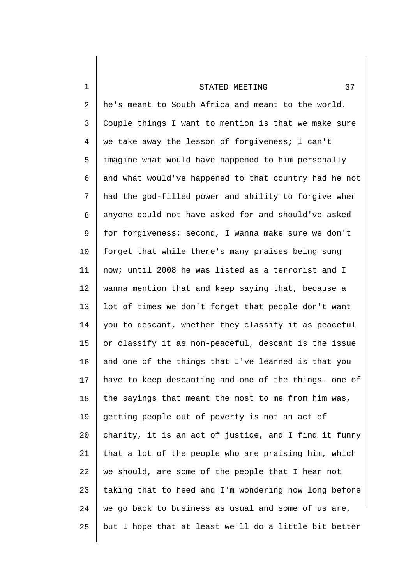| $\mathbf 1$    | 37<br>STATED MEETING                                  |  |
|----------------|-------------------------------------------------------|--|
| $\overline{2}$ | he's meant to South Africa and meant to the world.    |  |
| 3              | Couple things I want to mention is that we make sure  |  |
| 4              | we take away the lesson of forgiveness; I can't       |  |
| 5              | imagine what would have happened to him personally    |  |
| 6              | and what would've happened to that country had he not |  |
| 7              | had the god-filled power and ability to forgive when  |  |
| 8              | anyone could not have asked for and should've asked   |  |
| 9              | for forgiveness; second, I wanna make sure we don't   |  |
| 10             | forget that while there's many praises being sung     |  |
| 11             | now; until 2008 he was listed as a terrorist and I    |  |
| 12             | wanna mention that and keep saying that, because a    |  |
| 13             | lot of times we don't forget that people don't want   |  |
| 14             | you to descant, whether they classify it as peaceful  |  |
| 15             | or classify it as non-peaceful, descant is the issue  |  |
| 16             | and one of the things that I've learned is that you   |  |
| 17             | have to keep descanting and one of the things one of  |  |
| 18             | the sayings that meant the most to me from him was,   |  |
| 19             | getting people out of poverty is not an act of        |  |
| 20             | charity, it is an act of justice, and I find it funny |  |
| 21             | that a lot of the people who are praising him, which  |  |
| 22             | we should, are some of the people that I hear not     |  |
| 23             | taking that to heed and I'm wondering how long before |  |
| 24             | we go back to business as usual and some of us are,   |  |
| 25             | but I hope that at least we'll do a little bit better |  |
|                |                                                       |  |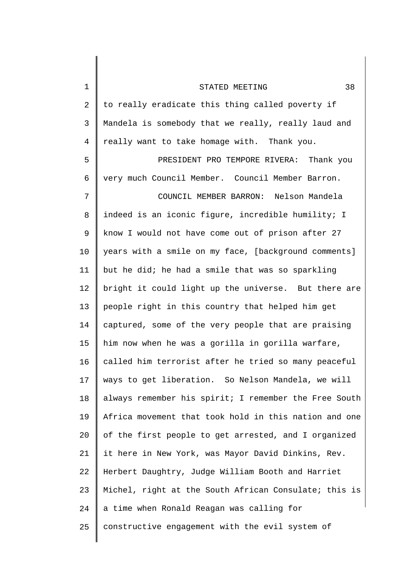| 1              | 38<br>STATED MEETING                                  |
|----------------|-------------------------------------------------------|
| $\overline{2}$ | to really eradicate this thing called poverty if      |
| 3              | Mandela is somebody that we really, really laud and   |
| 4              | really want to take homage with. Thank you.           |
| 5              | PRESIDENT PRO TEMPORE RIVERA: Thank you               |
| 6              | very much Council Member. Council Member Barron.      |
| 7              | COUNCIL MEMBER BARRON: Nelson Mandela                 |
| 8              | indeed is an iconic figure, incredible humility; I    |
| 9              | know I would not have come out of prison after 27     |
| 10             | years with a smile on my face, [background comments]  |
| 11             | but he did; he had a smile that was so sparkling      |
| 12             | bright it could light up the universe. But there are  |
| 13             | people right in this country that helped him get      |
| 14             | captured, some of the very people that are praising   |
| 15             | him now when he was a gorilla in gorilla warfare,     |
| 16             | called him terrorist after he tried so many peaceful  |
| 17             | ways to get liberation. So Nelson Mandela, we will    |
| 18             | always remember his spirit; I remember the Free South |
| 19             | Africa movement that took hold in this nation and one |
| 20             | of the first people to get arrested, and I organized  |
| 21             | it here in New York, was Mayor David Dinkins, Rev.    |
| 22             | Herbert Daughtry, Judge William Booth and Harriet     |
| 23             | Michel, right at the South African Consulate; this is |
| 24             | a time when Ronald Reagan was calling for             |
| 25             | constructive engagement with the evil system of       |
|                |                                                       |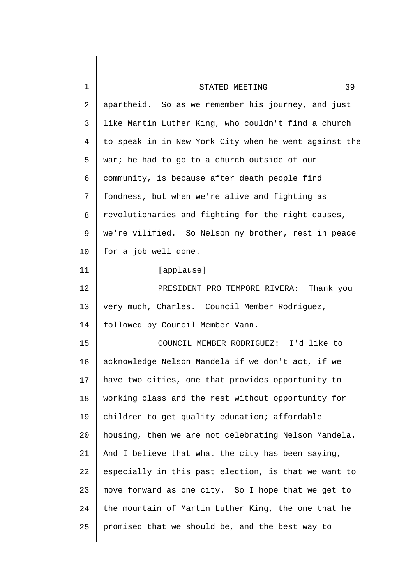| $\mathbf 1$    | 39<br>STATED MEETING                                  |  |  |  |
|----------------|-------------------------------------------------------|--|--|--|
| 2              | apartheid. So as we remember his journey, and just    |  |  |  |
| 3              | like Martin Luther King, who couldn't find a church   |  |  |  |
| $\overline{4}$ | to speak in in New York City when he went against the |  |  |  |
| 5              | war; he had to go to a church outside of our          |  |  |  |
| 6              | community, is because after death people find         |  |  |  |
| 7              | fondness, but when we're alive and fighting as        |  |  |  |
| 8              | revolutionaries and fighting for the right causes,    |  |  |  |
| 9              | we're vilified. So Nelson my brother, rest in peace   |  |  |  |
| 10             | for a job well done.                                  |  |  |  |
| 11             | [applause]                                            |  |  |  |
| 12             | PRESIDENT PRO TEMPORE RIVERA: Thank you               |  |  |  |
| 13             | very much, Charles. Council Member Rodriguez,         |  |  |  |
| 14             | followed by Council Member Vann.                      |  |  |  |
| 15             | COUNCIL MEMBER RODRIGUEZ: I'd like to                 |  |  |  |
| 16             | acknowledge Nelson Mandela if we don't act, if we     |  |  |  |
| 17             | have two cities, one that provides opportunity to     |  |  |  |
| 18             | working class and the rest without opportunity for    |  |  |  |
| 19             | children to get quality education; affordable         |  |  |  |
| 20             | housing, then we are not celebrating Nelson Mandela.  |  |  |  |
| 21             | And I believe that what the city has been saying,     |  |  |  |
| 22             | especially in this past election, is that we want to  |  |  |  |
| 23             | move forward as one city. So I hope that we get to    |  |  |  |
| 24             | the mountain of Martin Luther King, the one that he   |  |  |  |
| 25             | promised that we should be, and the best way to       |  |  |  |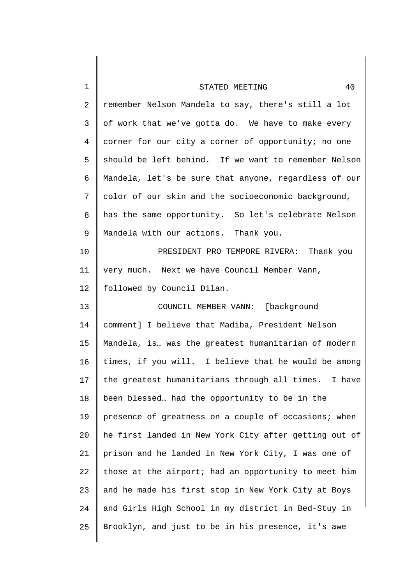| 1              | 40<br>STATED MEETING                                  |
|----------------|-------------------------------------------------------|
| $\overline{2}$ | remember Nelson Mandela to say, there's still a lot   |
| 3              | of work that we've gotta do. We have to make every    |
| 4              | corner for our city a corner of opportunity; no one   |
| 5              | should be left behind. If we want to remember Nelson  |
| 6              | Mandela, let's be sure that anyone, regardless of our |
| 7              | color of our skin and the socioeconomic background,   |
| 8              | has the same opportunity. So let's celebrate Nelson   |
| 9              | Mandela with our actions. Thank you.                  |
| 10             | PRESIDENT PRO TEMPORE RIVERA: Thank you               |
| 11             | very much. Next we have Council Member Vann,          |
| 12             | followed by Council Dilan.                            |
| 13             | COUNCIL MEMBER VANN: [background                      |
| 14             | comment] I believe that Madiba, President Nelson      |
| 15             | Mandela, is was the greatest humanitarian of modern   |
| 16             | times, if you will. I believe that he would be among  |
| 17             | the greatest humanitarians through all times. I have  |
| 18             | been blessed had the opportunity to be in the         |
| 19             | presence of greatness on a couple of occasions; when  |
| 20             | he first landed in New York City after getting out of |
| 21             | prison and he landed in New York City, I was one of   |
| 22             | those at the airport; had an opportunity to meet him  |
| 23             | and he made his first stop in New York City at Boys   |
| 24             | and Girls High School in my district in Bed-Stuy in   |
| 25             | Brooklyn, and just to be in his presence, it's awe    |
|                |                                                       |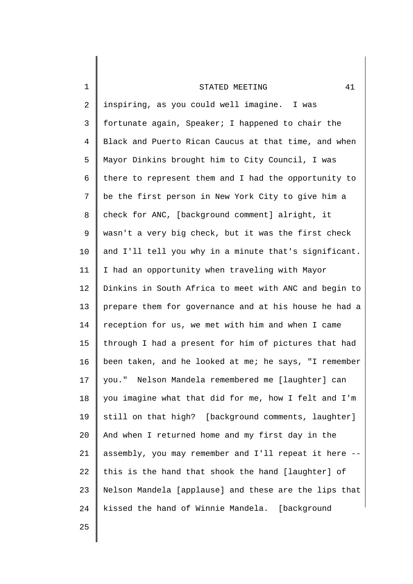| $1\,$          | 41<br>STATED MEETING                                  |  |
|----------------|-------------------------------------------------------|--|
| $\overline{2}$ | inspiring, as you could well imagine. I was           |  |
| $\mathbf{3}$   | fortunate again, Speaker; I happened to chair the     |  |
| $\overline{4}$ | Black and Puerto Rican Caucus at that time, and when  |  |
| 5              | Mayor Dinkins brought him to City Council, I was      |  |
| 6              | there to represent them and I had the opportunity to  |  |
| 7              | be the first person in New York City to give him a    |  |
| 8              | check for ANC, [background comment] alright, it       |  |
| $\mathsf 9$    | wasn't a very big check, but it was the first check   |  |
| 10             | and I'll tell you why in a minute that's significant. |  |
| 11             | I had an opportunity when traveling with Mayor        |  |
| 12             | Dinkins in South Africa to meet with ANC and begin to |  |
| 13             | prepare them for governance and at his house he had a |  |
| 14             | reception for us, we met with him and when I came     |  |
| 15             | through I had a present for him of pictures that had  |  |
| 16             | been taken, and he looked at me; he says, "I remember |  |
| 17             | you." Nelson Mandela remembered me [laughter] can     |  |
| 18             | you imagine what that did for me, how I felt and I'm  |  |
| 19             | still on that high? [background comments, laughter]   |  |
| 20             | And when I returned home and my first day in the      |  |
| 21             | assembly, you may remember and I'll repeat it here -- |  |
| 22             | this is the hand that shook the hand [laughter] of    |  |
| 23             | Nelson Mandela [applause] and these are the lips that |  |
| 24             | kissed the hand of Winnie Mandela. [background        |  |
| 25             |                                                       |  |
|                |                                                       |  |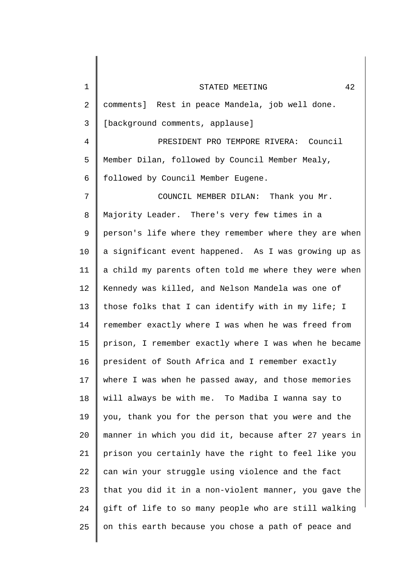| $\mathbf 1$ | 42<br>STATED MEETING                                  |  |
|-------------|-------------------------------------------------------|--|
| 2           | comments] Rest in peace Mandela, job well done.       |  |
| 3           | [background comments, applause]                       |  |
| 4           | PRESIDENT PRO TEMPORE RIVERA: Council                 |  |
| 5           | Member Dilan, followed by Council Member Mealy,       |  |
| 6           | followed by Council Member Eugene.                    |  |
| 7           | COUNCIL MEMBER DILAN: Thank you Mr.                   |  |
| 8           | Majority Leader. There's very few times in a          |  |
| 9           | person's life where they remember where they are when |  |
| 10          | a significant event happened. As I was growing up as  |  |
| 11          | a child my parents often told me where they were when |  |
| 12          | Kennedy was killed, and Nelson Mandela was one of     |  |
| 13          | those folks that I can identify with in my life; I    |  |
| 14          | remember exactly where I was when he was freed from   |  |
| 15          | prison, I remember exactly where I was when he became |  |
| 16          | president of South Africa and I remember exactly      |  |
| 17          | where I was when he passed away, and those memories   |  |
| 18          | will always be with me. To Madiba I wanna say to      |  |
| 19          | you, thank you for the person that you were and the   |  |
| 20          | manner in which you did it, because after 27 years in |  |
| 21          | prison you certainly have the right to feel like you  |  |
| 22          | can win your struggle using violence and the fact     |  |
| 23          | that you did it in a non-violent manner, you gave the |  |
| 24          | gift of life to so many people who are still walking  |  |
| 25          | on this earth because you chose a path of peace and   |  |
|             |                                                       |  |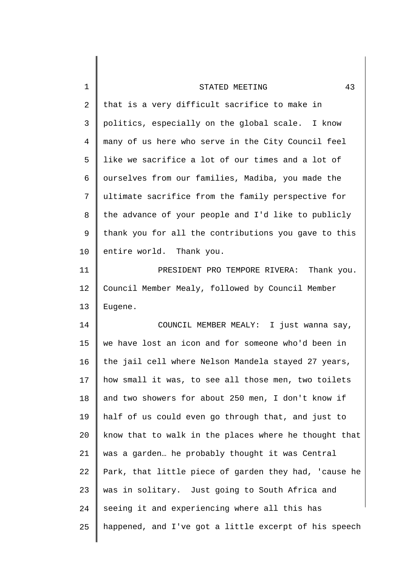| $\mathbf 1$    | 43<br>STATED MEETING                                  |  |  |  |
|----------------|-------------------------------------------------------|--|--|--|
| 2              | that is a very difficult sacrifice to make in         |  |  |  |
| 3              | politics, especially on the global scale. I know      |  |  |  |
| $\overline{4}$ | many of us here who serve in the City Council feel    |  |  |  |
| 5              | like we sacrifice a lot of our times and a lot of     |  |  |  |
| 6              | ourselves from our families, Madiba, you made the     |  |  |  |
| 7              | ultimate sacrifice from the family perspective for    |  |  |  |
| 8              | the advance of your people and I'd like to publicly   |  |  |  |
| 9              | thank you for all the contributions you gave to this  |  |  |  |
| 10             | entire world. Thank you.                              |  |  |  |
| 11             | PRESIDENT PRO TEMPORE RIVERA: Thank you.              |  |  |  |
| 12             | Council Member Mealy, followed by Council Member      |  |  |  |
| 13             | Eugene.                                               |  |  |  |
| 14             | COUNCIL MEMBER MEALY: I just wanna say,               |  |  |  |
| 15             | we have lost an icon and for someone who'd been in    |  |  |  |
| 16             | the jail cell where Nelson Mandela stayed 27 years,   |  |  |  |
| 17             | how small it was, to see all those men, two toilets   |  |  |  |
| 18             | and two showers for about 250 men, I don't know if    |  |  |  |
| 19             | half of us could even go through that, and just to    |  |  |  |
| 20             | know that to walk in the places where he thought that |  |  |  |
| 21             | was a garden he probably thought it was Central       |  |  |  |
| 22             | Park, that little piece of garden they had, 'cause he |  |  |  |
| 23             | was in solitary. Just going to South Africa and       |  |  |  |
| 24             | seeing it and experiencing where all this has         |  |  |  |
| 25             | happened, and I've got a little excerpt of his speech |  |  |  |
|                |                                                       |  |  |  |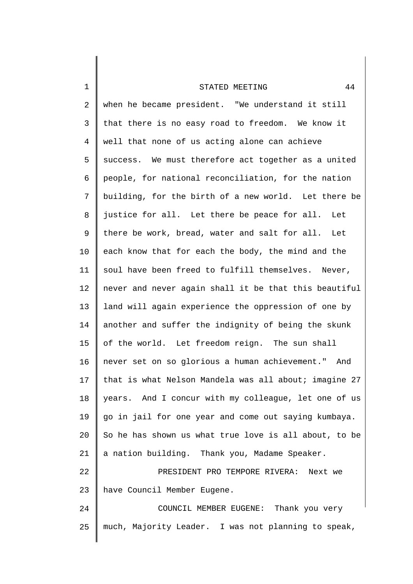| $\mathbf 1$ | 44<br>STATED MEETING                                  |
|-------------|-------------------------------------------------------|
| 2           | when he became president. "We understand it still     |
| 3           | that there is no easy road to freedom. We know it     |
| 4           | well that none of us acting alone can achieve         |
| 5           | success. We must therefore act together as a united   |
| 6           | people, for national reconciliation, for the nation   |
| 7           | building, for the birth of a new world. Let there be  |
| 8           | justice for all. Let there be peace for all. Let      |
| 9           | there be work, bread, water and salt for all. Let     |
| 10          | each know that for each the body, the mind and the    |
| 11          | soul have been freed to fulfill themselves. Never,    |
| 12          | never and never again shall it be that this beautiful |
| 13          | land will again experience the oppression of one by   |
| 14          | another and suffer the indignity of being the skunk   |
| 15          | of the world. Let freedom reign. The sun shall        |
| 16          | never set on so glorious a human achievement."<br>And |
| 17          | that is what Nelson Mandela was all about; imagine 27 |
| 18          | years. And I concur with my colleague, let one of us  |
| 19          | go in jail for one year and come out saying kumbaya.  |
| 20          | So he has shown us what true love is all about, to be |
| 21          | a nation building. Thank you, Madame Speaker.         |
| 22          | PRESIDENT PRO TEMPORE RIVERA: Next we                 |
| 23          | have Council Member Eugene.                           |
| 24          | COUNCIL MEMBER EUGENE: Thank you very                 |
| 25          | much, Majority Leader. I was not planning to speak,   |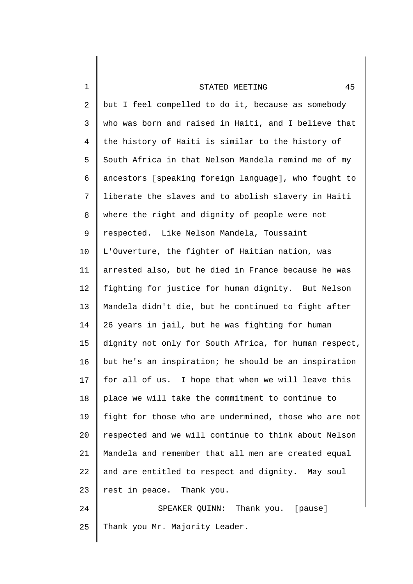| $\mathbf 1$    | 45<br>STATED MEETING                                  |  |  |  |
|----------------|-------------------------------------------------------|--|--|--|
| $\overline{2}$ | but I feel compelled to do it, because as somebody    |  |  |  |
| 3              | who was born and raised in Haiti, and I believe that  |  |  |  |
| $\overline{4}$ | the history of Haiti is similar to the history of     |  |  |  |
| 5              | South Africa in that Nelson Mandela remind me of my   |  |  |  |
| 6              | ancestors [speaking foreign language], who fought to  |  |  |  |
| 7              | liberate the slaves and to abolish slavery in Haiti   |  |  |  |
| 8              | where the right and dignity of people were not        |  |  |  |
| 9              | respected. Like Nelson Mandela, Toussaint             |  |  |  |
| 10             | L'Ouverture, the fighter of Haitian nation, was       |  |  |  |
| 11             | arrested also, but he died in France because he was   |  |  |  |
| 12             | fighting for justice for human dignity. But Nelson    |  |  |  |
| 13             | Mandela didn't die, but he continued to fight after   |  |  |  |
| 14             | 26 years in jail, but he was fighting for human       |  |  |  |
| 15             | dignity not only for South Africa, for human respect, |  |  |  |
| 16             | but he's an inspiration; he should be an inspiration  |  |  |  |
| 17             | for all of us. I hope that when we will leave this    |  |  |  |
| 18             | place we will take the commitment to continue to      |  |  |  |
| 19             | fight for those who are undermined, those who are not |  |  |  |
| 20             | respected and we will continue to think about Nelson  |  |  |  |
| 21             | Mandela and remember that all men are created equal   |  |  |  |
| 22             | and are entitled to respect and dignity. May soul     |  |  |  |
| 23             | rest in peace. Thank you.                             |  |  |  |
| 24             | SPEAKER QUINN: Thank you. [pause]                     |  |  |  |
| 25             | Thank you Mr. Majority Leader.                        |  |  |  |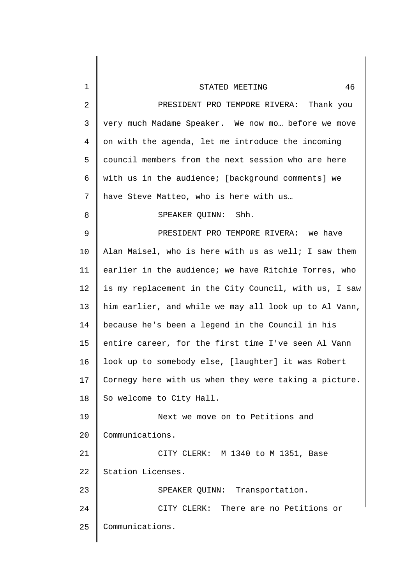| 1              | 46<br>STATED MEETING                                  |  |
|----------------|-------------------------------------------------------|--|
| $\overline{2}$ | PRESIDENT PRO TEMPORE RIVERA: Thank you               |  |
| 3              | very much Madame Speaker. We now mo before we move    |  |
| 4              | on with the agenda, let me introduce the incoming     |  |
| 5              | council members from the next session who are here    |  |
| 6              | with us in the audience; [background comments] we     |  |
| 7              | have Steve Matteo, who is here with us                |  |
| 8              | SPEAKER QUINN: Shh.                                   |  |
| 9              | PRESIDENT PRO TEMPORE RIVERA: we have                 |  |
| 10             | Alan Maisel, who is here with us as well; I saw them  |  |
| 11             | earlier in the audience; we have Ritchie Torres, who  |  |
| 12             | is my replacement in the City Council, with us, I saw |  |
| 13             | him earlier, and while we may all look up to Al Vann, |  |
| 14             | because he's been a legend in the Council in his      |  |
| 15             | entire career, for the first time I've seen Al Vann   |  |
| 16             | look up to somebody else, [laughter] it was Robert    |  |
| 17             | Cornegy here with us when they were taking a picture. |  |
| 18             | So welcome to City Hall.                              |  |
| 19             | Next we move on to Petitions and                      |  |
| 20             | Communications.                                       |  |
| 21             | CITY CLERK: M 1340 to M 1351, Base                    |  |
| 22             | Station Licenses.                                     |  |
| 23             | SPEAKER QUINN: Transportation.                        |  |
| 24             | CITY CLERK: There are no Petitions or                 |  |
| 25             | Communications.                                       |  |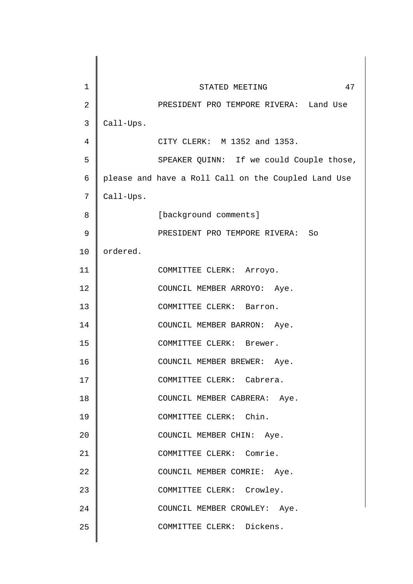| $\mathbf 1$    | 47<br>STATED MEETING                                |
|----------------|-----------------------------------------------------|
| $\overline{2}$ | PRESIDENT PRO TEMPORE RIVERA: Land Use              |
| $\mathsf{3}$   | Call-Ups.                                           |
| 4              | CITY CLERK: M 1352 and 1353.                        |
| 5              | SPEAKER QUINN: If we could Couple those,            |
| 6              | please and have a Roll Call on the Coupled Land Use |
| 7              | Call-Ups.                                           |
| 8              | [background comments]                               |
| 9              | PRESIDENT PRO TEMPORE RIVERA: So                    |
| 10             | ordered.                                            |
| 11             | COMMITTEE CLERK: Arroyo.                            |
| 12             | COUNCIL MEMBER ARROYO: Aye.                         |
| 13             | COMMITTEE CLERK: Barron.                            |
| 14             | COUNCIL MEMBER BARRON: Aye.                         |
| 15             | COMMITTEE CLERK: Brewer.                            |
| 16             | COUNCIL MEMBER BREWER: Aye.                         |
| 17             | COMMITTEE CLERK: Cabrera.                           |
| 18             | COUNCIL MEMBER CABRERA: Aye.                        |
| 19             | COMMITTEE CLERK: Chin.                              |
| 20             | COUNCIL MEMBER CHIN: Aye.                           |
| 21             | COMMITTEE CLERK: Comrie.                            |
| 22             | COUNCIL MEMBER COMRIE: Aye.                         |
| 23             | COMMITTEE CLERK: Crowley.                           |
| 24             | COUNCIL MEMBER CROWLEY: Aye.                        |
| 25             | COMMITTEE CLERK: Dickens.                           |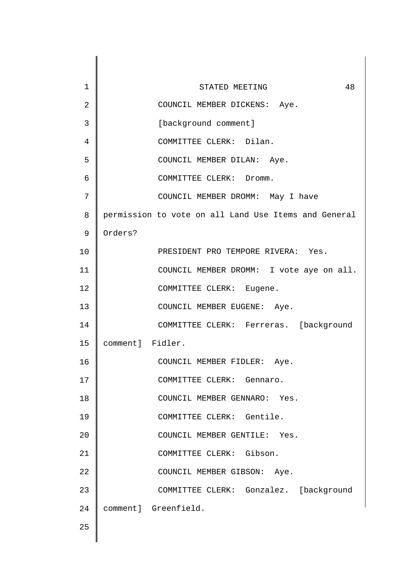| $\mathbf 1$    |                  | STATED MEETING<br>48                                 |
|----------------|------------------|------------------------------------------------------|
| $\overline{2}$ |                  | COUNCIL MEMBER DICKENS: Aye.                         |
| 3              |                  | [background comment]                                 |
| 4              |                  | COMMITTEE CLERK: Dilan.                              |
| 5              |                  | COUNCIL MEMBER DILAN: Aye.                           |
| 6              |                  | COMMITTEE CLERK: Dromm.                              |
| 7              |                  | COUNCIL MEMBER DROMM: May I have                     |
| 8              |                  | permission to vote on all Land Use Items and General |
| 9              | Orders?          |                                                      |
| 10             |                  | PRESIDENT PRO TEMPORE RIVERA: Yes.                   |
| 11             |                  | COUNCIL MEMBER DROMM: I vote aye on all.             |
| 12             |                  | COMMITTEE CLERK: Eugene.                             |
| 13             |                  | COUNCIL MEMBER EUGENE: Aye.                          |
| 14             |                  | COMMITTEE CLERK: Ferreras. [background               |
| 15             | comment] Fidler. |                                                      |
| 16             |                  | COUNCIL MEMBER FIDLER: Aye.                          |
| 17             |                  | COMMITTEE CLERK: Gennaro.                            |
| 18             |                  | COUNCIL MEMBER GENNARO: Yes.                         |
| 19             |                  | COMMITTEE CLERK: Gentile.                            |
| 20             |                  | COUNCIL MEMBER GENTILE: Yes.                         |
| 21             |                  | COMMITTEE CLERK: Gibson.                             |
| 22             |                  | COUNCIL MEMBER GIBSON: Aye.                          |
| 23             |                  | COMMITTEE CLERK: Gonzalez. [background               |
| 24             |                  | comment] Greenfield.                                 |
| 25             |                  |                                                      |
|                |                  |                                                      |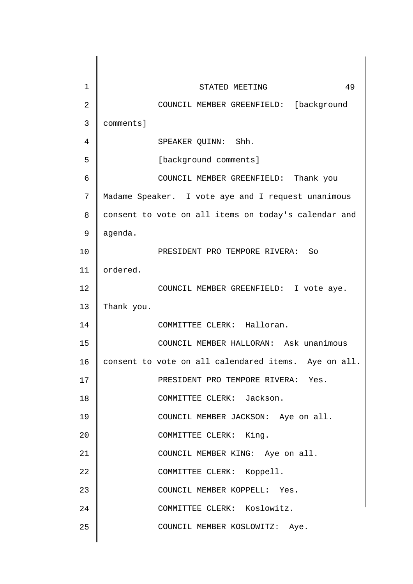| $\mathbf 1$    | 49<br>STATED MEETING                                 |
|----------------|------------------------------------------------------|
| $\overline{2}$ | COUNCIL MEMBER GREENFIELD: [background               |
| 3              | comments]                                            |
| 4              | SPEAKER QUINN: Shh.                                  |
| 5              | [background comments]                                |
| 6              | COUNCIL MEMBER GREENFIELD: Thank you                 |
| 7              | Madame Speaker. I vote aye and I request unanimous   |
| 8              | consent to vote on all items on today's calendar and |
| 9              | agenda.                                              |
| 10             | PRESIDENT PRO TEMPORE RIVERA: So                     |
| 11             | ordered.                                             |
| 12             | COUNCIL MEMBER GREENFIELD: I vote aye.               |
| 13             | Thank you.                                           |
| 14             | COMMITTEE CLERK: Halloran.                           |
| 15             | COUNCIL MEMBER HALLORAN: Ask unanimous               |
| 16             | consent to vote on all calendared items. Aye on all. |
| 17             | PRESIDENT PRO TEMPORE RIVERA: Yes.                   |
| 18             | COMMITTEE CLERK: Jackson.                            |
| 19             | COUNCIL MEMBER JACKSON: Aye on all.                  |
| 20             | COMMITTEE CLERK: King.                               |
| 21             | COUNCIL MEMBER KING: Aye on all.                     |
| 22             | COMMITTEE CLERK: Koppell.                            |
| 23             | COUNCIL MEMBER KOPPELL: Yes.                         |
| 24             | COMMITTEE CLERK: Koslowitz.                          |
| 25             | COUNCIL MEMBER KOSLOWITZ: Aye.                       |
|                |                                                      |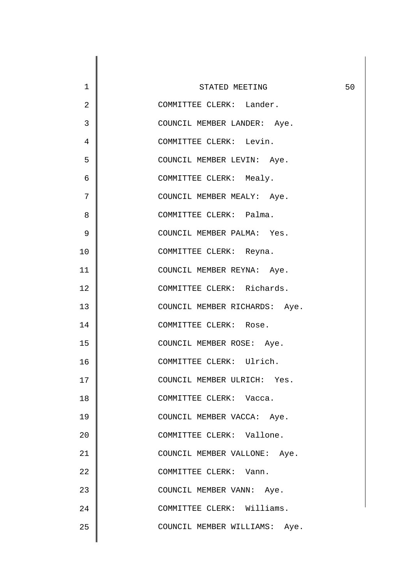| $\mathbf 1$    | STATED MEETING                | 50 |
|----------------|-------------------------------|----|
| $\overline{2}$ | COMMITTEE CLERK: Lander.      |    |
| 3              | COUNCIL MEMBER LANDER: Aye.   |    |
| $\overline{4}$ | COMMITTEE CLERK: Levin.       |    |
| 5              | COUNCIL MEMBER LEVIN: Aye.    |    |
| 6              | COMMITTEE CLERK: Mealy.       |    |
| 7              | COUNCIL MEMBER MEALY: Aye.    |    |
| 8              | COMMITTEE CLERK: Palma.       |    |
| 9              | COUNCIL MEMBER PALMA: Yes.    |    |
| 10             | COMMITTEE CLERK: Reyna.       |    |
| 11             | COUNCIL MEMBER REYNA: Aye.    |    |
| 12             | COMMITTEE CLERK: Richards.    |    |
| 13             | COUNCIL MEMBER RICHARDS: Aye. |    |
| 14             | COMMITTEE CLERK: Rose.        |    |
| 15             | COUNCIL MEMBER ROSE: Aye.     |    |
| 16             | COMMITTEE CLERK: Ulrich.      |    |
| 17             | COUNCIL MEMBER ULRICH: Yes.   |    |
| 18             | COMMITTEE CLERK: Vacca.       |    |
| 19             | COUNCIL MEMBER VACCA: Aye.    |    |
| 20             | COMMITTEE CLERK: Vallone.     |    |
| 21             | COUNCIL MEMBER VALLONE: Aye.  |    |
| 22             | COMMITTEE CLERK: Vann.        |    |
| 23             | COUNCIL MEMBER VANN: Aye.     |    |
| 24             | COMMITTEE CLERK: Williams.    |    |
| 25             | COUNCIL MEMBER WILLIAMS: Aye. |    |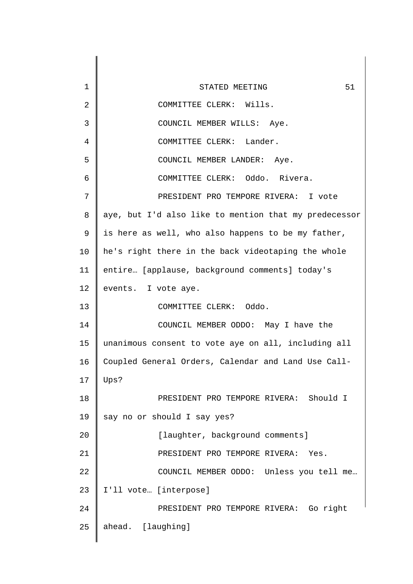| $\mathbf 1$    | 51<br>STATED MEETING                                  |
|----------------|-------------------------------------------------------|
| $\overline{2}$ | COMMITTEE CLERK: Wills.                               |
| 3              | COUNCIL MEMBER WILLS: Aye.                            |
| 4              | COMMITTEE CLERK: Lander.                              |
| 5              | COUNCIL MEMBER LANDER: Aye.                           |
| 6              | COMMITTEE CLERK: Oddo. Rivera.                        |
| 7              | PRESIDENT PRO TEMPORE RIVERA: I vote                  |
| 8              | aye, but I'd also like to mention that my predecessor |
| 9              | is here as well, who also happens to be my father,    |
| 10             | he's right there in the back videotaping the whole    |
| 11             | entire [applause, background comments] today's        |
| 12             | events. I vote aye.                                   |
| 13             | COMMITTEE CLERK: Oddo.                                |
| 14             | COUNCIL MEMBER ODDO: May I have the                   |
| 15             | unanimous consent to vote aye on all, including all   |
| 16             | Coupled General Orders, Calendar and Land Use Call-   |
| 17             | Ups?                                                  |
| 18             | PRESIDENT PRO TEMPORE RIVERA: Should I                |
| 19             | say no or should I say yes?                           |
| 20             | [laughter, background comments]                       |
| 21             | PRESIDENT PRO TEMPORE RIVERA: Yes.                    |
| 22             | COUNCIL MEMBER ODDO: Unless you tell me               |
| 23             | I'll vote [interpose]                                 |
| 24             | PRESIDENT PRO TEMPORE RIVERA: Go right                |
| 25             | ahead. [laughing]                                     |
|                |                                                       |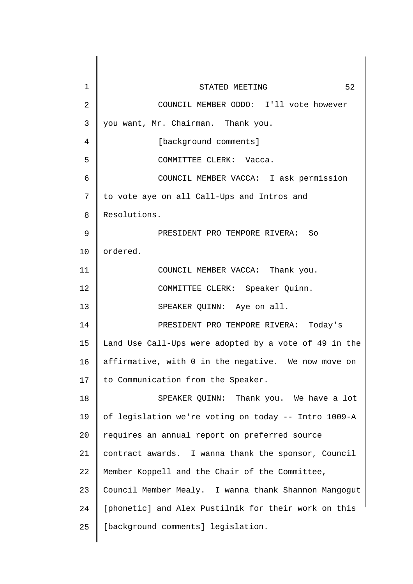| $\mathbf 1$    | 52<br>STATED MEETING                                  |
|----------------|-------------------------------------------------------|
| $\overline{2}$ | COUNCIL MEMBER ODDO: I'll vote however                |
| 3              | you want, Mr. Chairman. Thank you.                    |
| 4              | [background comments]                                 |
| 5              | COMMITTEE CLERK: Vacca.                               |
| 6              | COUNCIL MEMBER VACCA: I ask permission                |
| 7              | to vote aye on all Call-Ups and Intros and            |
| 8              | Resolutions.                                          |
| 9              | PRESIDENT PRO TEMPORE RIVERA: So                      |
| 10             | ordered.                                              |
| 11             | COUNCIL MEMBER VACCA: Thank you.                      |
| 12             | COMMITTEE CLERK: Speaker Quinn.                       |
| 13             | SPEAKER QUINN: Aye on all.                            |
| 14             | PRESIDENT PRO TEMPORE RIVERA: Today's                 |
| 15             | Land Use Call-Ups were adopted by a vote of 49 in the |
| 16             | affirmative, with 0 in the negative. We now move on   |
| 17             | to Communication from the Speaker.                    |
| 18             | SPEAKER QUINN: Thank you. We have a lot               |
| 19             | of legislation we're voting on today -- Intro 1009-A  |
| 20             | requires an annual report on preferred source         |
| 21             | contract awards. I wanna thank the sponsor, Council   |
| 22             | Member Koppell and the Chair of the Committee,        |
| 23             | Council Member Mealy. I wanna thank Shannon Mangogut  |
| 24             | [phonetic] and Alex Pustilnik for their work on this  |
| 25             | [background comments] legislation.                    |
|                |                                                       |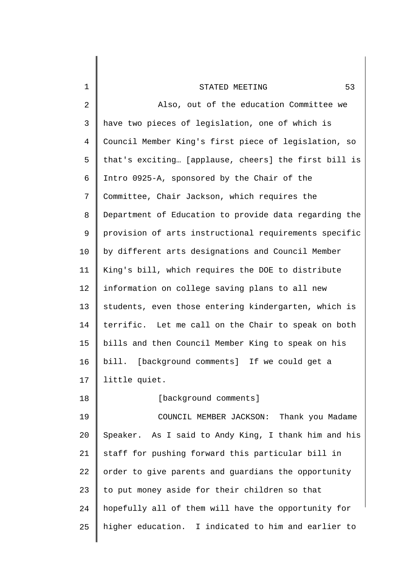| $\mathbf 1$ | 53<br>STATED MEETING                                  |
|-------------|-------------------------------------------------------|
| 2           | Also, out of the education Committee we               |
| 3           | have two pieces of legislation, one of which is       |
| 4           | Council Member King's first piece of legislation, so  |
| 5           | that's exciting [applause, cheers] the first bill is  |
| 6           | Intro 0925-A, sponsored by the Chair of the           |
| 7           | Committee, Chair Jackson, which requires the          |
| 8           | Department of Education to provide data regarding the |
| 9           | provision of arts instructional requirements specific |
| 10          | by different arts designations and Council Member     |
| 11          | King's bill, which requires the DOE to distribute     |
| 12          | information on college saving plans to all new        |
| 13          | students, even those entering kindergarten, which is  |
| 14          | terrific. Let me call on the Chair to speak on both   |
| 15          | bills and then Council Member King to speak on his    |
| 16          | bill. [background comments] If we could get a         |
| 17          | little quiet.                                         |
| 18          | [background comments]                                 |
| 19          | COUNCIL MEMBER JACKSON: Thank you Madame              |
| 20          | Speaker. As I said to Andy King, I thank him and his  |
| 21          | staff for pushing forward this particular bill in     |
| 22          | order to give parents and guardians the opportunity   |
| 23          | to put money aside for their children so that         |
| 24          | hopefully all of them will have the opportunity for   |
| 25          | higher education. I indicated to him and earlier to   |
|             |                                                       |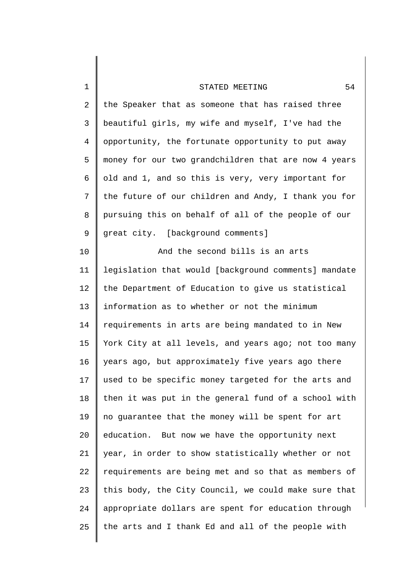| 1  | 54<br>STATED MEETING                                 |
|----|------------------------------------------------------|
| 2  | the Speaker that as someone that has raised three    |
| 3  | beautiful girls, my wife and myself, I've had the    |
| 4  | opportunity, the fortunate opportunity to put away   |
| 5  | money for our two grandchildren that are now 4 years |
| 6  | old and 1, and so this is very, very important for   |
| 7  | the future of our children and Andy, I thank you for |
| 8  | pursuing this on behalf of all of the people of our  |
| 9  | great city. [background comments]                    |
| 10 | And the second bills is an arts                      |
| 11 | legislation that would [background comments] mandate |
| 12 | the Department of Education to give us statistical   |
| 13 | information as to whether or not the minimum         |
| 14 | requirements in arts are being mandated to in New    |
| 15 | York City at all levels, and years ago; not too many |
| 16 | years ago, but approximately five years ago there    |
| 17 | used to be specific money targeted for the arts and  |
| 18 | then it was put in the general fund of a school with |
| 19 | no guarantee that the money will be spent for art    |
| 20 | education. But now we have the opportunity next      |
| 21 | year, in order to show statistically whether or not  |
| 22 | requirements are being met and so that as members of |
| 23 | this body, the City Council, we could make sure that |
| 24 | appropriate dollars are spent for education through  |
| 25 | the arts and I thank Ed and all of the people with   |
|    |                                                      |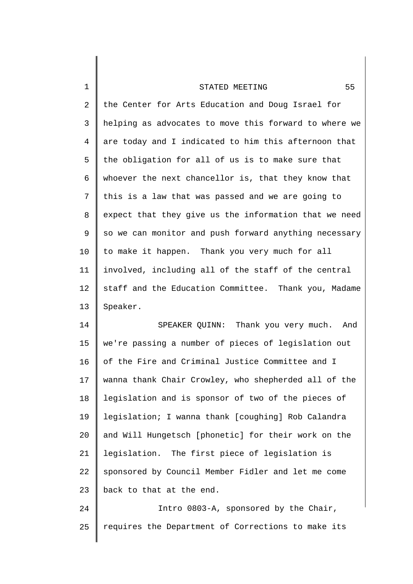| $\mathbf 1$ | 55<br>STATED MEETING                                  |
|-------------|-------------------------------------------------------|
| $\sqrt{2}$  | the Center for Arts Education and Doug Israel for     |
| 3           | helping as advocates to move this forward to where we |
| 4           | are today and I indicated to him this afternoon that  |
| 5           | the obligation for all of us is to make sure that     |
| 6           | whoever the next chancellor is, that they know that   |
| 7           | this is a law that was passed and we are going to     |
| 8           | expect that they give us the information that we need |
| 9           | so we can monitor and push forward anything necessary |
| 10          | to make it happen. Thank you very much for all        |
| 11          | involved, including all of the staff of the central   |
| 12          | staff and the Education Committee. Thank you, Madame  |
| 13          | Speaker.                                              |
| 14          | SPEAKER QUINN: Thank you very much.<br>And            |
| 15          | we're passing a number of pieces of legislation out   |
| 16          | of the Fire and Criminal Justice Committee and I      |
| 17          | wanna thank Chair Crowley, who shepherded all of the  |
| 18          | legislation and is sponsor of two of the pieces of    |

24 25 Intro 0803-A, sponsored by the Chair, requires the Department of Corrections to make its

back to that at the end.

legislation; I wanna thank [coughing] Rob Calandra

and Will Hungetsch [phonetic] for their work on the

sponsored by Council Member Fidler and let me come

legislation. The first piece of legislation is

19

20

21

22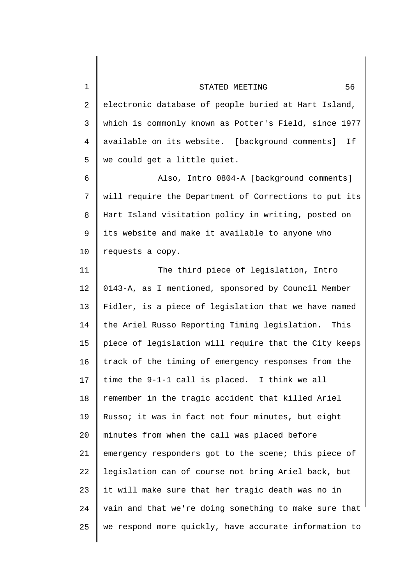| $\mathbf{1}$ | 56<br>STATED MEETING                                  |
|--------------|-------------------------------------------------------|
| 2            | electronic database of people buried at Hart Island,  |
| 3            | which is commonly known as Potter's Field, since 1977 |
| 4            | available on its website. [background comments]<br>If |
| 5            | we could get a little quiet.                          |
| 6            | Also, Intro 0804-A [background comments]              |
| 7            | will require the Department of Corrections to put its |
| 8            | Hart Island visitation policy in writing, posted on   |
| 9            | its website and make it available to anyone who       |
| 10           | requests a copy.                                      |
| 11           | The third piece of legislation, Intro                 |
| 12           | 0143-A, as I mentioned, sponsored by Council Member   |
| 13           | Fidler, is a piece of legislation that we have named  |
| 14           | the Ariel Russo Reporting Timing legislation. This    |
| 15           | piece of legislation will require that the City keeps |
| 16           | track of the timing of emergency responses from the   |
| 17           | time the 9-1-1 call is placed. I think we all         |
| 18           | remember in the tragic accident that killed Ariel     |
| 19           | Russo; it was in fact not four minutes, but eight     |
| 20           | minutes from when the call was placed before          |
| 21           | emergency responders got to the scene; this piece of  |
| 22           | legislation can of course not bring Ariel back, but   |
| 23           | it will make sure that her tragic death was no in     |
| 24           | vain and that we're doing something to make sure that |
| 25           | we respond more quickly, have accurate information to |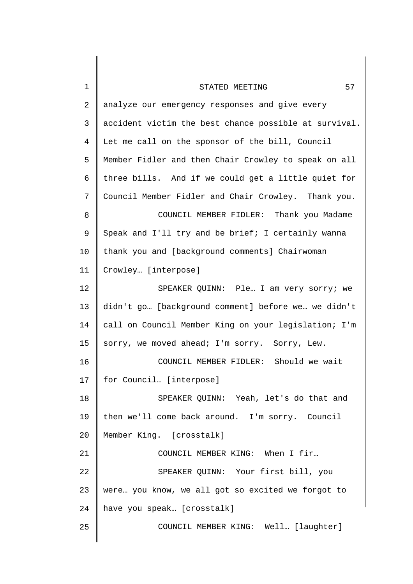| 1              | 57<br>STATED MEETING                                  |
|----------------|-------------------------------------------------------|
| $\overline{2}$ | analyze our emergency responses and give every        |
| 3              | accident victim the best chance possible at survival. |
| 4              | Let me call on the sponsor of the bill, Council       |
| 5              | Member Fidler and then Chair Crowley to speak on all  |
| 6              | three bills. And if we could get a little quiet for   |
| 7              | Council Member Fidler and Chair Crowley. Thank you.   |
| 8              | COUNCIL MEMBER FIDLER: Thank you Madame               |
| 9              | Speak and I'll try and be brief; I certainly wanna    |
| 10             | thank you and [background comments] Chairwoman        |
| 11             | Crowley [interpose]                                   |
| 12             | SPEAKER QUINN: Ple I am very sorry; we                |
| 13             | didn't go [background comment] before we we didn't    |
| 14             | call on Council Member King on your legislation; I'm  |
| 15             | sorry, we moved ahead; I'm sorry. Sorry, Lew.         |
| 16             | COUNCIL MEMBER FIDLER: Should we wait                 |
| 17             | for Council [interpose]                               |
| 18             | SPEAKER QUINN: Yeah, let's do that and                |
| 19             | then we'll come back around. I'm sorry. Council       |
| 20             | Member King. [crosstalk]                              |
| 21             | COUNCIL MEMBER KING: When I fir                       |
| 22             | SPEAKER QUINN: Your first bill, you                   |
| 23             | were you know, we all got so excited we forgot to     |
| 24             | have you speak [crosstalk]                            |
| 25             | COUNCIL MEMBER KING: Well [laughter]                  |
|                |                                                       |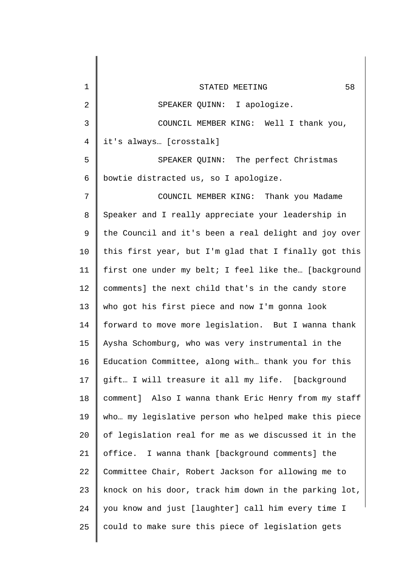| $\mathbf 1$ | 58<br>STATED MEETING                                  |
|-------------|-------------------------------------------------------|
| 2           | SPEAKER QUINN: I apologize.                           |
| 3           | COUNCIL MEMBER KING: Well I thank you,                |
| 4           | it's always [crosstalk]                               |
| 5           | SPEAKER QUINN: The perfect Christmas                  |
| 6           | bowtie distracted us, so I apologize.                 |
| 7           | COUNCIL MEMBER KING: Thank you Madame                 |
| 8           | Speaker and I really appreciate your leadership in    |
| 9           | the Council and it's been a real delight and joy over |
| 10          | this first year, but I'm glad that I finally got this |
| 11          | first one under my belt; I feel like the [background  |
| 12          | comments] the next child that's in the candy store    |
| 13          | who got his first piece and now I'm gonna look        |
| 14          | forward to move more legislation. But I wanna thank   |
| 15          | Aysha Schomburg, who was very instrumental in the     |
| 16          | Education Committee, along with thank you for this    |
| 17          | gift I will treasure it all my life. [background      |
| 18          | comment] Also I wanna thank Eric Henry from my staff  |
| 19          | who my legislative person who helped make this piece  |
| 20          | of legislation real for me as we discussed it in the  |
| 21          | I wanna thank [background comments] the<br>office.    |
| 22          | Committee Chair, Robert Jackson for allowing me to    |
| 23          | knock on his door, track him down in the parking lot, |
| 24          | you know and just [laughter] call him every time I    |
| 25          | could to make sure this piece of legislation gets     |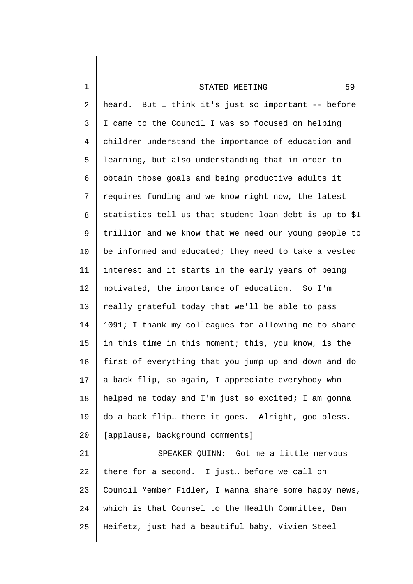STATED MEETING 59

1

2 3 4 5 6 7 8 9 10 11 12 13 14 15 16 17 18 19 20 21 22 23 24 25 heard. But I think it's just so important -- before I came to the Council I was so focused on helping children understand the importance of education and learning, but also understanding that in order to obtain those goals and being productive adults it requires funding and we know right now, the latest statistics tell us that student loan debt is up to \$1 trillion and we know that we need our young people to be informed and educated; they need to take a vested interest and it starts in the early years of being motivated, the importance of education. So I'm really grateful today that we'll be able to pass 1091; I thank my colleagues for allowing me to share in this time in this moment; this, you know, is the first of everything that you jump up and down and do a back flip, so again, I appreciate everybody who helped me today and I'm just so excited; I am gonna do a back flip… there it goes. Alright, god bless. [applause, background comments] SPEAKER QUINN: Got me a little nervous there for a second. I just… before we call on Council Member Fidler, I wanna share some happy news, which is that Counsel to the Health Committee, Dan Heifetz, just had a beautiful baby, Vivien Steel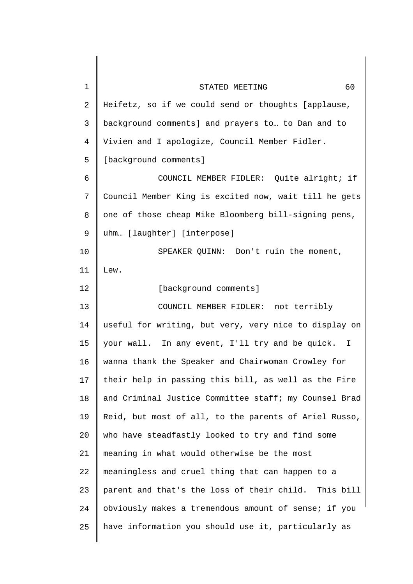| $\mathbf 1$ | 60<br>STATED MEETING                                  |
|-------------|-------------------------------------------------------|
| 2           | Heifetz, so if we could send or thoughts [applause,   |
| 3           | background comments] and prayers to to Dan and to     |
| 4           | Vivien and I apologize, Council Member Fidler.        |
| 5           | [background comments]                                 |
| 6           | COUNCIL MEMBER FIDLER: Quite alright; if              |
| 7           | Council Member King is excited now, wait till he gets |
| 8           | one of those cheap Mike Bloomberg bill-signing pens,  |
| 9           | uhm [laughter] [interpose]                            |
| 10          | SPEAKER QUINN: Don't ruin the moment,                 |
| 11          | Lew.                                                  |
| 12          | [background comments]                                 |
| 13          | COUNCIL MEMBER FIDLER: not terribly                   |
| 14          | useful for writing, but very, very nice to display on |
| 15          | your wall. In any event, I'll try and be quick. I     |
| 16          | wanna thank the Speaker and Chairwoman Crowley for    |
| 17          | their help in passing this bill, as well as the Fire  |
| 18          | and Criminal Justice Committee staff; my Counsel Brad |
| 19          | Reid, but most of all, to the parents of Ariel Russo, |
| 20          | who have steadfastly looked to try and find some      |
| 21          | meaning in what would otherwise be the most           |
| 22          | meaningless and cruel thing that can happen to a      |
| 23          | parent and that's the loss of their child. This bill  |
| 24          | obviously makes a tremendous amount of sense; if you  |
| 25          | have information you should use it, particularly as   |
|             |                                                       |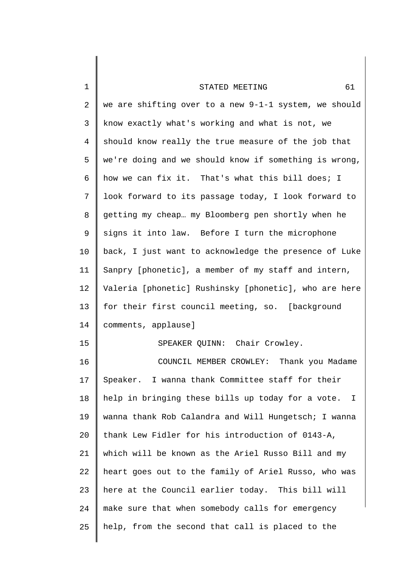| $\mathbf 1$ | 61<br>STATED MEETING                                  |
|-------------|-------------------------------------------------------|
| 2           | we are shifting over to a new 9-1-1 system, we should |
| 3           | know exactly what's working and what is not, we       |
| 4           | should know really the true measure of the job that   |
| 5           | we're doing and we should know if something is wrong, |
| 6           | how we can fix it. That's what this bill does; I      |
| 7           | look forward to its passage today, I look forward to  |
| 8           | getting my cheap my Bloomberg pen shortly when he     |
| 9           | signs it into law. Before I turn the microphone       |
| 10          | back, I just want to acknowledge the presence of Luke |
| 11          | Sanpry [phonetic], a member of my staff and intern,   |
| 12          | Valeria [phonetic] Rushinsky [phonetic], who are here |
| 13          | for their first council meeting, so. [background      |
| 14          | comments, applause]                                   |
| 15          | SPEAKER QUINN: Chair Crowley.                         |
| 16          | Thank you Madame<br>COUNCIL MEMBER CROWLEY:           |
| 17          | Speaker. I wanna thank Committee staff for their      |
| 18          | help in bringing these bills up today for a vote. I   |
| 19          | wanna thank Rob Calandra and Will Hungetsch; I wanna  |
| 20          | thank Lew Fidler for his introduction of 0143-A,      |
| 21          | which will be known as the Ariel Russo Bill and my    |
| 22          | heart goes out to the family of Ariel Russo, who was  |
| 23          | here at the Council earlier today. This bill will     |
| 24          | make sure that when somebody calls for emergency      |
| 25          | help, from the second that call is placed to the      |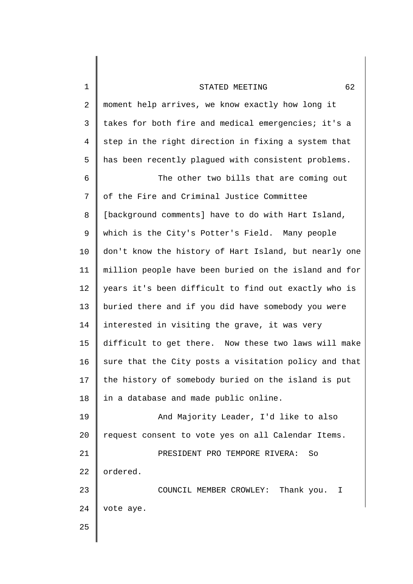| $\mathbf 1$ | 62<br>STATED MEETING                                  |
|-------------|-------------------------------------------------------|
| 2           | moment help arrives, we know exactly how long it      |
| 3           | takes for both fire and medical emergencies; it's a   |
| 4           | step in the right direction in fixing a system that   |
| 5           | has been recently plagued with consistent problems.   |
| 6           | The other two bills that are coming out               |
| 7           | of the Fire and Criminal Justice Committee            |
| 8           | [background comments] have to do with Hart Island,    |
| 9           | which is the City's Potter's Field. Many people       |
| 10          | don't know the history of Hart Island, but nearly one |
| 11          | million people have been buried on the island and for |
| 12          | years it's been difficult to find out exactly who is  |
| 13          | buried there and if you did have somebody you were    |
| 14          | interested in visiting the grave, it was very         |
| 15          | difficult to get there. Now these two laws will make  |
| 16          | sure that the City posts a visitation policy and that |
| 17          | the history of somebody buried on the island is put   |
| 18          | in a database and made public online.                 |
| 19          | And Majority Leader, I'd like to also                 |
| 20          | request consent to vote yes on all Calendar Items.    |
| 21          | PRESIDENT PRO TEMPORE RIVERA:<br>So                   |
| 22          | ordered.                                              |
| 23          | COUNCIL MEMBER CROWLEY: Thank you. I                  |
| 24          | vote aye.                                             |
| 25          |                                                       |
|             |                                                       |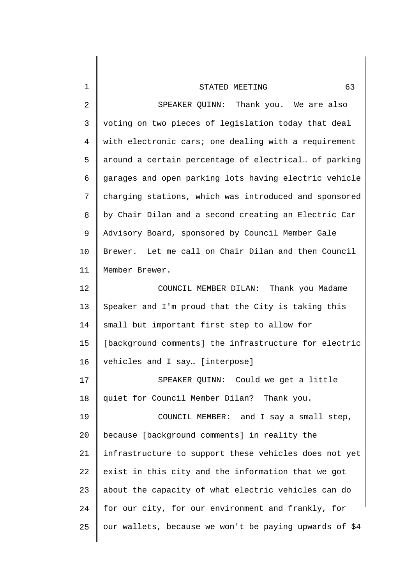| $\mathbf 1$ | 63<br>STATED MEETING                                   |
|-------------|--------------------------------------------------------|
| 2           | SPEAKER QUINN: Thank you. We are also                  |
| 3           | voting on two pieces of legislation today that deal    |
| 4           | with electronic cars; one dealing with a requirement   |
| 5           | around a certain percentage of electrical of parking   |
| 6           | garages and open parking lots having electric vehicle  |
| 7           | charging stations, which was introduced and sponsored  |
| 8           | by Chair Dilan and a second creating an Electric Car   |
| 9           | Advisory Board, sponsored by Council Member Gale       |
| 10          | Brewer. Let me call on Chair Dilan and then Council    |
| 11          | Member Brewer.                                         |
| 12          | Thank you Madame<br>COUNCIL MEMBER DILAN:              |
| 13          | Speaker and I'm proud that the City is taking this     |
| 14          | small but important first step to allow for            |
| 15          | [background comments] the infrastructure for electric  |
| 16          | vehicles and I say [interpose]                         |
| 17          | SPEAKER QUINN: Could we get a little                   |
| 18          | quiet for Council Member Dilan? Thank you.             |
| 19          | COUNCIL MEMBER: and I say a small step,                |
| 20          | because [background comments] in reality the           |
| 21          | infrastructure to support these vehicles does not yet  |
| 22          | exist in this city and the information that we got     |
| 23          | about the capacity of what electric vehicles can do    |
| 24          | for our city, for our environment and frankly, for     |
| 25          | our wallets, because we won't be paying upwards of \$4 |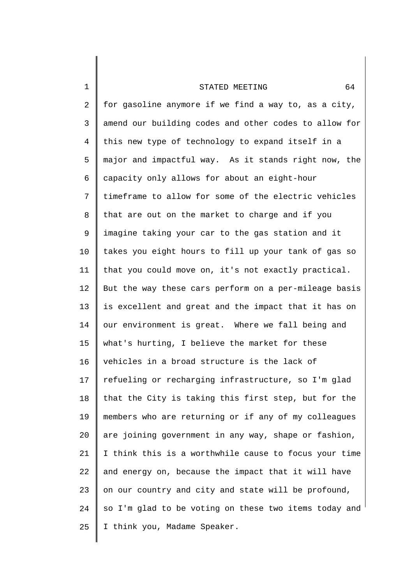| $\mathbf 1$ | 64<br>STATED MEETING                                  |
|-------------|-------------------------------------------------------|
| 2           | for gasoline anymore if we find a way to, as a city,  |
| 3           | amend our building codes and other codes to allow for |
| 4           | this new type of technology to expand itself in a     |
| 5           | major and impactful way. As it stands right now, the  |
| 6           | capacity only allows for about an eight-hour          |
| 7           | timeframe to allow for some of the electric vehicles  |
| 8           | that are out on the market to charge and if you       |
| 9           | imagine taking your car to the gas station and it     |
| 10          | takes you eight hours to fill up your tank of gas so  |
| 11          | that you could move on, it's not exactly practical.   |
| 12          | But the way these cars perform on a per-mileage basis |
| 13          | is excellent and great and the impact that it has on  |
| 14          | our environment is great. Where we fall being and     |
| 15          | what's hurting, I believe the market for these        |
| 16          | vehicles in a broad structure is the lack of          |
| 17          | refueling or recharging infrastructure, so I'm glad   |
| 18          | that the City is taking this first step, but for the  |
| 19          | members who are returning or if any of my colleagues  |
| 20          | are joining government in any way, shape or fashion,  |
| 21          | I think this is a worthwhile cause to focus your time |
| 22          | and energy on, because the impact that it will have   |
| 23          | on our country and city and state will be profound,   |
| 24          | so I'm glad to be voting on these two items today and |
| 25          | I think you, Madame Speaker.                          |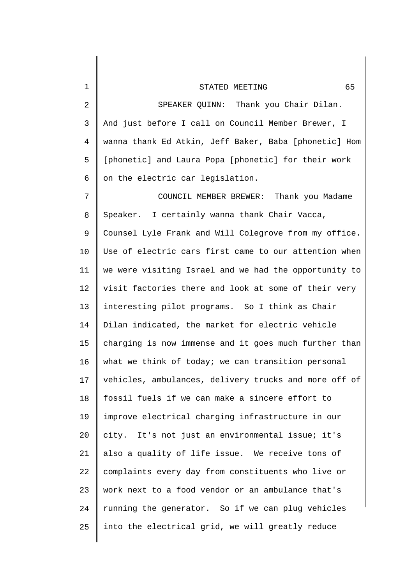| 1              | 65<br>STATED MEETING                                  |
|----------------|-------------------------------------------------------|
| 2              | SPEAKER QUINN: Thank you Chair Dilan.                 |
| 3              | And just before I call on Council Member Brewer, I    |
| $\overline{4}$ | wanna thank Ed Atkin, Jeff Baker, Baba [phonetic] Hom |
| 5              | [phonetic] and Laura Popa [phonetic] for their work   |
| 6              | on the electric car legislation.                      |
| 7              | COUNCIL MEMBER BREWER: Thank you Madame               |
| 8              | Speaker. I certainly wanna thank Chair Vacca,         |
| 9              | Counsel Lyle Frank and Will Colegrove from my office. |
| 10             | Use of electric cars first came to our attention when |
| 11             | we were visiting Israel and we had the opportunity to |
| 12             | visit factories there and look at some of their very  |
| 13             | interesting pilot programs. So I think as Chair       |
| 14             | Dilan indicated, the market for electric vehicle      |
| 15             | charging is now immense and it goes much further than |
| 16             | what we think of today; we can transition personal    |
| 17             | vehicles, ambulances, delivery trucks and more off of |
| 18             | fossil fuels if we can make a sincere effort to       |
| 19             | improve electrical charging infrastructure in our     |
| 20             | city. It's not just an environmental issue; it's      |
| 21             | also a quality of life issue. We receive tons of      |
| 22             | complaints every day from constituents who live or    |
| 23             | work next to a food vendor or an ambulance that's     |
| 24             | running the generator. So if we can plug vehicles     |
| 25             | into the electrical grid, we will greatly reduce      |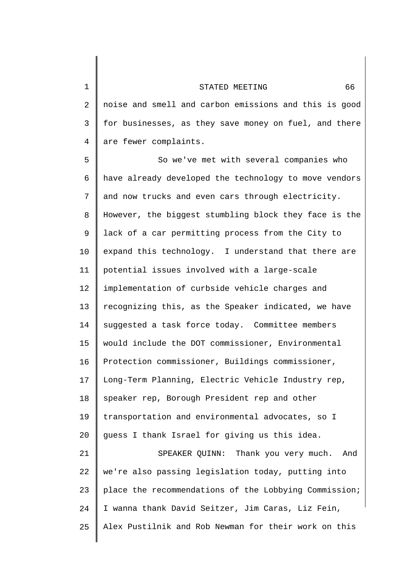STATED MEETING 66

2 3 4 noise and smell and carbon emissions and this is good for businesses, as they save money on fuel, and there are fewer complaints.

5 6 7 8 9 10 11 12 13 14 15 16 17 18 19 20 21 22 23 24 So we've met with several companies who have already developed the technology to move vendors and now trucks and even cars through electricity. However, the biggest stumbling block they face is the lack of a car permitting process from the City to expand this technology. I understand that there are potential issues involved with a large-scale implementation of curbside vehicle charges and recognizing this, as the Speaker indicated, we have suggested a task force today. Committee members would include the DOT commissioner, Environmental Protection commissioner, Buildings commissioner, Long-Term Planning, Electric Vehicle Industry rep, speaker rep, Borough President rep and other transportation and environmental advocates, so I guess I thank Israel for giving us this idea. SPEAKER QUINN: Thank you very much. And we're also passing legislation today, putting into place the recommendations of the Lobbying Commission; I wanna thank David Seitzer, Jim Caras, Liz Fein,

Alex Pustilnik and Rob Newman for their work on this

1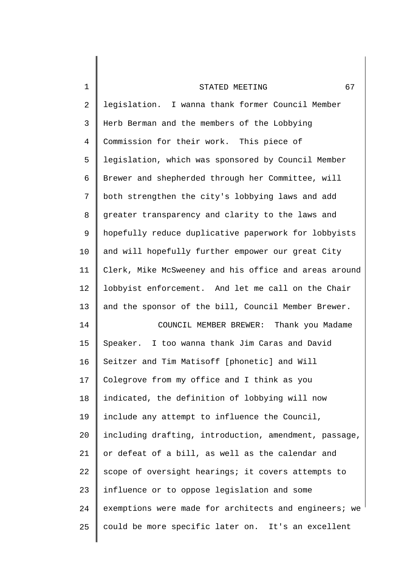| $\mathbf 1$    | 67<br>STATED MEETING                                  |
|----------------|-------------------------------------------------------|
| $\overline{a}$ | legislation. I wanna thank former Council Member      |
| 3              | Herb Berman and the members of the Lobbying           |
| 4              | Commission for their work. This piece of              |
| 5              | legislation, which was sponsored by Council Member    |
| 6              | Brewer and shepherded through her Committee, will     |
| 7              | both strengthen the city's lobbying laws and add      |
| 8              | greater transparency and clarity to the laws and      |
| 9              | hopefully reduce duplicative paperwork for lobbyists  |
| 10             | and will hopefully further empower our great City     |
| 11             | Clerk, Mike McSweeney and his office and areas around |
| 12             | lobbyist enforcement. And let me call on the Chair    |
| 13             | and the sponsor of the bill, Council Member Brewer.   |
| 14             | COUNCIL MEMBER BREWER:<br>Thank you Madame            |
| 15             | Speaker. I too wanna thank Jim Caras and David        |
| 16             | Seitzer and Tim Matisoff [phonetic] and Will          |
| 17             | Colegrove from my office and I think as you           |
| 18             | indicated, the definition of lobbying will now        |
| 19             | include any attempt to influence the Council,         |
| 20             | including drafting, introduction, amendment, passage, |
| 21             | or defeat of a bill, as well as the calendar and      |
| 22             | scope of oversight hearings; it covers attempts to    |
| 23             | influence or to oppose legislation and some           |
| 24             | exemptions were made for architects and engineers; we |
| 25             | could be more specific later on. It's an excellent    |
|                |                                                       |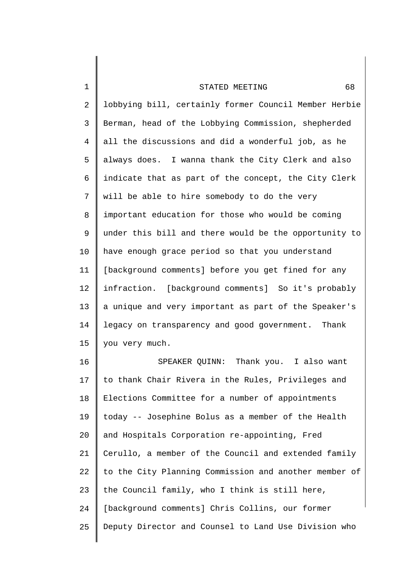| $\mathbf 1$    | 68<br>STATED MEETING                                  |
|----------------|-------------------------------------------------------|
| $\overline{2}$ | lobbying bill, certainly former Council Member Herbie |
| 3              | Berman, head of the Lobbying Commission, shepherded   |
| $\overline{4}$ | all the discussions and did a wonderful job, as he    |
| 5              | always does. I wanna thank the City Clerk and also    |
| 6              | indicate that as part of the concept, the City Clerk  |
| 7              | will be able to hire somebody to do the very          |
| 8              | important education for those who would be coming     |
| 9              | under this bill and there would be the opportunity to |
| 10             | have enough grace period so that you understand       |
| 11             | [background comments] before you get fined for any    |
| 12             | infraction. [background comments] So it's probably    |
| 13             | a unique and very important as part of the Speaker's  |
| 14             | legacy on transparency and good government. Thank     |
| 15             | you very much.                                        |
| 16             | SPEAKER QUINN: Thank you. I also want                 |
| 17             | to thank Chair Rivera in the Rules, Privileges and    |
| 18             | Elections Committee for a number of appointments      |
| 19             | today -- Josephine Bolus as a member of the Health    |
| 20             | and Hospitals Corporation re-appointing, Fred         |

Cerullo, a member of the Council and extended family

to the City Planning Commission and another member of

Deputy Director and Counsel to Land Use Division who

the Council family, who I think is still here,

[background comments] Chris Collins, our former

21

22

23

24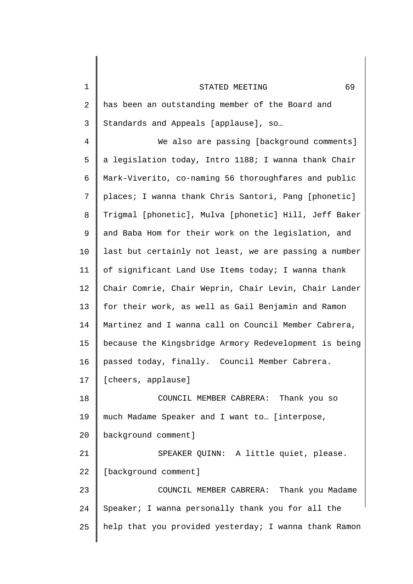1 2 3 4 5 6 7 8 9 10 11 12 13 14 15 16 17 18 19 20 21 22 23 24 25 STATED MEETING 69 has been an outstanding member of the Board and Standards and Appeals [applause], so… We also are passing [background comments] a legislation today, Intro 1188; I wanna thank Chair Mark-Viverito, co-naming 56 thoroughfares and public places; I wanna thank Chris Santori, Pang [phonetic] Trigmal [phonetic], Mulva [phonetic] Hill, Jeff Baker and Baba Hom for their work on the legislation, and last but certainly not least, we are passing a number of significant Land Use Items today; I wanna thank Chair Comrie, Chair Weprin, Chair Levin, Chair Lander for their work, as well as Gail Benjamin and Ramon Martinez and I wanna call on Council Member Cabrera, because the Kingsbridge Armory Redevelopment is being passed today, finally. Council Member Cabrera. [cheers, applause] COUNCIL MEMBER CABRERA: Thank you so much Madame Speaker and I want to… [interpose, background comment] SPEAKER QUINN: A little quiet, please. [background comment] COUNCIL MEMBER CABRERA: Thank you Madame Speaker; I wanna personally thank you for all the help that you provided yesterday; I wanna thank Ramon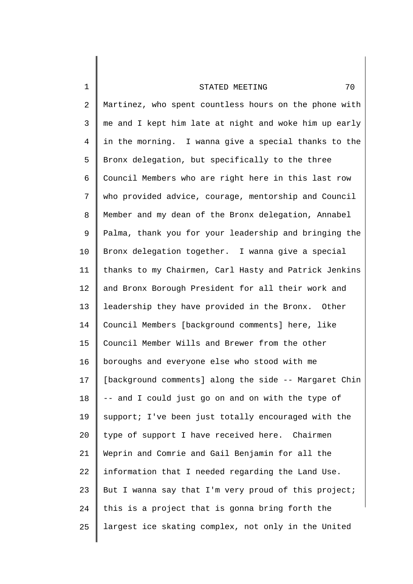| $\mathbf 1$    | 70<br>STATED MEETING                                  |
|----------------|-------------------------------------------------------|
| 2              | Martinez, who spent countless hours on the phone with |
| 3              | me and I kept him late at night and woke him up early |
| $\overline{4}$ | in the morning. I wanna give a special thanks to the  |
| 5              | Bronx delegation, but specifically to the three       |
| 6              | Council Members who are right here in this last row   |
| 7              | who provided advice, courage, mentorship and Council  |
| 8              | Member and my dean of the Bronx delegation, Annabel   |
| $\mathsf 9$    | Palma, thank you for your leadership and bringing the |
| 10             | Bronx delegation together. I wanna give a special     |
| 11             | thanks to my Chairmen, Carl Hasty and Patrick Jenkins |
| 12             | and Bronx Borough President for all their work and    |
| 13             | leadership they have provided in the Bronx. Other     |
| 14             | Council Members [background comments] here, like      |
| 15             | Council Member Wills and Brewer from the other        |
| 16             | boroughs and everyone else who stood with me          |
| 17             | [background comments] along the side -- Margaret Chin |
| 18             | -- and I could just go on and on with the type of     |
| 19             | support; I've been just totally encouraged with the   |
| 20             | type of support I have received here. Chairmen        |
| 21             | Weprin and Comrie and Gail Benjamin for all the       |
| 22             | information that I needed regarding the Land Use.     |
| 23             | But I wanna say that I'm very proud of this project;  |
| 24             | this is a project that is gonna bring forth the       |
| 25             | largest ice skating complex, not only in the United   |
|                |                                                       |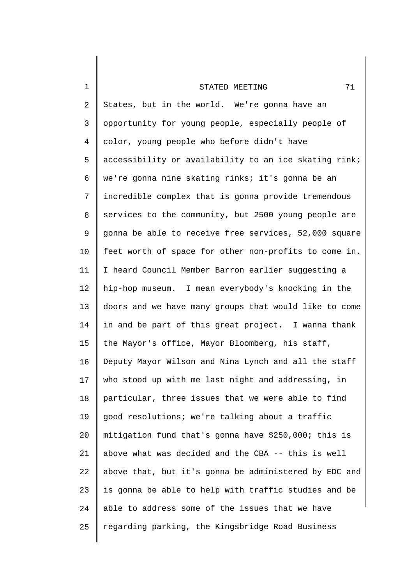STATED MEETING 71

1

2 3 4 5 6 7 8 9 10 11 12 13 14 15 16 17 18 19 20 21 22 23 24 25 States, but in the world. We're gonna have an opportunity for young people, especially people of color, young people who before didn't have accessibility or availability to an ice skating rink; we're gonna nine skating rinks; it's gonna be an incredible complex that is gonna provide tremendous services to the community, but 2500 young people are gonna be able to receive free services, 52,000 square feet worth of space for other non-profits to come in. I heard Council Member Barron earlier suggesting a hip-hop museum. I mean everybody's knocking in the doors and we have many groups that would like to come in and be part of this great project. I wanna thank the Mayor's office, Mayor Bloomberg, his staff, Deputy Mayor Wilson and Nina Lynch and all the staff who stood up with me last night and addressing, in particular, three issues that we were able to find good resolutions; we're talking about a traffic mitigation fund that's gonna have \$250,000; this is above what was decided and the CBA -- this is well above that, but it's gonna be administered by EDC and is gonna be able to help with traffic studies and be able to address some of the issues that we have regarding parking, the Kingsbridge Road Business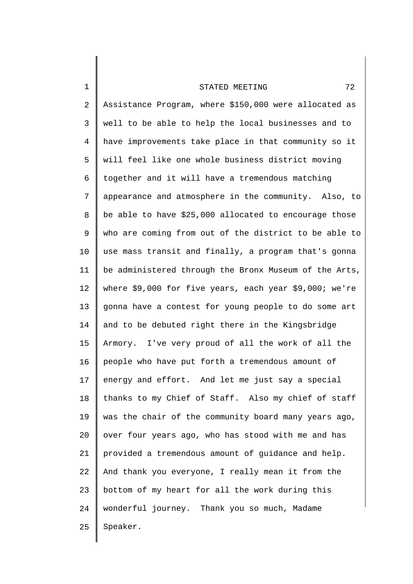| $\mathbf 1$    | 72<br>STATED MEETING                                      |
|----------------|-----------------------------------------------------------|
| $\overline{a}$ | Assistance Program, where \$150,000 were allocated as     |
| 3              | well to be able to help the local businesses and to       |
| $\overline{4}$ | have improvements take place in that community so it      |
| 5              | will feel like one whole business district moving         |
| 6              | together and it will have a tremendous matching           |
| 7              | appearance and atmosphere in the community. Also, to      |
| 8              | be able to have \$25,000 allocated to encourage those     |
| 9              | who are coming from out of the district to be able to     |
| 10             | use mass transit and finally, a program that's gonna      |
| 11             | be administered through the Bronx Museum of the Arts,     |
| 12             | where $$9,000$ for five years, each year $$9,000$ ; we're |
| 13             | gonna have a contest for young people to do some art      |
| 14             | and to be debuted right there in the Kingsbridge          |
| 15             | Armory. I've very proud of all the work of all the        |
| 16             | people who have put forth a tremendous amount of          |
| 17             | energy and effort. And let me just say a special          |
| 18             | thanks to my Chief of Staff. Also my chief of staff       |
| 19             | was the chair of the community board many years ago,      |
| 20             | over four years ago, who has stood with me and has        |
| 21             | provided a tremendous amount of guidance and help.        |
| 22             | And thank you everyone, I really mean it from the         |
| 23             | bottom of my heart for all the work during this           |
| 24             | wonderful journey. Thank you so much, Madame              |
| 25             | Speaker.                                                  |
|                |                                                           |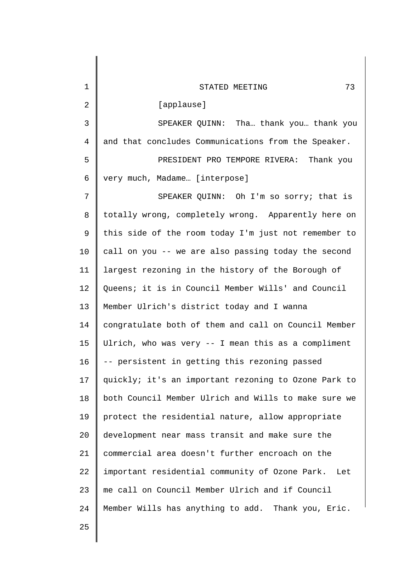| 1              | 73<br>STATED MEETING                                 |
|----------------|------------------------------------------------------|
| $\overline{2}$ | [applause]                                           |
| $\mathsf{3}$   | SPEAKER QUINN: Tha thank you thank you               |
| 4              | and that concludes Communications from the Speaker.  |
| 5              | PRESIDENT PRO TEMPORE RIVERA: Thank you              |
| 6              | very much, Madame [interpose]                        |
| 7              | SPEAKER QUINN: Oh I'm so sorry; that is              |
| 8              | totally wrong, completely wrong. Apparently here on  |
| 9              | this side of the room today I'm just not remember to |
| 10             | call on you -- we are also passing today the second  |
| 11             | largest rezoning in the history of the Borough of    |
| 12             | Queens; it is in Council Member Wills' and Council   |
| 13             | Member Ulrich's district today and I wanna           |
| 14             | congratulate both of them and call on Council Member |
| 15             | Ulrich, who was very -- I mean this as a compliment  |
| 16             | -- persistent in getting this rezoning passed        |
| 17             | quickly; it's an important rezoning to Ozone Park to |
| 18             | both Council Member Ulrich and Wills to make sure we |
| 19             | protect the residential nature, allow appropriate    |
| 20             | development near mass transit and make sure the      |
| 21             | commercial area doesn't further encroach on the      |
| 22             | important residential community of Ozone Park. Let   |
| 23             | me call on Council Member Ulrich and if Council      |
| 24             | Member Wills has anything to add. Thank you, Eric.   |
| 25             |                                                      |

║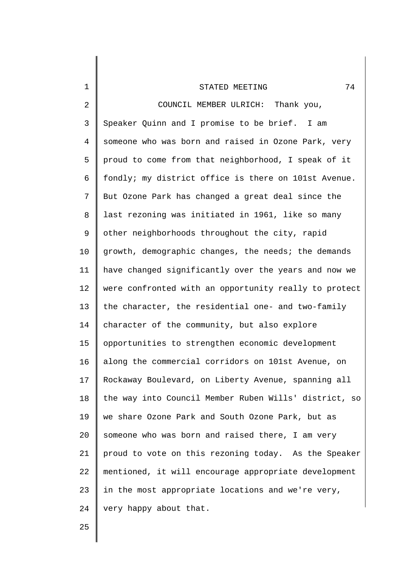| $\mathbf 1$    | 74<br>STATED MEETING                                  |
|----------------|-------------------------------------------------------|
| $\sqrt{2}$     | COUNCIL MEMBER ULRICH:<br>Thank you,                  |
| $\mathsf{3}$   | Speaker Quinn and I promise to be brief. I am         |
| $\overline{4}$ | someone who was born and raised in Ozone Park, very   |
| 5              | proud to come from that neighborhood, I speak of it   |
| 6              | fondly; my district office is there on 101st Avenue.  |
| 7              | But Ozone Park has changed a great deal since the     |
| 8              | last rezoning was initiated in 1961, like so many     |
| 9              | other neighborhoods throughout the city, rapid        |
| 10             | growth, demographic changes, the needs; the demands   |
| 11             | have changed significantly over the years and now we  |
| 12             | were confronted with an opportunity really to protect |
| 13             | the character, the residential one- and two-family    |
| 14             | character of the community, but also explore          |
| 15             | opportunities to strengthen economic development      |
| 16             | along the commercial corridors on 101st Avenue, on    |
| 17             | Rockaway Boulevard, on Liberty Avenue, spanning all   |
| 18             | the way into Council Member Ruben Wills' district, so |
| 19             | we share Ozone Park and South Ozone Park, but as      |
| 20             | someone who was born and raised there, I am very      |
| 21             | proud to vote on this rezoning today. As the Speaker  |
| 22             | mentioned, it will encourage appropriate development  |
| 23             | in the most appropriate locations and we're very,     |
| 24             | very happy about that.                                |
| 25             |                                                       |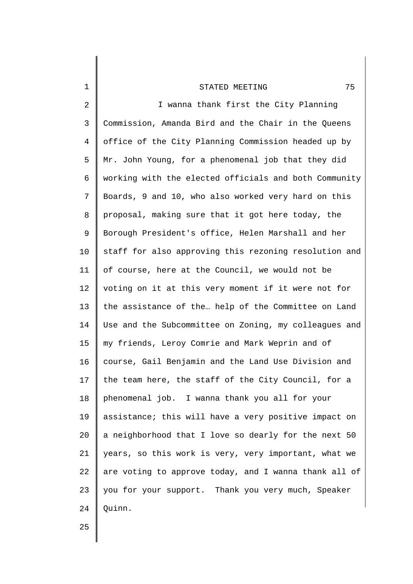| $\mathbf 1$    | 75<br>STATED MEETING                                  |
|----------------|-------------------------------------------------------|
| 2              | I wanna thank first the City Planning                 |
| 3              | Commission, Amanda Bird and the Chair in the Queens   |
| $\overline{4}$ | office of the City Planning Commission headed up by   |
| 5              | Mr. John Young, for a phenomenal job that they did    |
| 6              | working with the elected officials and both Community |
| 7              | Boards, 9 and 10, who also worked very hard on this   |
| 8              | proposal, making sure that it got here today, the     |
| $\mathsf 9$    | Borough President's office, Helen Marshall and her    |
| 10             | staff for also approving this rezoning resolution and |
| 11             | of course, here at the Council, we would not be       |
| 12             | voting on it at this very moment if it were not for   |
| 13             | the assistance of the help of the Committee on Land   |
| 14             | Use and the Subcommittee on Zoning, my colleagues and |
| 15             | my friends, Leroy Comrie and Mark Weprin and of       |
| 16             | course, Gail Benjamin and the Land Use Division and   |
| 17             | the team here, the staff of the City Council, for a   |
| 18             | phenomenal job. I wanna thank you all for your        |
| 19             | assistance; this will have a very positive impact on  |
| 20             | a neighborhood that I love so dearly for the next 50  |
| 21             | years, so this work is very, very important, what we  |
| 22             | are voting to approve today, and I wanna thank all of |
| 23             | you for your support. Thank you very much, Speaker    |
| 24             | Quinn.                                                |
| 25             |                                                       |

║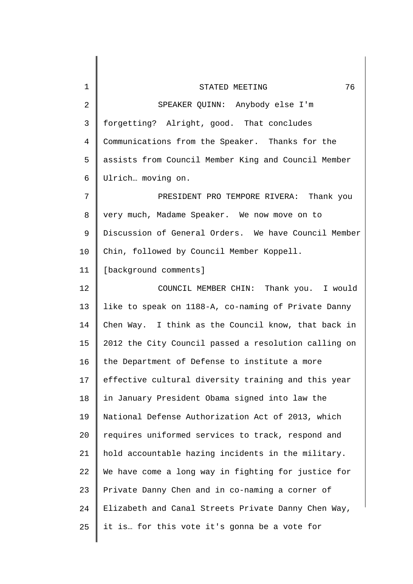| $\mathbf 1$    | 76<br>STATED MEETING                                 |
|----------------|------------------------------------------------------|
| $\overline{2}$ | SPEAKER QUINN: Anybody else I'm                      |
| 3              | forgetting? Alright, good. That concludes            |
| 4              | Communications from the Speaker. Thanks for the      |
| 5              | assists from Council Member King and Council Member  |
| 6              | Ulrich moving on.                                    |
| 7              | PRESIDENT PRO TEMPORE RIVERA: Thank you              |
| 8              | very much, Madame Speaker. We now move on to         |
| 9              | Discussion of General Orders. We have Council Member |
| 10             | Chin, followed by Council Member Koppell.            |
| 11             | [background comments]                                |
| 12             | COUNCIL MEMBER CHIN: Thank you. I would              |
| 13             | like to speak on 1188-A, co-naming of Private Danny  |
| 14             | Chen Way. I think as the Council know, that back in  |
| 15             | 2012 the City Council passed a resolution calling on |
| 16             | the Department of Defense to institute a more        |
| 17             | effective cultural diversity training and this year  |
| 18             | in January President Obama signed into law the       |
| 19             | National Defense Authorization Act of 2013, which    |
| 20             | requires uniformed services to track, respond and    |
| 21             | hold accountable hazing incidents in the military.   |
| 22             | We have come a long way in fighting for justice for  |
| 23             | Private Danny Chen and in co-naming a corner of      |
| 24             | Elizabeth and Canal Streets Private Danny Chen Way,  |
| 25             | it is for this vote it's gonna be a vote for         |
|                |                                                      |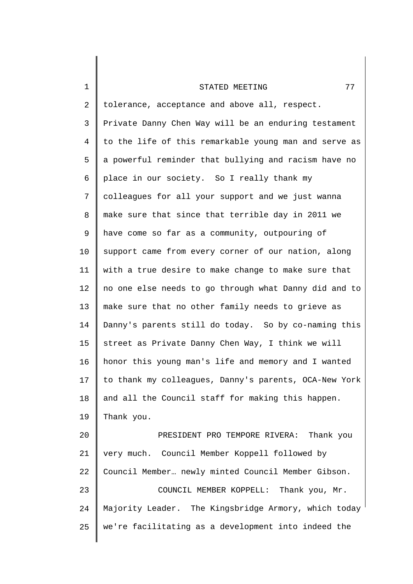1 2 3 4 5 6 7 8 9 10 11 12 13 14 15 16 17 18 19 20 21 22 23 24 STATED MEETING 77 tolerance, acceptance and above all, respect. Private Danny Chen Way will be an enduring testament to the life of this remarkable young man and serve as a powerful reminder that bullying and racism have no place in our society. So I really thank my colleagues for all your support and we just wanna make sure that since that terrible day in 2011 we have come so far as a community, outpouring of support came from every corner of our nation, along with a true desire to make change to make sure that no one else needs to go through what Danny did and to make sure that no other family needs to grieve as Danny's parents still do today. So by co-naming this street as Private Danny Chen Way, I think we will honor this young man's life and memory and I wanted to thank my colleagues, Danny's parents, OCA-New York and all the Council staff for making this happen. Thank you. PRESIDENT PRO TEMPORE RIVERA: Thank you very much. Council Member Koppell followed by Council Member… newly minted Council Member Gibson. COUNCIL MEMBER KOPPELL: Thank you, Mr. Majority Leader. The Kingsbridge Armory, which today

we're facilitating as a development into indeed the

25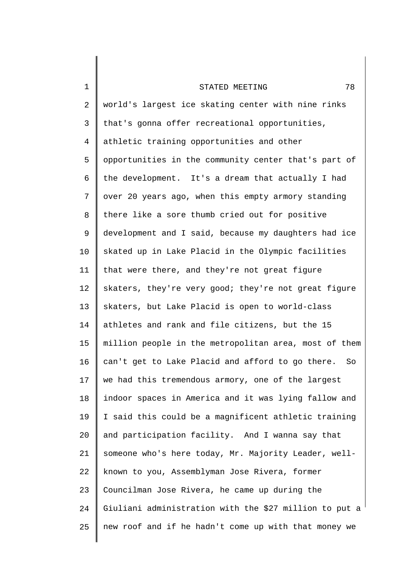1 2 3 4 5 6 7 8 9 10 11 12 13 14 15 16 17 18 19 20 21 22 23 24 25 STATED MEETING 78 world's largest ice skating center with nine rinks that's gonna offer recreational opportunities, athletic training opportunities and other opportunities in the community center that's part of the development. It's a dream that actually I had over 20 years ago, when this empty armory standing there like a sore thumb cried out for positive development and I said, because my daughters had ice skated up in Lake Placid in the Olympic facilities that were there, and they're not great figure skaters, they're very good; they're not great figure skaters, but Lake Placid is open to world-class athletes and rank and file citizens, but the 15 million people in the metropolitan area, most of them can't get to Lake Placid and afford to go there. So we had this tremendous armory, one of the largest indoor spaces in America and it was lying fallow and I said this could be a magnificent athletic training and participation facility. And I wanna say that someone who's here today, Mr. Majority Leader, wellknown to you, Assemblyman Jose Rivera, former Councilman Jose Rivera, he came up during the Giuliani administration with the \$27 million to put a new roof and if he hadn't come up with that money we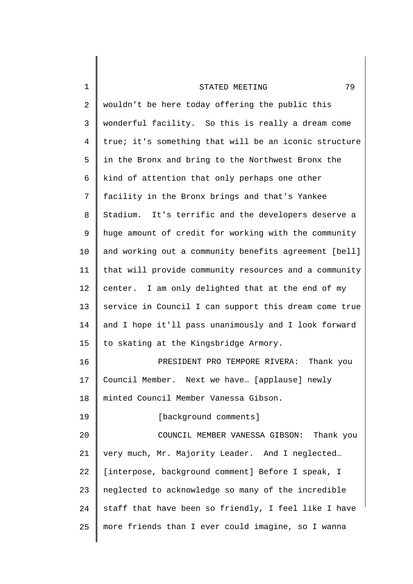| $\mathbf 1$    | 79<br>STATED MEETING                                  |
|----------------|-------------------------------------------------------|
| $\overline{c}$ | wouldn't be here today offering the public this       |
| 3              | wonderful facility. So this is really a dream come    |
| 4              | true; it's something that will be an iconic structure |
| 5              | in the Bronx and bring to the Northwest Bronx the     |
| 6              | kind of attention that only perhaps one other         |
| 7              | facility in the Bronx brings and that's Yankee        |
| 8              | Stadium. It's terrific and the developers deserve a   |
| 9              | huge amount of credit for working with the community  |
| 10             | and working out a community benefits agreement [bell] |
| 11             | that will provide community resources and a community |
| 12             | center. I am only delighted that at the end of my     |
| 13             | service in Council I can support this dream come true |
| 14             | and I hope it'll pass unanimously and I look forward  |
| 15             | to skating at the Kingsbridge Armory.                 |
| 16             | PRESIDENT PRO TEMPORE RIVERA: Thank you               |
| 17             | Council Member. Next we have [applause] newly         |
| 18             | minted Council Member Vanessa Gibson.                 |
| 19             | [background comments]                                 |
| 20             | COUNCIL MEMBER VANESSA GIBSON:<br>Thank you           |
| 21             | very much, Mr. Majority Leader. And I neglected       |
| 22             | [interpose, background comment] Before I speak, I     |
| 23             | neglected to acknowledge so many of the incredible    |
| 24             | staff that have been so friendly, I feel like I have  |
| 25             | more friends than I ever could imagine, so I wanna    |
|                |                                                       |

 $\begin{array}{c} \hline \end{array}$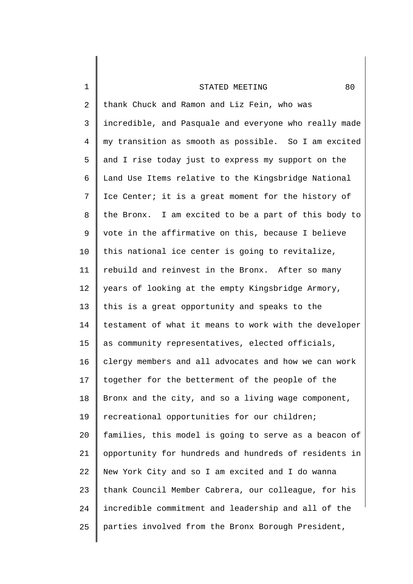| $\mathbf{1}$ | 80<br>STATED MEETING                                  |
|--------------|-------------------------------------------------------|
| 2            | thank Chuck and Ramon and Liz Fein, who was           |
| 3            | incredible, and Pasquale and everyone who really made |
| 4            | my transition as smooth as possible. So I am excited  |
| 5            | and I rise today just to express my support on the    |
| 6            | Land Use Items relative to the Kingsbridge National   |
| 7            | Ice Center; it is a great moment for the history of   |
| 8            | the Bronx. I am excited to be a part of this body to  |
| 9            | vote in the affirmative on this, because I believe    |
| 10           | this national ice center is going to revitalize,      |
| 11           | rebuild and reinvest in the Bronx. After so many      |
| 12           | years of looking at the empty Kingsbridge Armory,     |
| 13           | this is a great opportunity and speaks to the         |
| 14           | testament of what it means to work with the developer |
| 15           | as community representatives, elected officials,      |
| 16           | clergy members and all advocates and how we can work  |
| 17           | together for the betterment of the people of the      |
| 18           | Bronx and the city, and so a living wage component,   |
| 19           | recreational opportunities for our children;          |
| 20           | families, this model is going to serve as a beacon of |
| 21           | opportunity for hundreds and hundreds of residents in |
| 22           | New York City and so I am excited and I do wanna      |
| 23           | thank Council Member Cabrera, our colleague, for his  |
| 24           | incredible commitment and leadership and all of the   |
| 25           | parties involved from the Bronx Borough President,    |
|              |                                                       |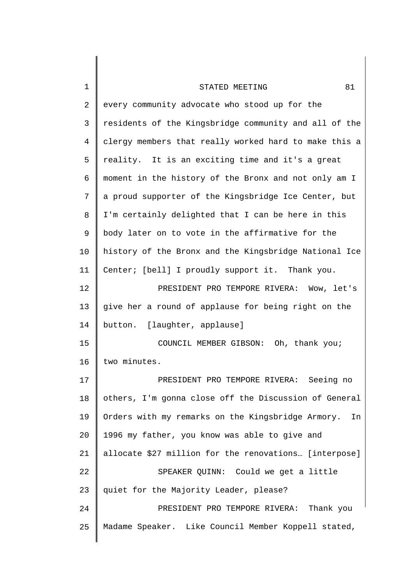| 1  | 81<br>STATED MEETING                                  |
|----|-------------------------------------------------------|
| 2  | every community advocate who stood up for the         |
| 3  | residents of the Kingsbridge community and all of the |
| 4  | clergy members that really worked hard to make this a |
| 5  | reality. It is an exciting time and it's a great      |
| 6  | moment in the history of the Bronx and not only am I  |
| 7  | a proud supporter of the Kingsbridge Ice Center, but  |
| 8  | I'm certainly delighted that I can be here in this    |
| 9  | body later on to vote in the affirmative for the      |
| 10 | history of the Bronx and the Kingsbridge National Ice |
| 11 | Center; [bell] I proudly support it. Thank you.       |
| 12 | PRESIDENT PRO TEMPORE RIVERA: Wow, let's              |
| 13 | give her a round of applause for being right on the   |
| 14 | button. [laughter, applause]                          |
| 15 | COUNCIL MEMBER GIBSON: Oh, thank you;                 |
| 16 | two minutes.                                          |
| 17 | PRESIDENT PRO TEMPORE RIVERA: Seeing no               |
| 18 | others, I'm gonna close off the Discussion of General |
| 19 | Orders with my remarks on the Kingsbridge Armory. In  |
| 20 | 1996 my father, you know was able to give and         |
| 21 | allocate \$27 million for the renovations [interpose] |
| 22 | SPEAKER QUINN: Could we get a little                  |
| 23 | quiet for the Majority Leader, please?                |
| 24 | PRESIDENT PRO TEMPORE RIVERA: Thank you               |
| 25 | Madame Speaker. Like Council Member Koppell stated,   |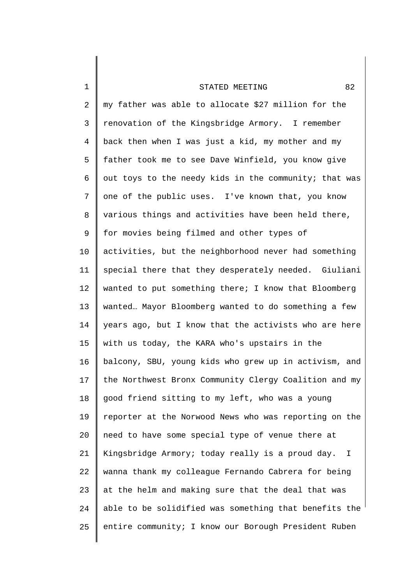STATED MEETING 82

1

2 3 4 5 6 7 8 9 10 11 12 13 14 15 16 17 18 19 20 21 22 23 24 25 my father was able to allocate \$27 million for the renovation of the Kingsbridge Armory. I remember back then when I was just a kid, my mother and my father took me to see Dave Winfield, you know give out toys to the needy kids in the community; that was one of the public uses. I've known that, you know various things and activities have been held there, for movies being filmed and other types of activities, but the neighborhood never had something special there that they desperately needed. Giuliani wanted to put something there; I know that Bloomberg wanted… Mayor Bloomberg wanted to do something a few years ago, but I know that the activists who are here with us today, the KARA who's upstairs in the balcony, SBU, young kids who grew up in activism, and the Northwest Bronx Community Clergy Coalition and my good friend sitting to my left, who was a young reporter at the Norwood News who was reporting on the need to have some special type of venue there at Kingsbridge Armory; today really is a proud day. I wanna thank my colleague Fernando Cabrera for being at the helm and making sure that the deal that was able to be solidified was something that benefits the entire community; I know our Borough President Ruben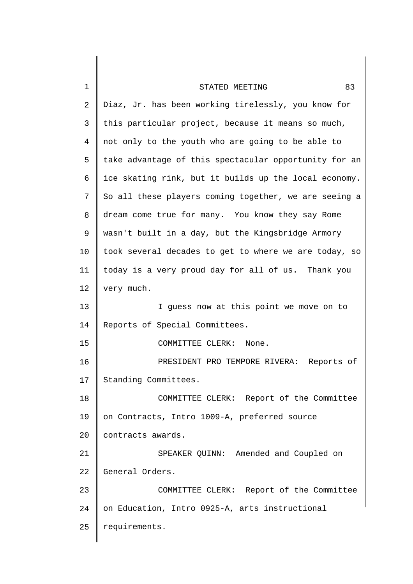| 1  | 83<br>STATED MEETING                                  |
|----|-------------------------------------------------------|
| 2  | Diaz, Jr. has been working tirelessly, you know for   |
| 3  | this particular project, because it means so much,    |
| 4  | not only to the youth who are going to be able to     |
| 5  | take advantage of this spectacular opportunity for an |
| 6  | ice skating rink, but it builds up the local economy. |
| 7  | So all these players coming together, we are seeing a |
| 8  | dream come true for many. You know they say Rome      |
| 9  | wasn't built in a day, but the Kingsbridge Armory     |
| 10 | took several decades to get to where we are today, so |
| 11 | today is a very proud day for all of us. Thank you    |
| 12 | very much.                                            |
| 13 | I guess now at this point we move on to               |
| 14 | Reports of Special Committees.                        |
| 15 | COMMITTEE CLERK:<br>None.                             |
| 16 | PRESIDENT PRO TEMPORE RIVERA: Reports of              |
| 17 | Standing Committees.                                  |
| 18 | COMMITTEE CLERK: Report of the Committee              |
| 19 | on Contracts, Intro 1009-A, preferred source          |
| 20 | contracts awards.                                     |
| 21 | SPEAKER QUINN: Amended and Coupled on                 |
| 22 | General Orders.                                       |
| 23 | COMMITTEE CLERK: Report of the Committee              |
| 24 | on Education, Intro 0925-A, arts instructional        |
| 25 | requirements.                                         |
|    |                                                       |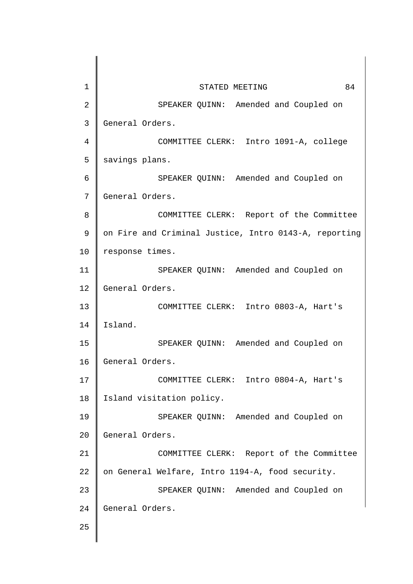| 1              | 84<br>STATED MEETING                                  |
|----------------|-------------------------------------------------------|
| $\overline{2}$ | SPEAKER QUINN: Amended and Coupled on                 |
| 3              | General Orders.                                       |
| 4              | COMMITTEE CLERK: Intro 1091-A, college                |
| 5              | savings plans.                                        |
| 6              | SPEAKER QUINN: Amended and Coupled on                 |
| 7              | General Orders.                                       |
| 8              | COMMITTEE CLERK: Report of the Committee              |
| 9              | on Fire and Criminal Justice, Intro 0143-A, reporting |
| 10             | response times.                                       |
| 11             | SPEAKER QUINN: Amended and Coupled on                 |
| 12             | General Orders.                                       |
| 13             | COMMITTEE CLERK: Intro 0803-A, Hart's                 |
| 14             | Island.                                               |
| 15             | SPEAKER QUINN: Amended and Coupled on                 |
| 16             | General Orders.                                       |
| 17             | COMMITTEE CLERK: Intro 0804-A, Hart's                 |
| 18             | Island visitation policy.                             |
| 19             | SPEAKER QUINN: Amended and Coupled on                 |
| 20             | General Orders.                                       |
| 21             | COMMITTEE CLERK: Report of the Committee              |
| 22             | on General Welfare, Intro 1194-A, food security.      |
| 23             | SPEAKER QUINN: Amended and Coupled on                 |
| 24             | General Orders.                                       |
| 25             |                                                       |
|                |                                                       |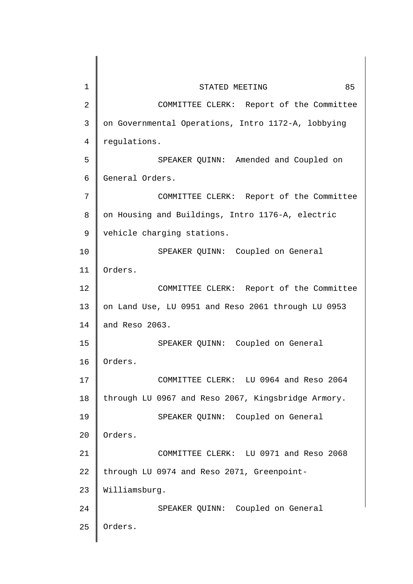| 1  | 85<br>STATED MEETING                               |
|----|----------------------------------------------------|
| 2  | COMMITTEE CLERK: Report of the Committee           |
| 3  | on Governmental Operations, Intro 1172-A, lobbying |
| 4  | regulations.                                       |
| 5  | SPEAKER QUINN: Amended and Coupled on              |
| 6  | General Orders.                                    |
| 7  | COMMITTEE CLERK: Report of the Committee           |
| 8  | on Housing and Buildings, Intro 1176-A, electric   |
| 9  | vehicle charging stations.                         |
| 10 | SPEAKER QUINN: Coupled on General                  |
| 11 | Orders.                                            |
| 12 | COMMITTEE CLERK: Report of the Committee           |
| 13 | on Land Use, LU 0951 and Reso 2061 through LU 0953 |
| 14 | and Reso 2063.                                     |
| 15 | SPEAKER QUINN: Coupled on General                  |
| 16 | Orders.                                            |
| 17 | COMMITTEE CLERK: LU 0964 and Reso 2064             |
| 18 | through LU 0967 and Reso 2067, Kingsbridge Armory. |
| 19 | SPEAKER QUINN: Coupled on General                  |
| 20 | Orders.                                            |
| 21 | COMMITTEE CLERK: LU 0971 and Reso 2068             |
| 22 | through LU 0974 and Reso 2071, Greenpoint-         |
| 23 | Williamsburg.                                      |
| 24 | SPEAKER QUINN: Coupled on General                  |
| 25 | Orders.                                            |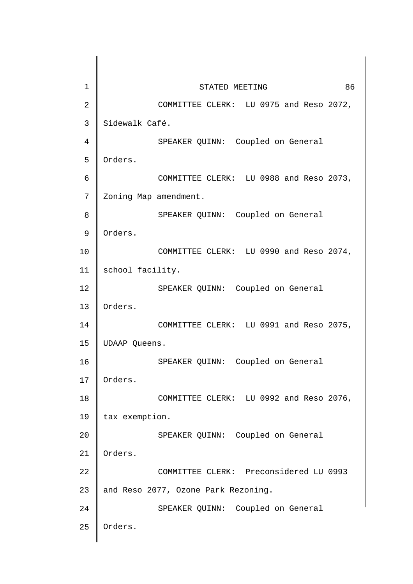| $\mathbf 1$    | 86<br>STATED MEETING                    |
|----------------|-----------------------------------------|
| $\overline{2}$ | COMMITTEE CLERK: LU 0975 and Reso 2072, |
| $\mathbf{3}$   | Sidewalk Café.                          |
| 4              | SPEAKER QUINN: Coupled on General       |
| 5              | Orders.                                 |
| 6              | COMMITTEE CLERK: LU 0988 and Reso 2073, |
| 7              | Zoning Map amendment.                   |
| 8              | SPEAKER QUINN: Coupled on General       |
| 9              | Orders.                                 |
| 10             | COMMITTEE CLERK: LU 0990 and Reso 2074, |
| 11             | school facility.                        |
| 12             | SPEAKER QUINN: Coupled on General       |
| 13             | Orders.                                 |
| 14             | COMMITTEE CLERK: LU 0991 and Reso 2075, |
| 15             | UDAAP Queens.                           |
| 16             | SPEAKER QUINN: Coupled on General       |
| 17             | Orders.                                 |
| 18             | COMMITTEE CLERK: LU 0992 and Reso 2076, |
| 19             | tax exemption.                          |
| 20             | SPEAKER QUINN: Coupled on General       |
| 21             | Orders.                                 |
| 22             | COMMITTEE CLERK: Preconsidered LU 0993  |
| 23             | and Reso 2077, Ozone Park Rezoning.     |
| 24             | SPEAKER QUINN: Coupled on General       |
| 25             | Orders.                                 |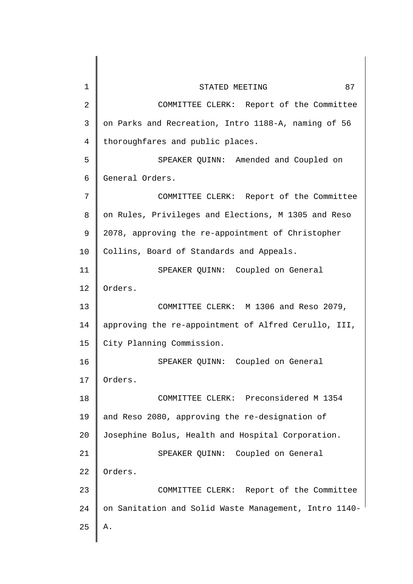1 2 3 4 5 6 7 8 9 10 11 12 13 14 15 16 17 18 19 20 21 22 23 24 25 STATED MEETING 67 COMMITTEE CLERK: Report of the Committee on Parks and Recreation, Intro 1188-A, naming of 56 thoroughfares and public places. SPEAKER QUINN: Amended and Coupled on General Orders. COMMITTEE CLERK: Report of the Committee on Rules, Privileges and Elections, M 1305 and Reso 2078, approving the re-appointment of Christopher Collins, Board of Standards and Appeals. SPEAKER QUINN: Coupled on General Orders. COMMITTEE CLERK: M 1306 and Reso 2079, approving the re-appointment of Alfred Cerullo, III, City Planning Commission. SPEAKER QUINN: Coupled on General Orders. COMMITTEE CLERK: Preconsidered M 1354 and Reso 2080, approving the re-designation of Josephine Bolus, Health and Hospital Corporation. SPEAKER QUINN: Coupled on General Orders. COMMITTEE CLERK: Report of the Committee on Sanitation and Solid Waste Management, Intro 1140- A.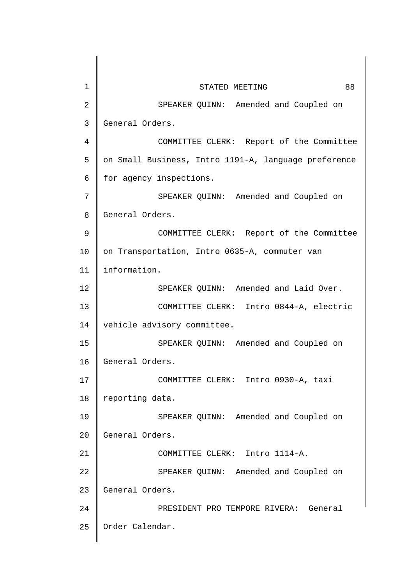| 1              | 88<br>STATED MEETING                                 |
|----------------|------------------------------------------------------|
| $\overline{2}$ | SPEAKER QUINN: Amended and Coupled on                |
| 3              | General Orders.                                      |
| 4              | COMMITTEE CLERK: Report of the Committee             |
| 5              | on Small Business, Intro 1191-A, language preference |
| 6              | for agency inspections.                              |
| 7              | SPEAKER QUINN: Amended and Coupled on                |
| 8              | General Orders.                                      |
| 9              | COMMITTEE CLERK: Report of the Committee             |
| 10             | on Transportation, Intro 0635-A, commuter van        |
| 11             | information.                                         |
| 12             | SPEAKER QUINN: Amended and Laid Over.                |
| 13             | COMMITTEE CLERK: Intro 0844-A, electric              |
| 14             | vehicle advisory committee.                          |
| 15             | SPEAKER QUINN: Amended and Coupled on                |
| 16             | General Orders.                                      |
| 17             | COMMITTEE CLERK: Intro 0930-A, taxi                  |
| 18             | reporting data.                                      |
| 19             | SPEAKER QUINN: Amended and Coupled on                |
| 20             | General Orders.                                      |
| 21             | COMMITTEE CLERK: Intro 1114-A.                       |
| 22             | SPEAKER QUINN: Amended and Coupled on                |
| 23             | General Orders.                                      |
| 24             | PRESIDENT PRO TEMPORE RIVERA: General                |
| 25             | Order Calendar.                                      |
|                |                                                      |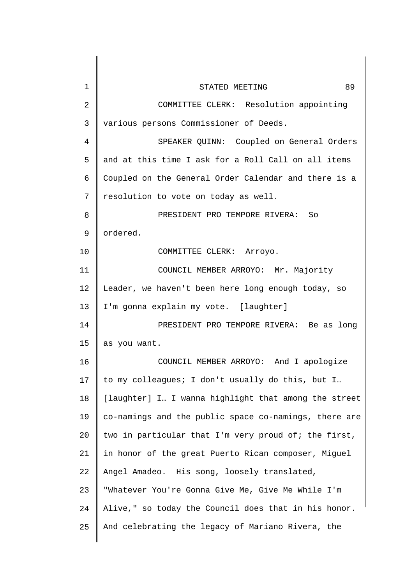| 1  | 89<br>STATED MEETING                                  |
|----|-------------------------------------------------------|
| 2  | COMMITTEE CLERK: Resolution appointing                |
| 3  | various persons Commissioner of Deeds.                |
| 4  | SPEAKER QUINN: Coupled on General Orders              |
| 5  | and at this time I ask for a Roll Call on all items   |
| 6  | Coupled on the General Order Calendar and there is a  |
| 7  | resolution to vote on today as well.                  |
| 8  | PRESIDENT PRO TEMPORE RIVERA: So                      |
| 9  | ordered.                                              |
| 10 | COMMITTEE CLERK: Arroyo.                              |
| 11 | COUNCIL MEMBER ARROYO: Mr. Majority                   |
| 12 | Leader, we haven't been here long enough today, so    |
| 13 | I'm gonna explain my vote. [laughter]                 |
| 14 | PRESIDENT PRO TEMPORE RIVERA: Be as long              |
| 15 | as you want.                                          |
| 16 | COUNCIL MEMBER ARROYO: And I apologize                |
| 17 | to my colleagues; I don't usually do this, but I      |
| 18 | [laughter] I I wanna highlight that among the street  |
| 19 | co-namings and the public space co-namings, there are |
| 20 | two in particular that I'm very proud of; the first,  |
| 21 | in honor of the great Puerto Rican composer, Miguel   |
| 22 | Angel Amadeo. His song, loosely translated,           |
| 23 | "Whatever You're Gonna Give Me, Give Me While I'm     |
| 24 | Alive," so today the Council does that in his honor.  |
| 25 | And celebrating the legacy of Mariano Rivera, the     |
|    |                                                       |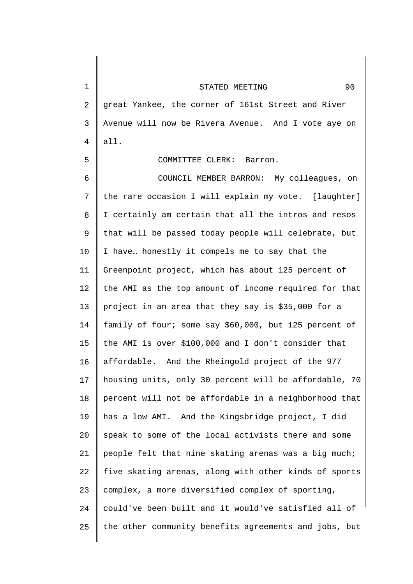1 2 3 4 5 6 7 8 9 10 11 12 13 14 15 16 17 18 19 20 21 22 23 24 STATED MEETING 90 great Yankee, the corner of 161st Street and River Avenue will now be Rivera Avenue. And I vote aye on all. COMMITTEE CLERK: Barron. COUNCIL MEMBER BARRON: My colleagues, on the rare occasion I will explain my vote. [laughter] I certainly am certain that all the intros and resos that will be passed today people will celebrate, but I have… honestly it compels me to say that the Greenpoint project, which has about 125 percent of the AMI as the top amount of income required for that project in an area that they say is \$35,000 for a family of four; some say \$60,000, but 125 percent of the AMI is over \$100,000 and I don't consider that affordable. And the Rheingold project of the 977 housing units, only 30 percent will be affordable, 70 percent will not be affordable in a neighborhood that has a low AMI. And the Kingsbridge project, I did speak to some of the local activists there and some people felt that nine skating arenas was a big much; five skating arenas, along with other kinds of sports complex, a more diversified complex of sporting, could've been built and it would've satisfied all of

the other community benefits agreements and jobs, but

25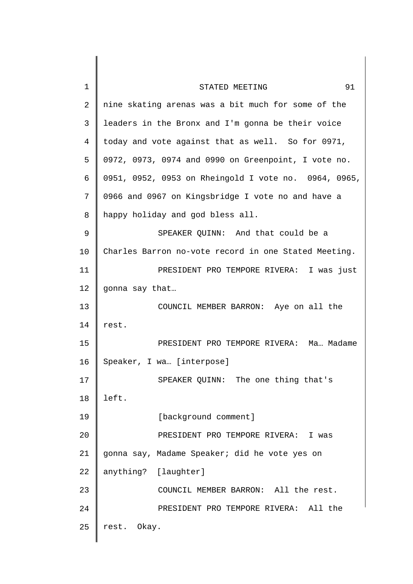| 1              | 91<br>STATED MEETING                                 |
|----------------|------------------------------------------------------|
| $\overline{2}$ | nine skating arenas was a bit much for some of the   |
| 3              | leaders in the Bronx and I'm gonna be their voice    |
| 4              | today and vote against that as well. So for 0971,    |
| 5              | 0972, 0973, 0974 and 0990 on Greenpoint, I vote no.  |
| 6              | 0951, 0952, 0953 on Rheingold I vote no. 0964, 0965, |
| 7              | 0966 and 0967 on Kingsbridge I vote no and have a    |
| 8              | happy holiday and god bless all.                     |
| 9              | SPEAKER QUINN: And that could be a                   |
| 10             | Charles Barron no-vote record in one Stated Meeting. |
| 11             | PRESIDENT PRO TEMPORE RIVERA: I was just             |
| 12             | gonna say that                                       |
| 13             | COUNCIL MEMBER BARRON: Aye on all the                |
| 14             | rest.                                                |
| 15             | PRESIDENT PRO TEMPORE RIVERA: Ma Madame              |
| 16             | Speaker, I wa [interpose]                            |
| 17             | SPEAKER QUINN: The one thing that's                  |
| 18             | left.                                                |
| 19             | [background comment]                                 |
| 20             | PRESIDENT PRO TEMPORE RIVERA: I was                  |
| 21             | gonna say, Madame Speaker; did he vote yes on        |
| 22             | anything? [laughter]                                 |
| 23             | COUNCIL MEMBER BARRON: All the rest.                 |
| 24             | PRESIDENT PRO TEMPORE RIVERA: All the                |
| 25             | rest. Okay.                                          |
|                |                                                      |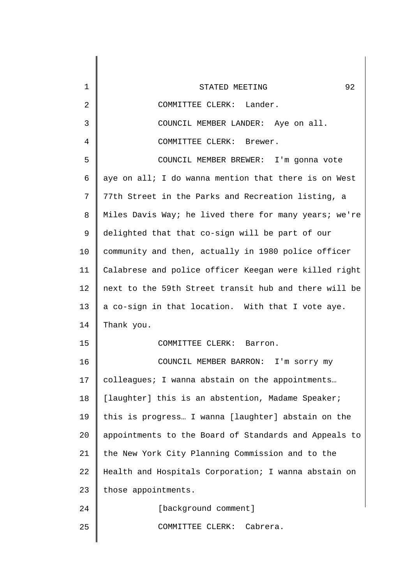| $\mathbf{1}$ | 92<br>STATED MEETING                                  |
|--------------|-------------------------------------------------------|
| 2            | COMMITTEE CLERK: Lander.                              |
| 3            | COUNCIL MEMBER LANDER: Aye on all.                    |
| 4            | COMMITTEE CLERK: Brewer.                              |
| 5            | COUNCIL MEMBER BREWER: I'm gonna vote                 |
| 6            | aye on all; I do wanna mention that there is on West  |
| 7            | 77th Street in the Parks and Recreation listing, a    |
| 8            | Miles Davis Way; he lived there for many years; we're |
| 9            | delighted that that co-sign will be part of our       |
| 10           | community and then, actually in 1980 police officer   |
| 11           | Calabrese and police officer Keegan were killed right |
| 12           | next to the 59th Street transit hub and there will be |
| 13           | a co-sign in that location. With that I vote aye.     |
| 14           | Thank you.                                            |
| 15           | COMMITTEE CLERK: Barron.                              |
| 16           | COUNCIL MEMBER BARRON: I'm sorry my                   |
| 17           | colleagues; I wanna abstain on the appointments       |
| 18           | [laughter] this is an abstention, Madame Speaker;     |
| 19           | this is progress I wanna [laughter] abstain on the    |
| 20           | appointments to the Board of Standards and Appeals to |
| 21           | the New York City Planning Commission and to the      |
| 22           | Health and Hospitals Corporation; I wanna abstain on  |
| 23           | those appointments.                                   |
| 24           | [background comment]                                  |
| 25           | COMMITTEE CLERK:<br>Cabrera.                          |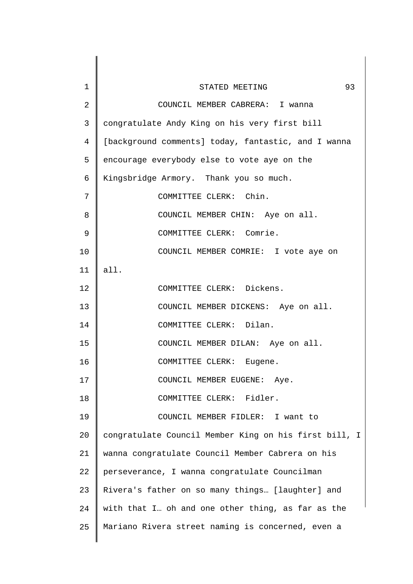| 1  | 93<br>STATED MEETING                                  |
|----|-------------------------------------------------------|
| 2  | COUNCIL MEMBER CABRERA: I wanna                       |
| 3  | congratulate Andy King on his very first bill         |
| 4  | [background comments] today, fantastic, and I wanna   |
| 5  | encourage everybody else to vote aye on the           |
| 6  | Kingsbridge Armory. Thank you so much.                |
| 7  | COMMITTEE CLERK: Chin.                                |
| 8  | COUNCIL MEMBER CHIN: Aye on all.                      |
| 9  | COMMITTEE CLERK: Comrie.                              |
| 10 | COUNCIL MEMBER COMRIE: I vote aye on                  |
| 11 | all.                                                  |
| 12 | COMMITTEE CLERK: Dickens.                             |
| 13 | COUNCIL MEMBER DICKENS: Aye on all.                   |
| 14 | COMMITTEE CLERK: Dilan.                               |
| 15 | COUNCIL MEMBER DILAN: Aye on all.                     |
| 16 | COMMITTEE CLERK: Eugene.                              |
| 17 | COUNCIL MEMBER EUGENE: Aye.                           |
| 18 | COMMITTEE CLERK: Fidler.                              |
| 19 | COUNCIL MEMBER FIDLER: I want to                      |
| 20 | congratulate Council Member King on his first bill, I |
| 21 | wanna congratulate Council Member Cabrera on his      |
| 22 | perseverance, I wanna congratulate Councilman         |
| 23 | Rivera's father on so many things [laughter] and      |
| 24 | with that I oh and one other thing, as far as the     |
| 25 | Mariano Rivera street naming is concerned, even a     |
|    |                                                       |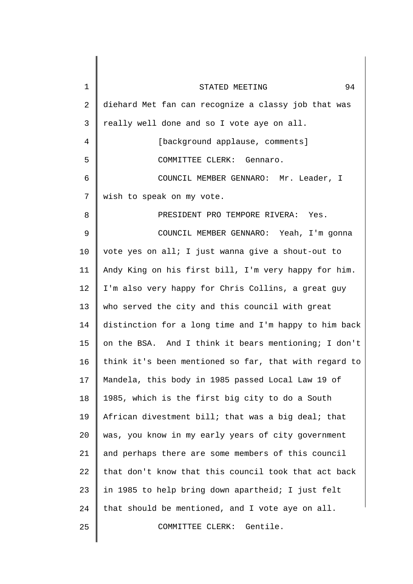| $\mathbf 1$    | 94<br>STATED MEETING                                  |
|----------------|-------------------------------------------------------|
| $\overline{2}$ | diehard Met fan can recognize a classy job that was   |
| $\mathsf{3}$   | really well done and so I vote aye on all.            |
| 4              | [background applause, comments]                       |
| 5              | COMMITTEE CLERK: Gennaro.                             |
| 6              | COUNCIL MEMBER GENNARO: Mr. Leader, I                 |
| 7              | wish to speak on my vote.                             |
| 8              | PRESIDENT PRO TEMPORE RIVERA: Yes.                    |
| 9              | COUNCIL MEMBER GENNARO: Yeah, I'm gonna               |
| 10             | vote yes on all; I just wanna give a shout-out to     |
| 11             | Andy King on his first bill, I'm very happy for him.  |
| 12             | I'm also very happy for Chris Collins, a great guy    |
| 13             | who served the city and this council with great       |
| 14             | distinction for a long time and I'm happy to him back |
| 15             | on the BSA. And I think it bears mentioning; I don't  |
| 16             | think it's been mentioned so far, that with regard to |
| 17             | Mandela, this body in 1985 passed Local Law 19 of     |
| 18             | 1985, which is the first big city to do a South       |
| 19             | African divestment bill; that was a big deal; that    |
| 20             | was, you know in my early years of city government    |
| 21             | and perhaps there are some members of this council    |
| 22             | that don't know that this council took that act back  |
| 23             | in 1985 to help bring down apartheid; I just felt     |
| 24             | that should be mentioned, and I vote aye on all.      |
| 25             | COMMITTEE CLERK: Gentile.                             |
|                |                                                       |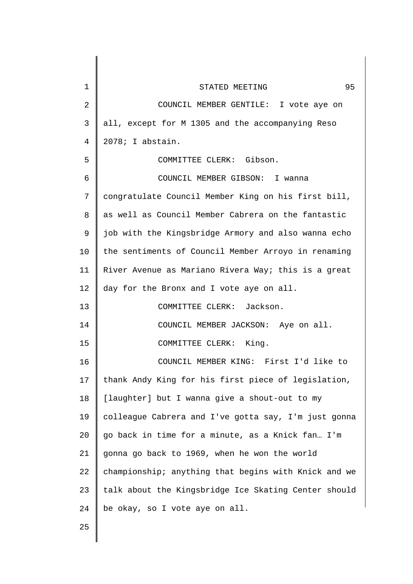| 1              | 95<br>STATED MEETING                                 |
|----------------|------------------------------------------------------|
| $\overline{2}$ | COUNCIL MEMBER GENTILE: I vote aye on                |
| 3              | all, except for M 1305 and the accompanying Reso     |
| 4              | 2078; I abstain.                                     |
| 5              | COMMITTEE CLERK: Gibson.                             |
| 6              | COUNCIL MEMBER GIBSON: I wanna                       |
| 7              | congratulate Council Member King on his first bill,  |
| 8              | as well as Council Member Cabrera on the fantastic   |
| 9              | job with the Kingsbridge Armory and also wanna echo  |
| 10             | the sentiments of Council Member Arroyo in renaming  |
| 11             | River Avenue as Mariano Rivera Way; this is a great  |
| 12             | day for the Bronx and I vote aye on all.             |
| 13             | COMMITTEE CLERK: Jackson.                            |
| 14             | COUNCIL MEMBER JACKSON: Aye on all.                  |
| 15             | COMMITTEE CLERK: King.                               |
| 16             | COUNCIL MEMBER KING: First I'd like to               |
| 17             | thank Andy King for his first piece of legislation,  |
| 18             | [laughter] but I wanna give a shout-out to my        |
| 19             | colleague Cabrera and I've gotta say, I'm just gonna |
| 20             | go back in time for a minute, as a Knick fan I'm     |
| 21             | gonna go back to 1969, when he won the world         |
| 22             | championship; anything that begins with Knick and we |
| 23             | talk about the Kingsbridge Ice Skating Center should |
| 24             | be okay, so I vote aye on all.                       |
| 25             |                                                      |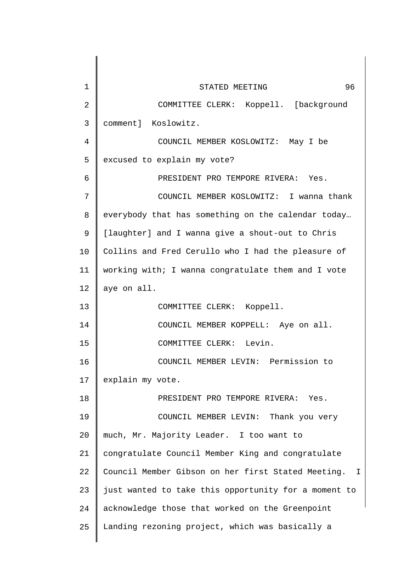| 1  | 96<br>STATED MEETING                                 |
|----|------------------------------------------------------|
| 2  | COMMITTEE CLERK: Koppell. [background                |
| 3  | comment] Koslowitz.                                  |
| 4  | COUNCIL MEMBER KOSLOWITZ: May I be                   |
| 5  | excused to explain my vote?                          |
| 6  | PRESIDENT PRO TEMPORE RIVERA: Yes.                   |
| 7  | COUNCIL MEMBER KOSLOWITZ: I wanna thank              |
| 8  | everybody that has something on the calendar today   |
| 9  | [laughter] and I wanna give a shout-out to Chris     |
| 10 | Collins and Fred Cerullo who I had the pleasure of   |
| 11 | working with; I wanna congratulate them and I vote   |
| 12 | aye on all.                                          |
| 13 | COMMITTEE CLERK: Koppell.                            |
| 14 | COUNCIL MEMBER KOPPELL: Aye on all.                  |
| 15 | COMMITTEE CLERK: Levin.                              |
| 16 | COUNCIL MEMBER LEVIN: Permission to                  |
| 17 | explain my vote.                                     |
| 18 | PRESIDENT PRO TEMPORE RIVERA: Yes.                   |
| 19 | COUNCIL MEMBER LEVIN: Thank you very                 |
| 20 | much, Mr. Majority Leader. I too want to             |
| 21 | congratulate Council Member King and congratulate    |
| 22 | Council Member Gibson on her first Stated Meeting. I |
| 23 | just wanted to take this opportunity for a moment to |
| 24 | acknowledge those that worked on the Greenpoint      |
| 25 | Landing rezoning project, which was basically a      |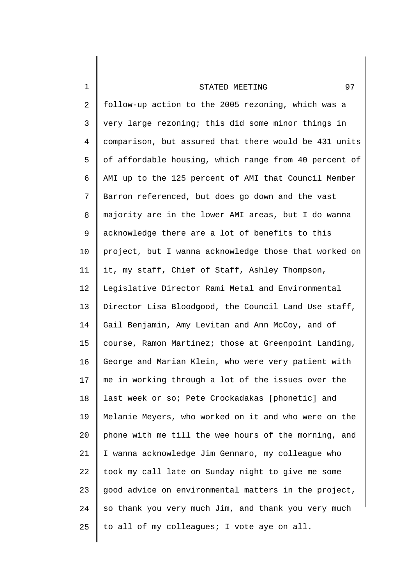1

2 3 4 5 6 7 8 9 10 11 12 13 14 15 16 17 18 19 20 21 22 23 24 25 follow-up action to the 2005 rezoning, which was a very large rezoning; this did some minor things in comparison, but assured that there would be 431 units of affordable housing, which range from 40 percent of AMI up to the 125 percent of AMI that Council Member Barron referenced, but does go down and the vast majority are in the lower AMI areas, but I do wanna acknowledge there are a lot of benefits to this project, but I wanna acknowledge those that worked on it, my staff, Chief of Staff, Ashley Thompson, Legislative Director Rami Metal and Environmental Director Lisa Bloodgood, the Council Land Use staff, Gail Benjamin, Amy Levitan and Ann McCoy, and of course, Ramon Martinez; those at Greenpoint Landing, George and Marian Klein, who were very patient with me in working through a lot of the issues over the last week or so; Pete Crockadakas [phonetic] and Melanie Meyers, who worked on it and who were on the phone with me till the wee hours of the morning, and I wanna acknowledge Jim Gennaro, my colleague who took my call late on Sunday night to give me some good advice on environmental matters in the project, so thank you very much Jim, and thank you very much to all of my colleagues; I vote aye on all.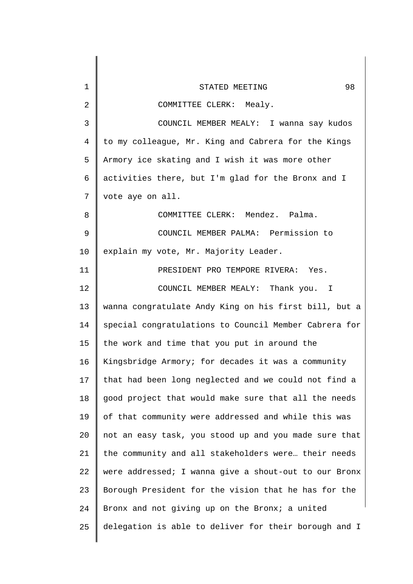| $\mathbf 1$ | 98<br>STATED MEETING                                  |
|-------------|-------------------------------------------------------|
| 2           | COMMITTEE CLERK: Mealy.                               |
| 3           | COUNCIL MEMBER MEALY: I wanna say kudos               |
| 4           | to my colleague, Mr. King and Cabrera for the Kings   |
| 5           | Armory ice skating and I wish it was more other       |
| 6           | activities there, but I'm glad for the Bronx and I    |
| 7           | vote aye on all.                                      |
| 8           | COMMITTEE CLERK: Mendez. Palma.                       |
| 9           | COUNCIL MEMBER PALMA: Permission to                   |
| 10          | explain my vote, Mr. Majority Leader.                 |
| 11          | PRESIDENT PRO TEMPORE RIVERA: Yes.                    |
| 12          | COUNCIL MEMBER MEALY: Thank you. I                    |
| 13          | wanna congratulate Andy King on his first bill, but a |
| 14          | special congratulations to Council Member Cabrera for |
| 15          | the work and time that you put in around the          |
| 16          | Kingsbridge Armory; for decades it was a community    |
| 17          | that had been long neglected and we could not find a  |
| 18          | good project that would make sure that all the needs  |
| 19          | of that community were addressed and while this was   |
| 20          | not an easy task, you stood up and you made sure that |
| 21          | the community and all stakeholders were their needs   |
| 22          | were addressed; I wanna give a shout-out to our Bronx |
| 23          | Borough President for the vision that he has for the  |
| 24          | Bronx and not giving up on the Bronx; a united        |
| 25          | delegation is able to deliver for their borough and I |
|             |                                                       |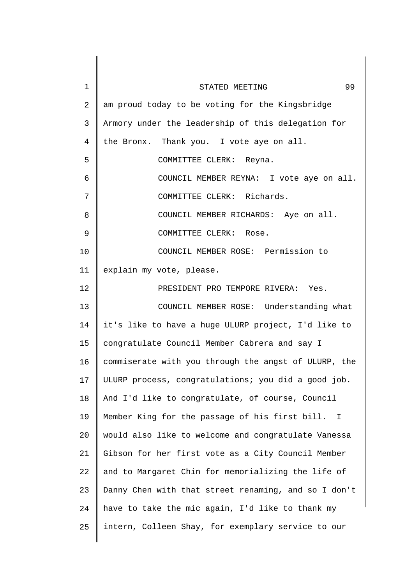| $\mathbf 1$    | 99<br>STATED MEETING                                           |
|----------------|----------------------------------------------------------------|
| $\overline{2}$ | am proud today to be voting for the Kingsbridge                |
| 3              | Armory under the leadership of this delegation for             |
| 4              | the Bronx. Thank you. I vote aye on all.                       |
| 5              | COMMITTEE CLERK:<br>Reyna.                                     |
| 6              | COUNCIL MEMBER REYNA: I vote aye on all.                       |
| 7              | COMMITTEE CLERK: Richards.                                     |
| 8              | COUNCIL MEMBER RICHARDS: Aye on all.                           |
| 9              | COMMITTEE CLERK:<br>Rose.                                      |
| 10             | COUNCIL MEMBER ROSE: Permission to                             |
| 11             | explain my vote, please.                                       |
| 12             | PRESIDENT PRO TEMPORE RIVERA: Yes.                             |
| 13             | COUNCIL MEMBER ROSE: Understanding what                        |
| 14             | it's like to have a huge ULURP project, I'd like to            |
| 15             | congratulate Council Member Cabrera and say I                  |
| 16             | commiserate with you through the angst of ULURP, the           |
| 17             | ULURP process, congratulations; you did a good job.            |
| 18             | And I'd like to congratulate, of course, Council               |
| 19             | Member King for the passage of his first bill.<br>$\mathbf{I}$ |
| 20             | would also like to welcome and congratulate Vanessa            |
| 21             | Gibson for her first vote as a City Council Member             |
| 22             | and to Margaret Chin for memorializing the life of             |
| 23             | Danny Chen with that street renaming, and so I don't           |
| 24             | have to take the mic again, I'd like to thank my               |
| 25             | intern, Colleen Shay, for exemplary service to our             |
|                |                                                                |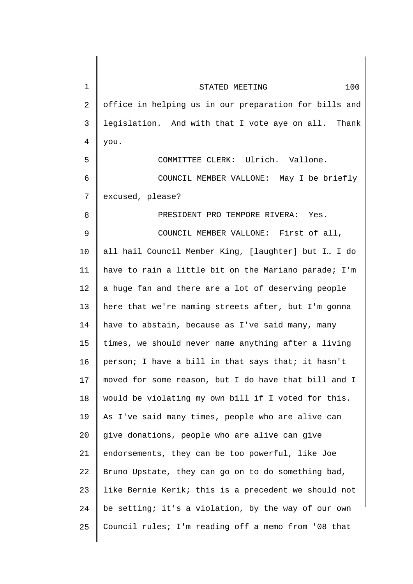| $\mathbf 1$ | 100<br>STATED MEETING                                 |
|-------------|-------------------------------------------------------|
| 2           | office in helping us in our preparation for bills and |
| 3           | legislation. And with that I vote aye on all. Thank   |
| 4           | you.                                                  |
| 5           | COMMITTEE CLERK: Ulrich. Vallone.                     |
| 6           | COUNCIL MEMBER VALLONE: May I be briefly              |
| 7           | excused, please?                                      |
| 8           | PRESIDENT PRO TEMPORE RIVERA: Yes.                    |
| 9           | COUNCIL MEMBER VALLONE: First of all,                 |
| 10          | all hail Council Member King, [laughter] but I I do   |
| 11          | have to rain a little bit on the Mariano parade; I'm  |
| 12          | a huge fan and there are a lot of deserving people    |
| 13          | here that we're naming streets after, but I'm gonna   |
| 14          | have to abstain, because as I've said many, many      |
| 15          | times, we should never name anything after a living   |
| 16          | person; I have a bill in that says that; it hasn't    |
| 17          | moved for some reason, but I do have that bill and I  |
| 18          | would be violating my own bill if I voted for this.   |
| 19          | As I've said many times, people who are alive can     |
| 20          | give donations, people who are alive can give         |
| 21          | endorsements, they can be too powerful, like Joe      |
| 22          | Bruno Upstate, they can go on to do something bad,    |
| 23          | like Bernie Kerik; this is a precedent we should not  |
| 24          | be setting; it's a violation, by the way of our own   |
| 25          | Council rules; I'm reading off a memo from '08 that   |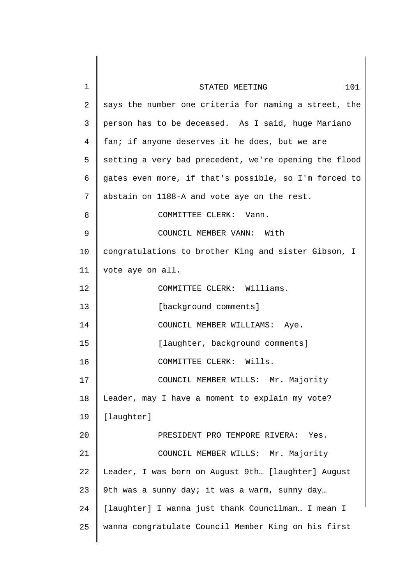| 1  | 101<br>STATED MEETING                                 |
|----|-------------------------------------------------------|
| 2  | says the number one criteria for naming a street, the |
| 3  | person has to be deceased. As I said, huge Mariano    |
| 4  | fan; if anyone deserves it he does, but we are        |
| 5  | setting a very bad precedent, we're opening the flood |
| 6  | gates even more, if that's possible, so I'm forced to |
| 7  | abstain on 1188-A and vote aye on the rest.           |
| 8  | COMMITTEE CLERK: Vann.                                |
| 9  | COUNCIL MEMBER VANN: With                             |
| 10 | congratulations to brother King and sister Gibson, I  |
| 11 | vote aye on all.                                      |
| 12 | COMMITTEE CLERK: Williams.                            |
| 13 | [background comments]                                 |
| 14 | COUNCIL MEMBER WILLIAMS: Aye.                         |
| 15 | [laughter, background comments]                       |
| 16 | Wills.<br>COMMITTEE CLERK:                            |
| 17 | COUNCIL MEMBER WILLS: Mr. Majority                    |
| 18 | Leader, may I have a moment to explain my vote?       |
| 19 | [laughter]                                            |
| 20 | PRESIDENT PRO TEMPORE RIVERA: Yes.                    |
| 21 | COUNCIL MEMBER WILLS: Mr. Majority                    |
| 22 | Leader, I was born on August 9th [laughter] August    |
| 23 | 9th was a sunny day; it was a warm, sunny day         |
| 24 | [laughter] I wanna just thank Councilman I mean I     |
| 25 | wanna congratulate Council Member King on his first   |
|    |                                                       |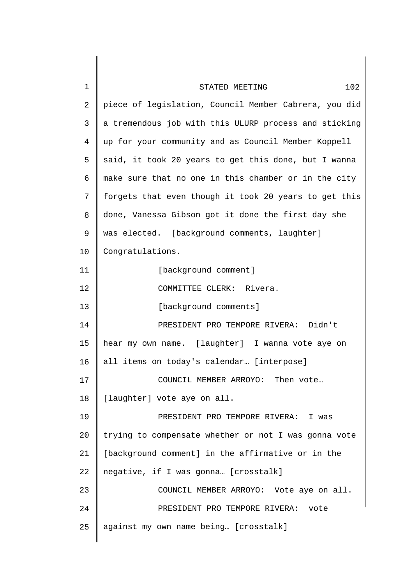| 1              | 102<br>STATED MEETING                                 |
|----------------|-------------------------------------------------------|
| $\overline{2}$ | piece of legislation, Council Member Cabrera, you did |
| 3              | a tremendous job with this ULURP process and sticking |
| $\overline{4}$ | up for your community and as Council Member Koppell   |
| 5              | said, it took 20 years to get this done, but I wanna  |
| 6              | make sure that no one in this chamber or in the city  |
| 7              | forgets that even though it took 20 years to get this |
| 8              | done, Vanessa Gibson got it done the first day she    |
| 9              | was elected. [background comments, laughter]          |
| 10             | Congratulations.                                      |
| 11             | [background comment]                                  |
| 12             | COMMITTEE CLERK: Rivera.                              |
| 13             | [background comments]                                 |
| 14             | PRESIDENT PRO TEMPORE RIVERA: Didn't                  |
| 15             | hear my own name. [laughter] I wanna vote aye on      |
| 16             | all items on today's calendar [interpose]             |
| 17             | COUNCIL MEMBER ARROYO: Then vote                      |
| 18             | [laughter] vote aye on all.                           |
| 19             | PRESIDENT PRO TEMPORE RIVERA: I was                   |
| 20             | trying to compensate whether or not I was gonna vote  |
| 21             | [background comment] in the affirmative or in the     |
| 22             | negative, if I was gonna [crosstalk]                  |
| 23             | COUNCIL MEMBER ARROYO: Vote aye on all.               |
| 24             | PRESIDENT PRO TEMPORE RIVERA: vote                    |
| 25             | against my own name being [crosstalk]                 |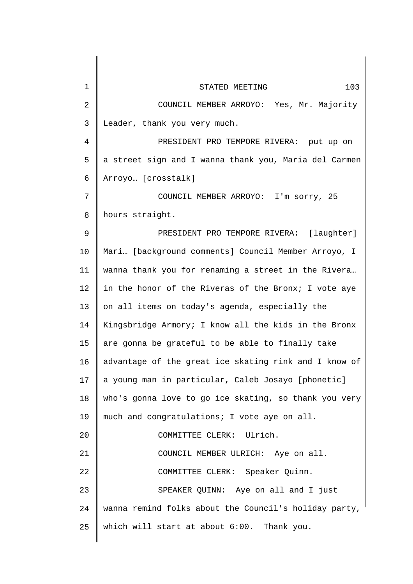| $\mathbf 1$ | 103<br>STATED MEETING                                 |
|-------------|-------------------------------------------------------|
| 2           | COUNCIL MEMBER ARROYO: Yes, Mr. Majority              |
| 3           | Leader, thank you very much.                          |
| 4           | PRESIDENT PRO TEMPORE RIVERA: put up on               |
| 5           | a street sign and I wanna thank you, Maria del Carmen |
| 6           | Arroyo [crosstalk]                                    |
| 7           | COUNCIL MEMBER ARROYO: I'm sorry, 25                  |
| 8           | hours straight.                                       |
| 9           | PRESIDENT PRO TEMPORE RIVERA: [laughter]              |
| 10          | Mari [background comments] Council Member Arroyo, I   |
| 11          | wanna thank you for renaming a street in the Rivera   |
| 12          | in the honor of the Riveras of the Bronx; I vote aye  |
| 13          | on all items on today's agenda, especially the        |
| 14          | Kingsbridge Armory; I know all the kids in the Bronx  |
| 15          | are gonna be grateful to be able to finally take      |
| 16          | advantage of the great ice skating rink and I know of |
| 17          | a young man in particular, Caleb Josayo [phonetic]    |
| 18          | who's gonna love to go ice skating, so thank you very |
| 19          | much and congratulations; I vote aye on all.          |
| 20          | COMMITTEE CLERK: Ulrich.                              |
| 21          | COUNCIL MEMBER ULRICH: Aye on all.                    |
| 22          | COMMITTEE CLERK: Speaker Quinn.                       |
| 23          | SPEAKER QUINN: Aye on all and I just                  |
| 24          | wanna remind folks about the Council's holiday party, |
| 25          | which will start at about 6:00. Thank you.            |
|             |                                                       |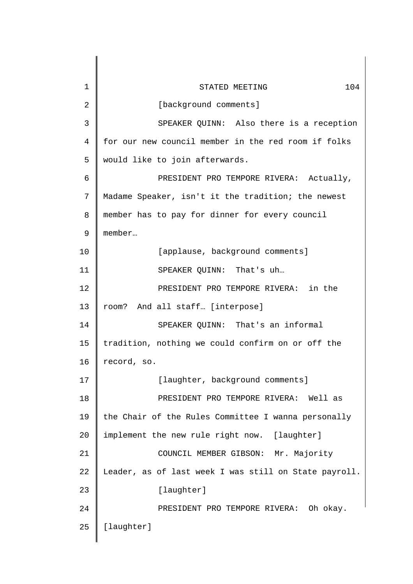| $\mathbf 1$ | 104<br>STATED MEETING                                 |
|-------------|-------------------------------------------------------|
| 2           | [background comments]                                 |
| 3           | SPEAKER QUINN: Also there is a reception              |
| 4           | for our new council member in the red room if folks   |
| 5           | would like to join afterwards.                        |
| 6           | PRESIDENT PRO TEMPORE RIVERA: Actually,               |
| 7           | Madame Speaker, isn't it the tradition; the newest    |
| 8           | member has to pay for dinner for every council        |
| 9           | member                                                |
| 10          | [applause, background comments]                       |
| 11          | SPEAKER QUINN: That's uh                              |
| 12          | PRESIDENT PRO TEMPORE RIVERA: in the                  |
| 13          | room? And all staff [interpose]                       |
| 14          | SPEAKER QUINN: That's an informal                     |
| 15          | tradition, nothing we could confirm on or off the     |
| 16          | record, so.                                           |
| 17          | [laughter, background comments]                       |
| 18          | PRESIDENT PRO TEMPORE RIVERA: Well as                 |
| 19          | the Chair of the Rules Committee I wanna personally   |
| 20          | implement the new rule right now. [laughter]          |
| 21          | COUNCIL MEMBER GIBSON: Mr. Majority                   |
| 22          | Leader, as of last week I was still on State payroll. |
| 23          | [laughter]                                            |
| 24          | PRESIDENT PRO TEMPORE RIVERA: Oh okay.                |
| 25          | [laughter]                                            |
|             |                                                       |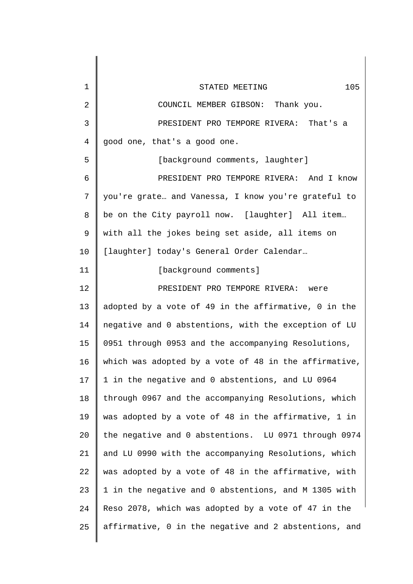| 1  | 105<br>STATED MEETING                                 |
|----|-------------------------------------------------------|
| 2  | COUNCIL MEMBER GIBSON: Thank you.                     |
| 3  | PRESIDENT PRO TEMPORE RIVERA: That's a                |
| 4  | good one, that's a good one.                          |
| 5  | [background comments, laughter]                       |
| 6  | PRESIDENT PRO TEMPORE RIVERA: And I know              |
| 7  | you're grate and Vanessa, I know you're grateful to   |
| 8  | be on the City payroll now. [laughter] All item       |
| 9  | with all the jokes being set aside, all items on      |
| 10 | [laughter] today's General Order Calendar             |
| 11 | [background comments]                                 |
| 12 | PRESIDENT PRO TEMPORE RIVERA: were                    |
| 13 | adopted by a vote of 49 in the affirmative, 0 in the  |
| 14 | negative and 0 abstentions, with the exception of LU  |
| 15 | 0951 through 0953 and the accompanying Resolutions,   |
| 16 | which was adopted by a vote of 48 in the affirmative, |
| 17 | 1 in the negative and 0 abstentions, and LU 0964      |
| 18 | through 0967 and the accompanying Resolutions, which  |
| 19 | was adopted by a vote of 48 in the affirmative, 1 in  |
| 20 | the negative and 0 abstentions. LU 0971 through 0974  |
| 21 | and LU 0990 with the accompanying Resolutions, which  |
| 22 | was adopted by a vote of 48 in the affirmative, with  |
| 23 | 1 in the negative and 0 abstentions, and M 1305 with  |
| 24 | Reso 2078, which was adopted by a vote of 47 in the   |
| 25 | affirmative, 0 in the negative and 2 abstentions, and |
|    |                                                       |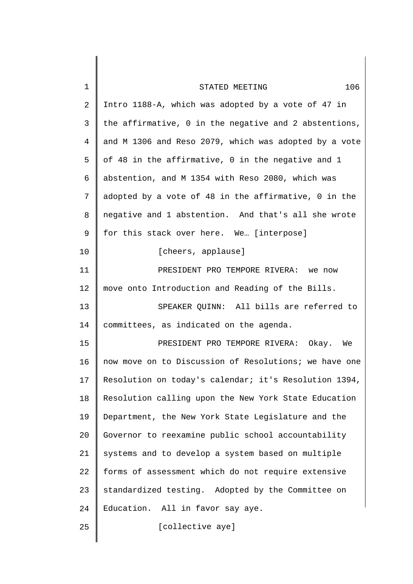| $\mathbf 1$ | 106<br>STATED MEETING                                 |
|-------------|-------------------------------------------------------|
| 2           | Intro 1188-A, which was adopted by a vote of 47 in    |
| 3           | the affirmative, 0 in the negative and 2 abstentions, |
| 4           | and M 1306 and Reso 2079, which was adopted by a vote |
| 5           | of 48 in the affirmative, 0 in the negative and 1     |
| 6           | abstention, and M 1354 with Reso 2080, which was      |
| 7           | adopted by a vote of 48 in the affirmative, 0 in the  |
| 8           | negative and 1 abstention. And that's all she wrote   |
| 9           | for this stack over here. We [interpose]              |
| 10          | [cheers, applause]                                    |
| 11          | PRESIDENT PRO TEMPORE RIVERA: we now                  |
| 12          | move onto Introduction and Reading of the Bills.      |
| 13          | SPEAKER QUINN: All bills are referred to              |
| 14          | committees, as indicated on the agenda.               |
| 15          | PRESIDENT PRO TEMPORE RIVERA:<br>Okay. We             |
| 16          | now move on to Discussion of Resolutions; we have one |
| 17          | Resolution on today's calendar; it's Resolution 1394, |
| 18          | Resolution calling upon the New York State Education  |
| 19          | Department, the New York State Legislature and the    |
| 20          | Governor to reexamine public school accountability    |
| 21          | systems and to develop a system based on multiple     |
| 22          | forms of assessment which do not require extensive    |
| 23          | standardized testing. Adopted by the Committee on     |
| 24          | Education. All in favor say aye.                      |
| 25          | [collective aye]                                      |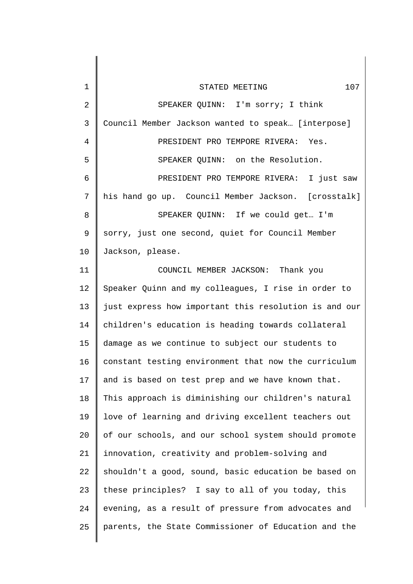| 1  | 107<br>STATED MEETING                                 |
|----|-------------------------------------------------------|
| 2  | SPEAKER QUINN: I'm sorry; I think                     |
| 3  | Council Member Jackson wanted to speak [interpose]    |
| 4  | PRESIDENT PRO TEMPORE RIVERA: Yes.                    |
| 5  | SPEAKER QUINN: on the Resolution.                     |
| 6  | PRESIDENT PRO TEMPORE RIVERA: I just saw              |
| 7  | his hand go up. Council Member Jackson. [crosstalk]   |
| 8  | SPEAKER QUINN: If we could get I'm                    |
| 9  | sorry, just one second, quiet for Council Member      |
| 10 | Jackson, please.                                      |
| 11 | COUNCIL MEMBER JACKSON: Thank you                     |
| 12 | Speaker Quinn and my colleagues, I rise in order to   |
| 13 | just express how important this resolution is and our |
| 14 | children's education is heading towards collateral    |
| 15 | damage as we continue to subject our students to      |
| 16 | constant testing environment that now the curriculum  |
| 17 | and is based on test prep and we have known that.     |
| 18 | This approach is diminishing our children's natural   |
| 19 | love of learning and driving excellent teachers out   |
| 20 | of our schools, and our school system should promote  |
| 21 | innovation, creativity and problem-solving and        |
| 22 | shouldn't a good, sound, basic education be based on  |
| 23 | these principles? I say to all of you today, this     |
| 24 | evening, as a result of pressure from advocates and   |
| 25 | parents, the State Commissioner of Education and the  |
|    |                                                       |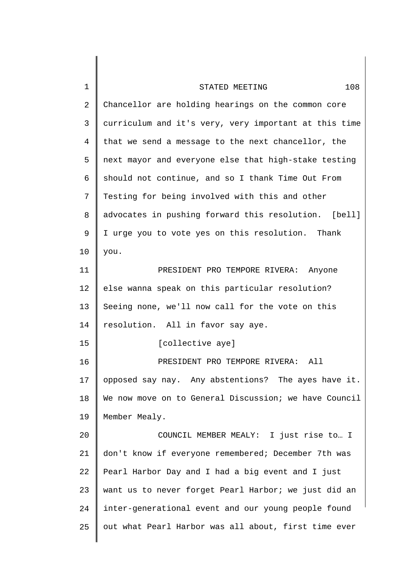| 1              | 108<br>STATED MEETING                                 |
|----------------|-------------------------------------------------------|
| 2              | Chancellor are holding hearings on the common core    |
| 3              | curriculum and it's very, very important at this time |
| $\overline{4}$ | that we send a message to the next chancellor, the    |
| 5              | next mayor and everyone else that high-stake testing  |
| 6              | should not continue, and so I thank Time Out From     |
| 7              | Testing for being involved with this and other        |
| 8              | advocates in pushing forward this resolution. [bell]  |
| 9              | I urge you to vote yes on this resolution. Thank      |
| 10             | you.                                                  |
| 11             | PRESIDENT PRO TEMPORE RIVERA: Anyone                  |
| 12             | else wanna speak on this particular resolution?       |
| 13             | Seeing none, we'll now call for the vote on this      |
| 14             | resolution. All in favor say aye.                     |
| 15             | [collective aye]                                      |
| 16             | PRESIDENT PRO TEMPORE RIVERA:<br>All                  |
| 17             | opposed say nay. Any abstentions? The ayes have it.   |
| 18             | We now move on to General Discussion; we have Council |
| 19             | Member Mealy.                                         |
| 20             | COUNCIL MEMBER MEALY: I just rise to I                |
| 21             | don't know if everyone remembered; December 7th was   |
| 22             | Pearl Harbor Day and I had a big event and I just     |
| 23             | want us to never forget Pearl Harbor; we just did an  |
| 24             | inter-generational event and our young people found   |
| 25             | out what Pearl Harbor was all about, first time ever  |
|                |                                                       |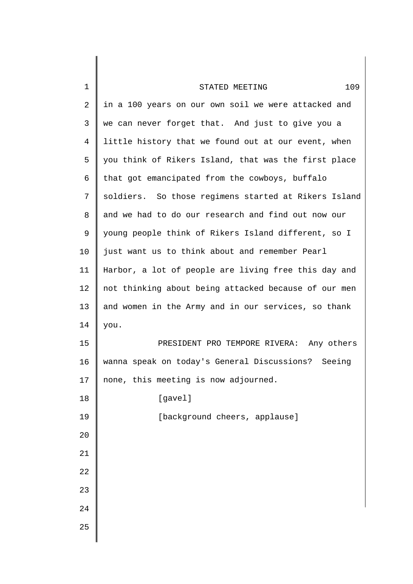| $\mathbf 1$    | 109<br>STATED MEETING                                 |
|----------------|-------------------------------------------------------|
| 2              | in a 100 years on our own soil we were attacked and   |
| $\mathsf{3}$   | we can never forget that. And just to give you a      |
| $\overline{4}$ | little history that we found out at our event, when   |
| 5              | you think of Rikers Island, that was the first place  |
| б              | that got emancipated from the cowboys, buffalo        |
| 7              | soldiers. So those regimens started at Rikers Island  |
| 8              | and we had to do our research and find out now our    |
| 9              | young people think of Rikers Island different, so I   |
| 10             | just want us to think about and remember Pearl        |
| 11             | Harbor, a lot of people are living free this day and  |
| 12             | not thinking about being attacked because of our men  |
| 13             | and women in the Army and in our services, so thank   |
| 14             | you.                                                  |
| 15             | PRESIDENT PRO TEMPORE RIVERA: Any others              |
| 16             | wanna speak on today's General Discussions?<br>Seeing |
| 17             | none, this meeting is now adjourned.                  |
| 18             | [gavel]                                               |
| 19             | [background cheers, applause]                         |
| 20             |                                                       |
| 21             |                                                       |
| 22             |                                                       |
| 23             |                                                       |
| 24             |                                                       |
| 25             |                                                       |
|                |                                                       |